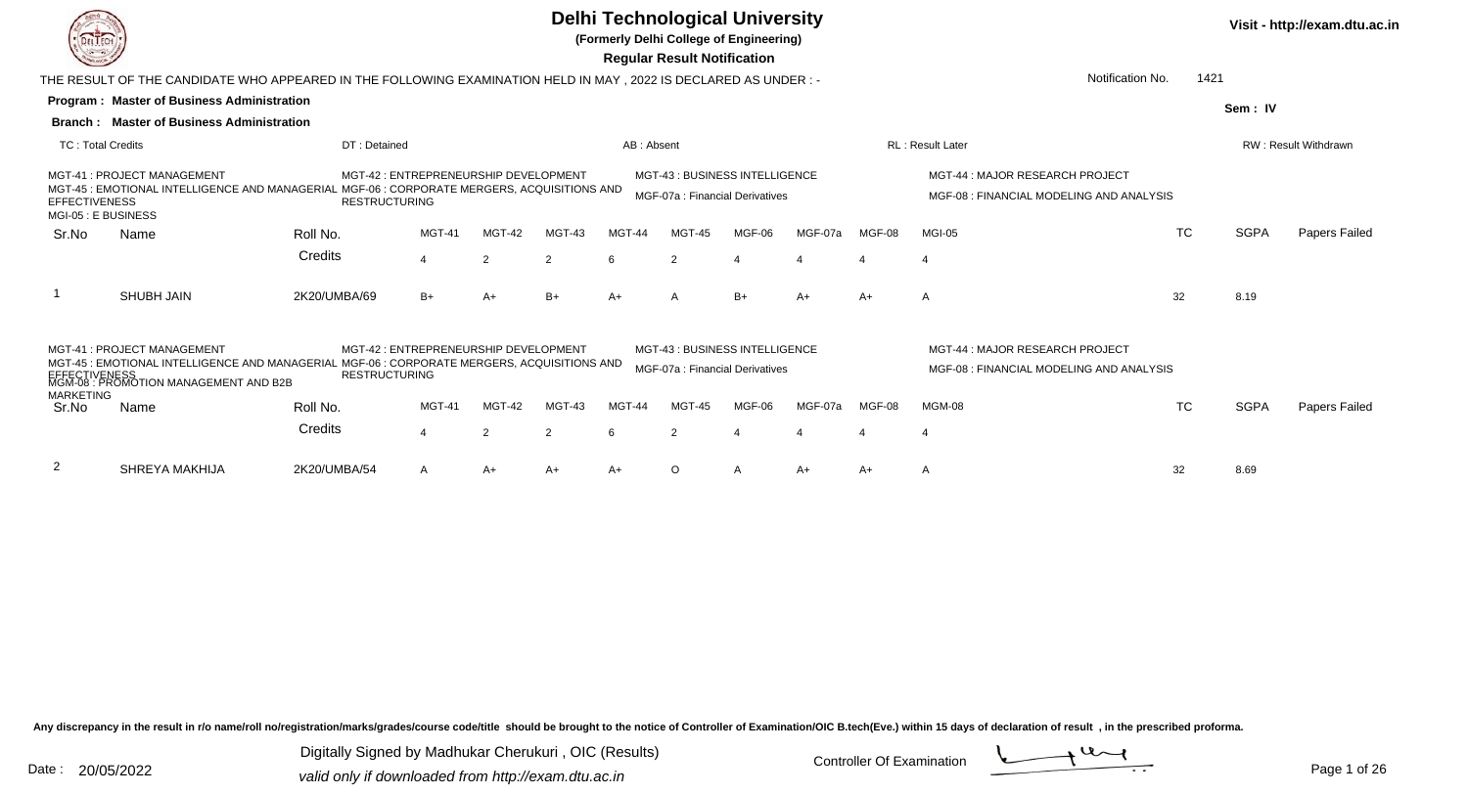

**(Formerly Delhi College of Engineering)**

 **Regular Result Notification**

| Notification No.<br>1421<br>THE RESULT OF THE CANDIDATE WHO APPEARED IN THE FOLLOWING EXAMINATION HELD IN MAY, 2022 IS DECLARED AS UNDER :-<br>Program: Master of Business Administration |                                                                                                                                                                                      |                      |                                       |               |                |            |                |                                                                   |         |        |                                                                             |           |             |                             |
|-------------------------------------------------------------------------------------------------------------------------------------------------------------------------------------------|--------------------------------------------------------------------------------------------------------------------------------------------------------------------------------------|----------------------|---------------------------------------|---------------|----------------|------------|----------------|-------------------------------------------------------------------|---------|--------|-----------------------------------------------------------------------------|-----------|-------------|-----------------------------|
|                                                                                                                                                                                           |                                                                                                                                                                                      |                      |                                       |               |                |            |                |                                                                   |         |        |                                                                             |           | Sem: IV     |                             |
|                                                                                                                                                                                           | <b>Branch: Master of Business Administration</b>                                                                                                                                     |                      |                                       |               |                |            |                |                                                                   |         |        |                                                                             |           |             |                             |
| <b>TC: Total Credits</b>                                                                                                                                                                  |                                                                                                                                                                                      | DT: Detained         |                                       |               |                | AB: Absent |                |                                                                   |         |        | <b>RL</b> : Result Later                                                    |           |             | <b>RW: Result Withdrawn</b> |
| <b>EFFECTIVENESS</b><br>MGI-05 : E BUSINESS                                                                                                                                               | MGT-41 : PROJECT MANAGEMENT<br>MGT-45 : EMOTIONAL INTELLIGENCE AND MANAGERIAL MGF-06 : CORPORATE MERGERS, ACQUISITIONS AND                                                           | <b>RESTRUCTURING</b> | MGT-42 : ENTREPRENEURSHIP DEVELOPMENT |               |                |            |                | MGT-43: BUSINESS INTELLIGENCE<br>MGF-07a : Financial Derivatives  |         |        | MGT-44 : MAJOR RESEARCH PROJECT<br>MGF-08 : FINANCIAL MODELING AND ANALYSIS |           |             |                             |
| Sr.No                                                                                                                                                                                     | Name                                                                                                                                                                                 | Roll No.             | MGT-41                                | MGT-42        | MGT-43         | MGT-44     | MGT-45         | MGF-06                                                            | MGF-07a | MGF-08 | MGI-05                                                                      | <b>TC</b> | <b>SGPA</b> | Papers Failed               |
|                                                                                                                                                                                           |                                                                                                                                                                                      | Credits              | 4                                     | $\mathcal{P}$ | $\overline{2}$ |            | $\overline{2}$ |                                                                   |         |        |                                                                             |           |             |                             |
|                                                                                                                                                                                           | <b>SHUBH JAIN</b>                                                                                                                                                                    | 2K20/UMBA/69         | B+                                    | A+            | $B+$           | $A+$       | A              | $B+$                                                              | $A+$    | A+     | $\overline{A}$                                                              | 32        | 8.19        |                             |
|                                                                                                                                                                                           | MGT-41 : PROJECT MANAGEMENT<br>MGT-45 : EMOTIONAL INTELLIGENCE AND MANAGERIAL MGF-06 : CORPORATE MERGERS, ACQUISITIONS AND<br>EFFECTIVENESS<br>MGM-08 : PROMOTION MANAGEMENT AND B2B | <b>RESTRUCTURING</b> | MGT-42 : ENTREPRENEURSHIP DEVELOPMENT |               |                |            |                | MGT-43 : BUSINESS INTELLIGENCE<br>MGF-07a : Financial Derivatives |         |        | MGT-44 : MAJOR RESEARCH PROJECT<br>MGF-08 : FINANCIAL MODELING AND ANALYSIS |           |             |                             |
| <b>MARKETING</b><br>Sr.No                                                                                                                                                                 | Name                                                                                                                                                                                 | Roll No.             | <b>MGT-41</b>                         | MGT-42        | MGT-43         | MGT-44     | <b>MGT-45</b>  | MGF-06                                                            | MGF-07a | MGF-08 | MGM-08                                                                      | <b>TC</b> | <b>SGPA</b> | Papers Failed               |
|                                                                                                                                                                                           |                                                                                                                                                                                      | Credits              | 4                                     | $\mathcal{P}$ | $\overline{2}$ | 6          | 2              |                                                                   |         |        | $\overline{4}$                                                              |           |             |                             |
| 2                                                                                                                                                                                         | SHREYA MAKHIJA                                                                                                                                                                       | 2K20/UMBA/54         | A                                     | $A+$          | $A+$           | $A+$       | O              |                                                                   | $A+$    | A+     | A                                                                           | 32        | 8.69        |                             |

Any discrepancy in the result in r/o name/roll no/registration/marks/grades/course code/title should be brought to the notice of Controller of Examination/OIC B.tech(Eve.) within 15 days of declaration of result, in the pr

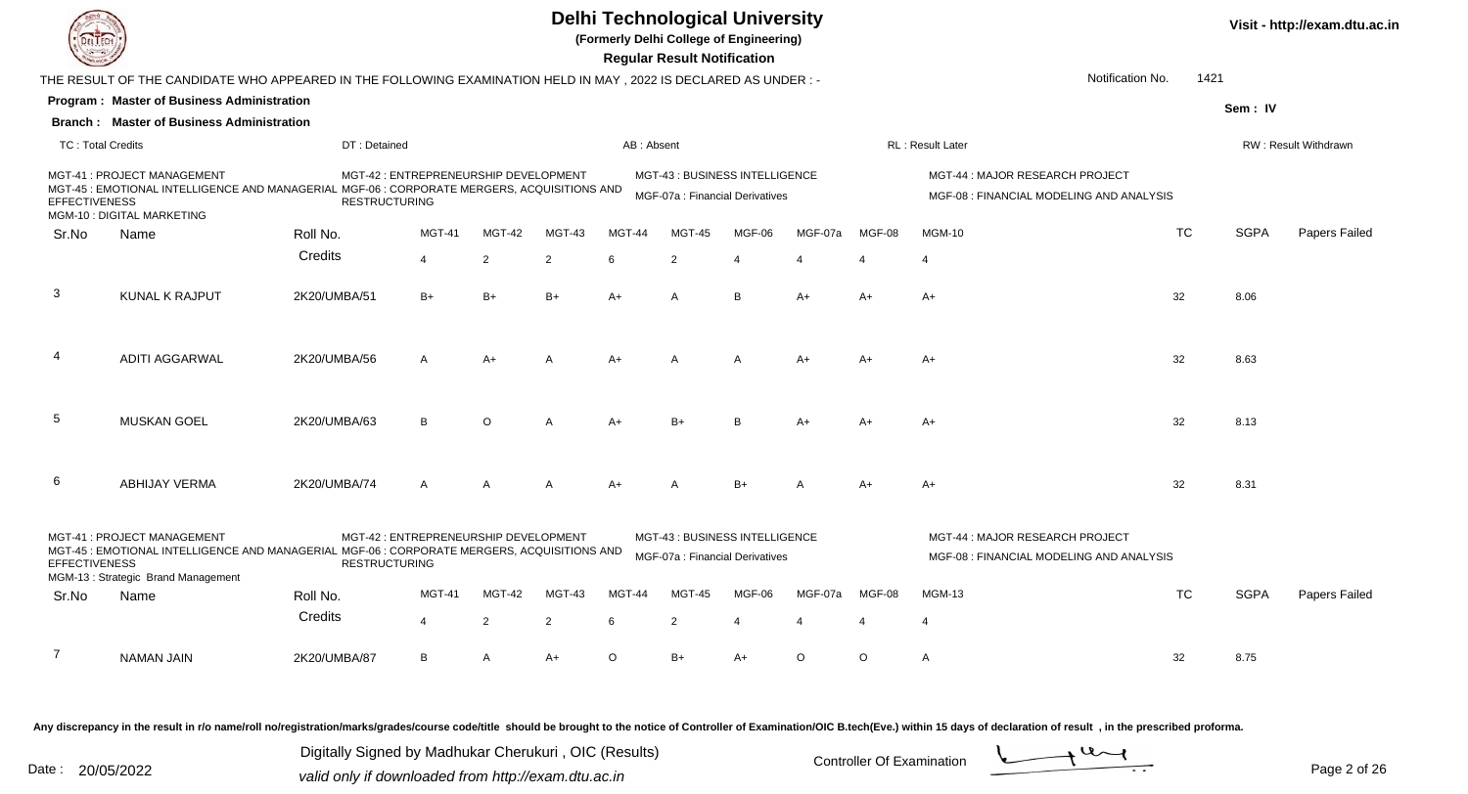

**(Formerly Delhi College of Engineering)**

**Visit - http://exam.dtu.ac.in**

 **Regular Result Notification**

|                          | THE RESULT OF THE CANDIDATE WHO APPEARED IN THE FOLLOWING EXAMINATION HELD IN MAY , 2022 IS DECLARED AS UNDER :-                                                |                      |                                       |         |                |               |                                                                   |                       |         |          | Notification No.                                                           | 1421      |             |                      |
|--------------------------|-----------------------------------------------------------------------------------------------------------------------------------------------------------------|----------------------|---------------------------------------|---------|----------------|---------------|-------------------------------------------------------------------|-----------------------|---------|----------|----------------------------------------------------------------------------|-----------|-------------|----------------------|
|                          | Program: Master of Business Administration                                                                                                                      |                      |                                       |         |                |               |                                                                   |                       |         |          |                                                                            |           | Sem: IV     |                      |
|                          | <b>Branch: Master of Business Administration</b>                                                                                                                |                      |                                       |         |                |               |                                                                   |                       |         |          |                                                                            |           |             |                      |
| <b>TC: Total Credits</b> |                                                                                                                                                                 | DT: Detained         |                                       |         |                | AB: Absent    |                                                                   |                       |         |          | RL: Result Later                                                           |           |             | RW: Result Withdrawn |
| <b>EFFECTIVENESS</b>     | MGT-41: PROJECT MANAGEMENT<br>MGT-45 : EMOTIONAL INTELLIGENCE AND MANAGERIAL MGF-06 : CORPORATE MERGERS, ACQUISITIONS AND<br>MGM-10 : DIGITAL MARKETING         | <b>RESTRUCTURING</b> | MGT-42 : ENTREPRENEURSHIP DEVELOPMENT |         |                |               | MGT-43: BUSINESS INTELLIGENCE<br>MGF-07a : Financial Derivatives  |                       |         |          | MGT-44: MAJOR RESEARCH PROJECT<br>MGF-08 : FINANCIAL MODELING AND ANALYSIS |           |             |                      |
| Sr.No                    | Name                                                                                                                                                            | Roll No.             | MGT-41                                | MGT-42  | MGT-43         | <b>MGT-44</b> | MGT-45                                                            | MGF-06                | MGF-07a | MGF-08   | <b>MGM-10</b>                                                              | <b>TC</b> | <b>SGPA</b> | Papers Failed        |
|                          |                                                                                                                                                                 | Credits              | $\overline{4}$                        | 2       | 2              | 6             | 2                                                                 | $\boldsymbol{\Delta}$ |         |          | $\overline{4}$                                                             |           |             |                      |
| $\mathbf{3}$             | <b>KUNAL K RAJPUT</b>                                                                                                                                           | 2K20/UMBA/51         | $B+$                                  | $B+$    | $B+$           | $A+$          | A                                                                 | B                     | $A+$    | A+       | A+                                                                         | 32        | 8.06        |                      |
| 4                        | <b>ADITI AGGARWAL</b>                                                                                                                                           | 2K20/UMBA/56         | A                                     | A+      | A              | A+            | А                                                                 | A                     | A+      | A+       | A+                                                                         | 32        | 8.63        |                      |
| 5                        | <b>MUSKAN GOEL</b>                                                                                                                                              | 2K20/UMBA/63         | B                                     | $\circ$ | А              | A+            | $B+$                                                              | B <sub>1</sub>        | $A+$    | A+       | $A+$                                                                       | 32        | 8.13        |                      |
| 6                        | <b>ABHIJAY VERMA</b>                                                                                                                                            | 2K20/UMBA/74         | A                                     | A       | A              | A+            | А                                                                 | $B+$                  | A       | A+       | A+                                                                         | 32        | 8.31        |                      |
| <b>EFFECTIVENESS</b>     | MGT-41: PROJECT MANAGEMENT<br>MGT-45 : EMOTIONAL INTELLIGENCE AND MANAGERIAL MGF-06 : CORPORATE MERGERS, ACQUISITIONS AND<br>MGM-13: Strategic Brand Management | <b>RESTRUCTURING</b> | MGT-42 : ENTREPRENEURSHIP DEVELOPMENT |         |                |               | MGT-43 : BUSINESS INTELLIGENCE<br>MGF-07a : Financial Derivatives |                       |         |          | MGT-44: MAJOR RESEARCH PROJECT<br>MGF-08 : FINANCIAL MODELING AND ANALYSIS |           |             |                      |
| Sr.No                    | Name                                                                                                                                                            | Roll No.             | <b>MGT-41</b>                         | MGT-42  | MGT-43         | <b>MGT-44</b> | <b>MGT-45</b>                                                     | MGF-06                | MGF-07a | MGF-08   | <b>MGM-13</b>                                                              | <b>TC</b> | <b>SGPA</b> | Papers Failed        |
|                          |                                                                                                                                                                 | Credits              | $\overline{4}$                        | 2       | $\overline{2}$ | 6             | $\overline{2}$                                                    | $\boldsymbol{\Delta}$ | 4       | $\Delta$ | $\overline{4}$                                                             |           |             |                      |
| 7                        | <b>NAMAN JAIN</b>                                                                                                                                               | 2K20/UMBA/87         | В                                     | A       | $A+$           | $\circ$       | B+                                                                | A+                    | $\circ$ | $\circ$  | A                                                                          | 32        | 8.75        |                      |
|                          |                                                                                                                                                                 |                      |                                       |         |                |               |                                                                   |                       |         |          |                                                                            |           |             |                      |

Any discrepancy in the result in r/o name/roll no/registration/marks/grades/course code/title should be brought to the notice of Controller of Examination/OIC B.tech(Eve.) within 15 days of declaration of result, in the pr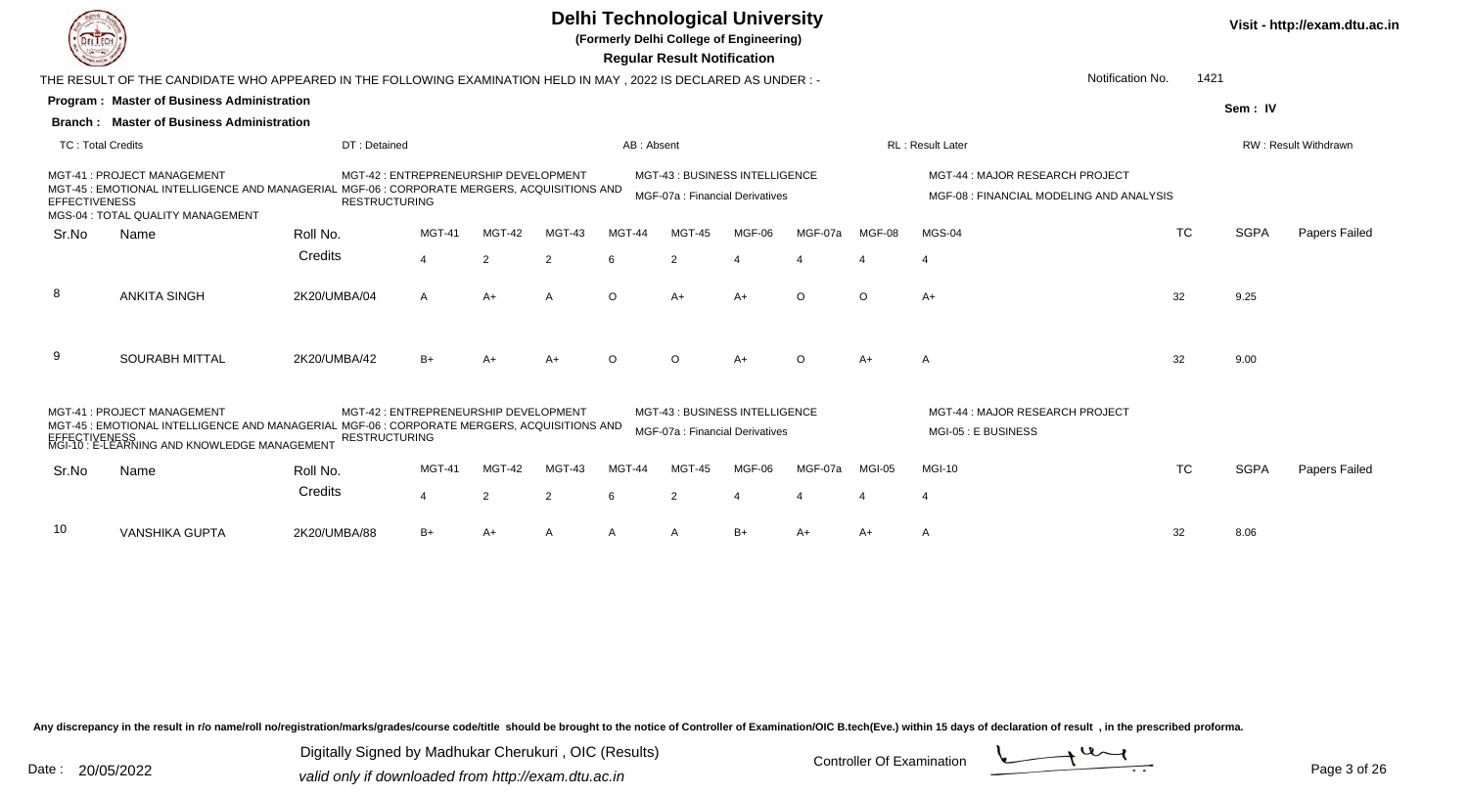

**(Formerly Delhi College of Engineering)**

 **Regular Result Notification**

|                          | THE RESULT OF THE CANDIDATE WHO APPEARED IN THE FOLLOWING EXAMINATION HELD IN MAY, 2022 IS DECLARED AS UNDER :-                                                                       |                      |                                       |               |                | Notification No.<br>1421 |                                                                  |        |          |          |                                                                             |           |             |                      |
|--------------------------|---------------------------------------------------------------------------------------------------------------------------------------------------------------------------------------|----------------------|---------------------------------------|---------------|----------------|--------------------------|------------------------------------------------------------------|--------|----------|----------|-----------------------------------------------------------------------------|-----------|-------------|----------------------|
|                          | <b>Program: Master of Business Administration</b>                                                                                                                                     |                      |                                       |               |                |                          |                                                                  |        |          |          |                                                                             |           | Sem: IV     |                      |
|                          | <b>Branch: Master of Business Administration</b>                                                                                                                                      |                      |                                       |               |                |                          |                                                                  |        |          |          |                                                                             |           |             |                      |
| <b>TC: Total Credits</b> |                                                                                                                                                                                       | DT: Detained         |                                       |               |                | AB: Absent               |                                                                  |        |          |          | <b>RL</b> : Result Later                                                    |           |             | RW: Result Withdrawn |
| <b>EFFECTIVENESS</b>     | MGT-41 : PROJECT MANAGEMENT<br>MGT-45 : EMOTIONAL INTELLIGENCE AND MANAGERIAL MGF-06 : CORPORATE MERGERS, ACQUISITIONS AND<br>MGS-04 : TOTAL QUALITY MANAGEMENT                       | <b>RESTRUCTURING</b> | MGT-42 : ENTREPRENEURSHIP DEVELOPMENT |               |                |                          | MGT-43: BUSINESS INTELLIGENCE<br>MGF-07a : Financial Derivatives |        |          |          | MGT-44 : MAJOR RESEARCH PROJECT<br>MGF-08 : FINANCIAL MODELING AND ANALYSIS |           |             |                      |
| Sr.No                    | Name                                                                                                                                                                                  | Roll No.             | <b>MGT-41</b>                         | MGT-42        | MGT-43         | MGT-44                   | <b>MGT-45</b>                                                    | MGF-06 | MGF-07a  | MGF-08   | MGS-04                                                                      | <b>TC</b> | <b>SGPA</b> | Papers Failed        |
|                          |                                                                                                                                                                                       | Credits              | $\overline{4}$                        | 2             | $\overline{2}$ | 6                        | 2                                                                |        |          |          | $\overline{4}$                                                              |           |             |                      |
| -8                       | <b>ANKITA SINGH</b>                                                                                                                                                                   | 2K20/UMBA/04         | A                                     | A+            | A              | $\circ$                  | A+                                                               | $A+$   | $\circ$  | $\Omega$ | $A+$                                                                        | 32        | 9.25        |                      |
| 9                        | <b>SOURABH MITTAL</b>                                                                                                                                                                 | 2K20/UMBA/42         | B+                                    | A+            | $A+$           | $\Omega$                 | $\Omega$                                                         | A+     | $\Omega$ | $A+$     | A                                                                           | 32        | 9.00        |                      |
|                          | MGT-41: PROJECT MANAGEMENT<br>MGT-45 : EMOTIONAL INTELLIGENCE AND MANAGERIAL MGF-06 : CORPORATE MERGERS, ACQUISITIONS AND<br>ΓΙ <u>VENESS</u><br>∶E-LEARNING AND KNOWLEDGE MANAGEMENT | <b>RESTRUCTURING</b> | MGT-42 : ENTREPRENEURSHIP DEVELOPMENT |               |                |                          | MGT-43: BUSINESS INTELLIGENCE<br>MGF-07a : Financial Derivatives |        |          |          | MGT-44 : MAJOR RESEARCH PROJECT<br>MGI-05 : E BUSINESS                      |           |             |                      |
| Sr.No                    | Name                                                                                                                                                                                  | Roll No.             | <b>MGT-41</b>                         | <b>MGT-42</b> | MGT-43         | MGT-44                   | <b>MGT-45</b>                                                    | MGF-06 | MGF-07a  | MGI-05   | <b>MGI-10</b>                                                               | <b>TC</b> | <b>SGPA</b> | Papers Failed        |
|                          |                                                                                                                                                                                       | Credits              | $\overline{4}$                        | 2             | 2              | 6                        | $\overline{2}$                                                   |        |          |          | $\overline{\mathcal{A}}$                                                    |           |             |                      |
| 10                       | <b>VANSHIKA GUPTA</b>                                                                                                                                                                 | 2K20/UMBA/88         | B+                                    | A+            | A              | A                        | A                                                                | B+     | $A+$     | A+       | A                                                                           | 32        | 8.06        |                      |

Any discrepancy in the result in r/o name/roll no/registration/marks/grades/course code/title should be brought to the notice of Controller of Examination/OIC B.tech(Eve.) within 15 days of declaration of result, in the pr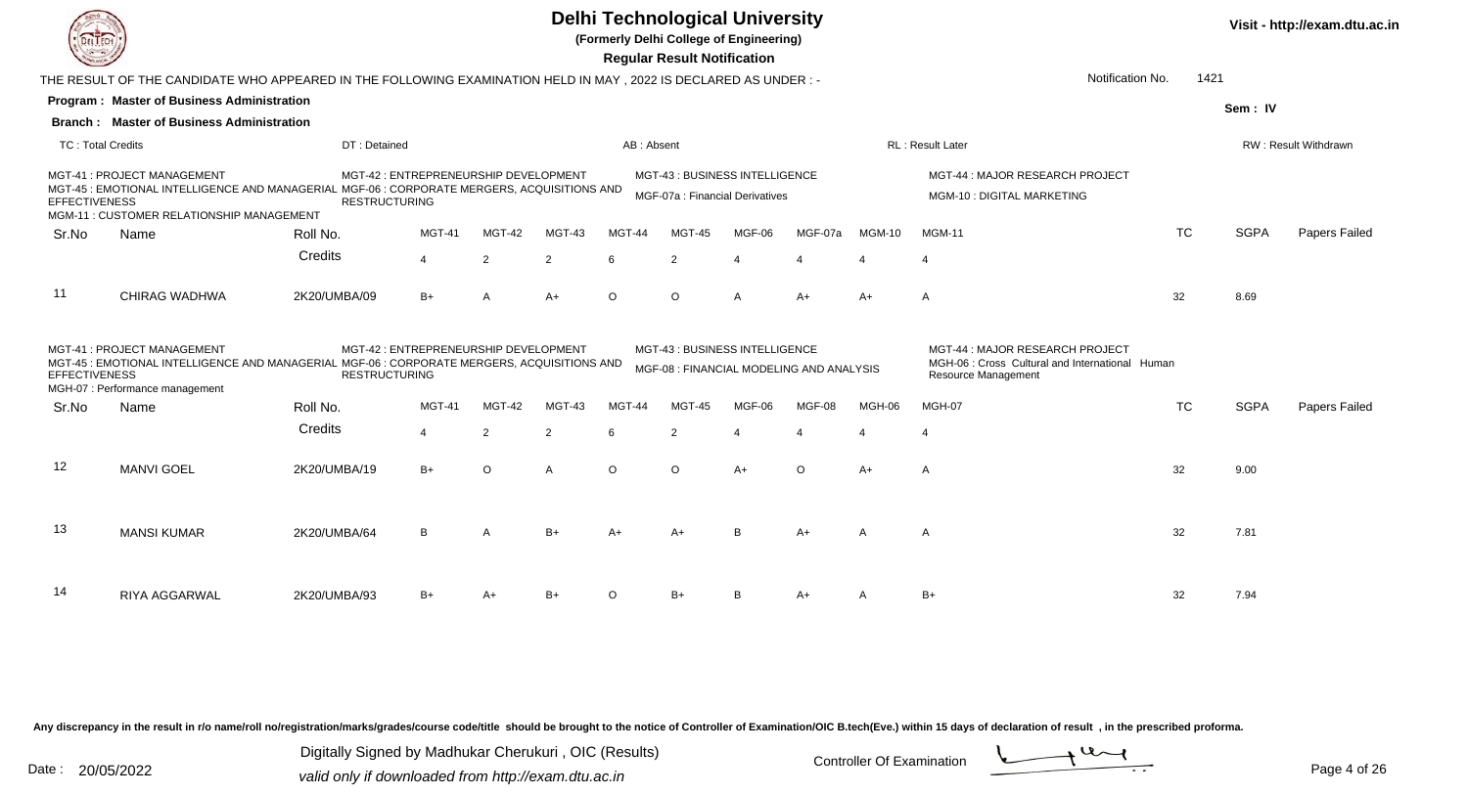

**(Formerly Delhi College of Engineering)**

 **Regular Result Notification**

|                          | THE RESULT OF THE CANDIDATE WHO APPEARED IN THE FOLLOWING EXAMINATION HELD IN MAY , 2022 IS DECLARED AS UNDER :-                                                       |              |                                                               | Notification No.<br>1421 |                |            |                                                                  |        |                                          |               |                                                                                                                  |           |             |                             |
|--------------------------|------------------------------------------------------------------------------------------------------------------------------------------------------------------------|--------------|---------------------------------------------------------------|--------------------------|----------------|------------|------------------------------------------------------------------|--------|------------------------------------------|---------------|------------------------------------------------------------------------------------------------------------------|-----------|-------------|-----------------------------|
|                          | Program: Master of Business Administration                                                                                                                             |              |                                                               |                          |                |            |                                                                  |        |                                          |               |                                                                                                                  |           | Sem: IV     |                             |
|                          | <b>Branch: Master of Business Administration</b>                                                                                                                       |              |                                                               |                          |                |            |                                                                  |        |                                          |               |                                                                                                                  |           |             |                             |
| <b>TC: Total Credits</b> |                                                                                                                                                                        | DT: Detained |                                                               |                          |                | AB: Absent |                                                                  |        |                                          |               | <b>RL</b> : Result Later                                                                                         |           |             | <b>RW: Result Withdrawn</b> |
| <b>EFFECTIVENESS</b>     | MGT-41: PROJECT MANAGEMENT<br>MGT-45 : EMOTIONAL INTELLIGENCE AND MANAGERIAL MGF-06 : CORPORATE MERGERS, ACQUISITIONS AND<br>MGM-11 : CUSTOMER RELATIONSHIP MANAGEMENT |              | MGT-42 : ENTREPRENEURSHIP DEVELOPMENT<br><b>RESTRUCTURING</b> |                          |                |            | MGT-43: BUSINESS INTELLIGENCE<br>MGF-07a : Financial Derivatives |        |                                          |               | MGT-44: MAJOR RESEARCH PROJECT<br>MGM-10 : DIGITAL MARKETING                                                     |           |             |                             |
| Sr.No                    | Name                                                                                                                                                                   | Roll No.     | <b>MGT-41</b>                                                 | <b>MGT-42</b>            | MGT-43         | MGT-44     | MGT-45                                                           | MGF-06 | MGF-07a                                  | <b>MGM-10</b> | <b>MGM-11</b>                                                                                                    | <b>TC</b> | <b>SGPA</b> | Papers Failed               |
|                          |                                                                                                                                                                        | Credits      | $\Delta$                                                      | 2                        | 2              | 6          | $\overline{2}$                                                   |        |                                          |               | $\boldsymbol{\Delta}$                                                                                            |           |             |                             |
| 11                       | CHIRAG WADHWA                                                                                                                                                          | 2K20/UMBA/09 | $B+$                                                          | A                        | $A+$           | $\circ$    | $\circ$                                                          |        | $A+$                                     | $A+$          | A                                                                                                                | 32        | 8.69        |                             |
| <b>EFFECTIVENESS</b>     | MGT-41: PROJECT MANAGEMENT<br>MGT-45 : EMOTIONAL INTELLIGENCE AND MANAGERIAL MGF-06 : CORPORATE MERGERS, ACQUISITIONS AND<br>MGH-07 : Performance management           |              | MGT-42 : ENTREPRENEURSHIP DEVELOPMENT<br><b>RESTRUCTURING</b> |                          |                |            | MGT-43: BUSINESS INTELLIGENCE                                    |        | MGF-08 : FINANCIAL MODELING AND ANALYSIS |               | MGT-44 : MAJOR RESEARCH PROJECT<br>MGH-06 : Cross Cultural and International Human<br><b>Resource Management</b> |           |             |                             |
| Sr.No                    | Name                                                                                                                                                                   | Roll No.     | MGT-41                                                        | MGT-42                   | MGT-43         | MGT-44     | MGT-45                                                           | MGF-06 | MGF-08                                   | MGH-06        | MGH-07                                                                                                           | <b>TC</b> | <b>SGPA</b> | Papers Failed               |
|                          |                                                                                                                                                                        | Credits      | $\overline{\mathbf{4}}$                                       | 2                        | 2              | 6          | $\overline{2}$                                                   |        | $\Delta$                                 |               | $\boldsymbol{\Delta}$                                                                                            |           |             |                             |
| -12                      | <b>MANVI GOEL</b>                                                                                                                                                      | 2K20/UMBA/19 | $B+$                                                          | $\circ$                  | $\overline{A}$ | $\circ$    | $\circ$                                                          | $A+$   | $\circ$                                  | $A+$          | A                                                                                                                | 32        | 9.00        |                             |
| 13                       | <b>MANSI KUMAR</b>                                                                                                                                                     | 2K20/UMBA/64 | B                                                             | $\mathsf{A}$             | $B+$           | $A+$       | $A+$                                                             | B      | $A+$                                     | A             | A                                                                                                                | 32        | 7.81        |                             |
| 14                       | RIYA AGGARWAL                                                                                                                                                          | 2K20/UMBA/93 | $B+$                                                          | A+                       | $B+$           | $\Omega$   | $B+$                                                             |        | $A+$                                     |               | B+                                                                                                               | 32        | 7.94        |                             |

Any discrepancy in the result in r/o name/roll no/registration/marks/grades/course code/title should be brought to the notice of Controller of Examination/OIC B.tech(Eve.) within 15 days of declaration of result, in the pr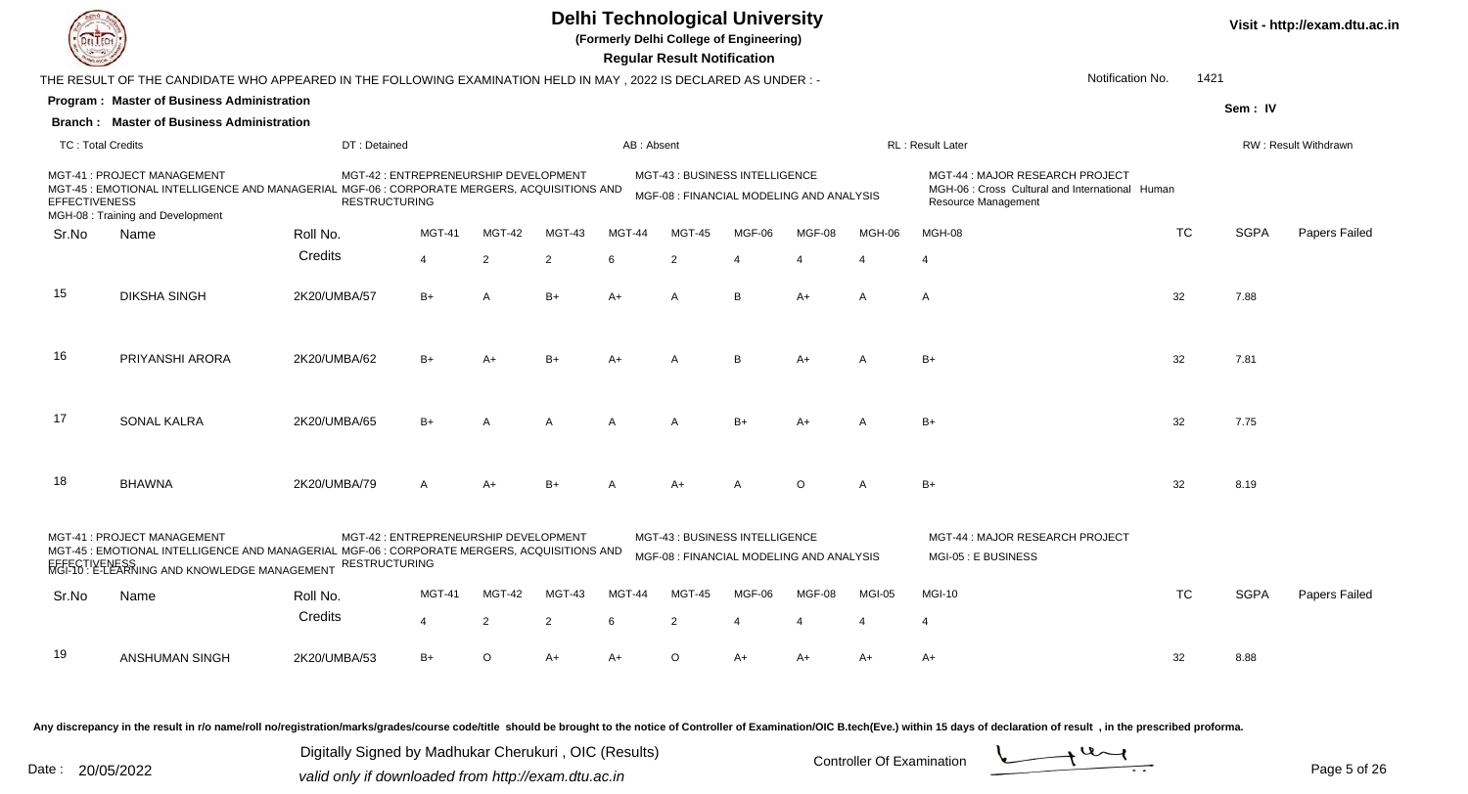

**(Formerly Delhi College of Engineering)**

**Visit - http://exam.dtu.ac.in**

 **Regular Result Notification**

|                          |                                                                                                                                                                                                                                                             |                      |                                       |                |                |               | <b>Negara Resait Retineation</b>                                           |        |         |              |                                                                                                           |           |             |                      |
|--------------------------|-------------------------------------------------------------------------------------------------------------------------------------------------------------------------------------------------------------------------------------------------------------|----------------------|---------------------------------------|----------------|----------------|---------------|----------------------------------------------------------------------------|--------|---------|--------------|-----------------------------------------------------------------------------------------------------------|-----------|-------------|----------------------|
|                          | THE RESULT OF THE CANDIDATE WHO APPEARED IN THE FOLLOWING EXAMINATION HELD IN MAY, 2022 IS DECLARED AS UNDER :-                                                                                                                                             |                      |                                       |                |                |               |                                                                            |        |         |              | Notification No.                                                                                          | 1421      |             |                      |
|                          | <b>Program: Master of Business Administration</b>                                                                                                                                                                                                           |                      |                                       |                |                |               |                                                                            |        |         |              |                                                                                                           |           | Sem: IV     |                      |
|                          | <b>Branch: Master of Business Administration</b>                                                                                                                                                                                                            |                      |                                       |                |                |               |                                                                            |        |         |              |                                                                                                           |           |             |                      |
| <b>TC: Total Credits</b> |                                                                                                                                                                                                                                                             | DT: Detained         |                                       |                |                | AB: Absent    |                                                                            |        |         |              | <b>RL: Result Later</b>                                                                                   |           |             | RW: Result Withdrawn |
| <b>EFFECTIVENESS</b>     | MGT-41 : PROJECT MANAGEMENT<br>MGT-45 : EMOTIONAL INTELLIGENCE AND MANAGERIAL MGF-06 : CORPORATE MERGERS, ACQUISITIONS AND<br>MGH-08 : Training and Development                                                                                             | <b>RESTRUCTURING</b> | MGT-42 : ENTREPRENEURSHIP DEVELOPMENT |                |                |               | MGT-43 : BUSINESS INTELLIGENCE<br>MGF-08 : FINANCIAL MODELING AND ANALYSIS |        |         |              | MGT-44 : MAJOR RESEARCH PROJECT<br>MGH-06 : Cross Cultural and International Human<br>Resource Management |           |             |                      |
| Sr.No                    | Name                                                                                                                                                                                                                                                        | Roll No.             | <b>MGT-41</b>                         | MGT-42         | MGT-43         | <b>MGT-44</b> | <b>MGT-45</b>                                                              | MGF-06 | MGF-08  | MGH-06       | MGH-08                                                                                                    | TC        | <b>SGPA</b> | Papers Failed        |
|                          |                                                                                                                                                                                                                                                             | Credits              | $\boldsymbol{\Delta}$                 | $\overline{2}$ | $\overline{2}$ | 6             | $\overline{2}$                                                             |        |         |              |                                                                                                           |           |             |                      |
| 15                       | <b>DIKSHA SINGH</b>                                                                                                                                                                                                                                         | 2K20/UMBA/57         | $B+$                                  | A              | $B+$           | $A+$          | $\mathsf{A}$                                                               | B      | $A+$    | $\mathsf{A}$ | $\mathsf{A}$                                                                                              | 32        | 7.88        |                      |
| 16                       | PRIYANSHI ARORA                                                                                                                                                                                                                                             | 2K20/UMBA/62         | $B+$                                  | $A+$           | $B+$           | $A+$          | A                                                                          | B      | $A+$    | A            | $B+$                                                                                                      | 32        | 7.81        |                      |
| 17                       | <b>SONAL KALRA</b>                                                                                                                                                                                                                                          | 2K20/UMBA/65         | $B+$                                  | A              | A              | A             | A                                                                          | $B+$   | $A+$    | A            | $B+$                                                                                                      | 32        | 7.75        |                      |
| 18                       | <b>BHAWNA</b>                                                                                                                                                                                                                                               | 2K20/UMBA/79         | $\mathsf{A}$                          | $A+$           | $B+$           |               | $A+$                                                                       | A      | $\circ$ | A            | $B+$                                                                                                      | 32        | 8.19        |                      |
|                          | MGT-41: PROJECT MANAGEMENT<br>MGT-42 : ENTREPRENEURSHIP DEVELOPMENT<br>MGT-45 : EMOTIONAL INTELLIGENCE AND MANAGERIAL MGF-06 : CORPORATE MERGERS, ACQUISITIONS AND<br><b>RESTRUCTURING</b><br>FFFECTIVENESS<br>MGI-10 : E-LEARNING AND KNOWLEDGE MANAGEMENT |                      |                                       |                |                |               | MGT-43 : BUSINESS INTELLIGENCE<br>MGF-08 : FINANCIAL MODELING AND ANALYSIS |        |         |              | MGT-44 : MAJOR RESEARCH PROJECT<br>MGI-05 : E BUSINESS                                                    |           |             |                      |
| Sr.No                    | Name                                                                                                                                                                                                                                                        | Roll No.             | <b>MGT-41</b>                         | MGT-42         | MGT-43         | MGT-44        | <b>MGT-45</b>                                                              | MGF-06 | MGF-08  | MGI-05       | <b>MGI-10</b>                                                                                             | <b>TC</b> | <b>SGPA</b> | Papers Failed        |
|                          |                                                                                                                                                                                                                                                             | Credits              | $\overline{4}$                        | $\overline{2}$ | $\overline{2}$ | 6             | $\overline{2}$                                                             |        | 4       |              | 4                                                                                                         |           |             |                      |
| 19                       | ANSHUMAN SINGH                                                                                                                                                                                                                                              | 2K20/UMBA/53         | $B+$                                  | $\circ$        | $A+$           | A+            | $\circ$                                                                    | A+     | $A+$    | A+           | A+                                                                                                        | 32        | 8.88        |                      |
|                          |                                                                                                                                                                                                                                                             |                      |                                       |                |                |               |                                                                            |        |         |              |                                                                                                           |           |             |                      |

Any discrepancy in the result in r/o name/roll no/registration/marks/grades/course code/title should be brought to the notice of Controller of Examination/OIC B.tech(Eve.) within 15 days of declaration of result, in the pr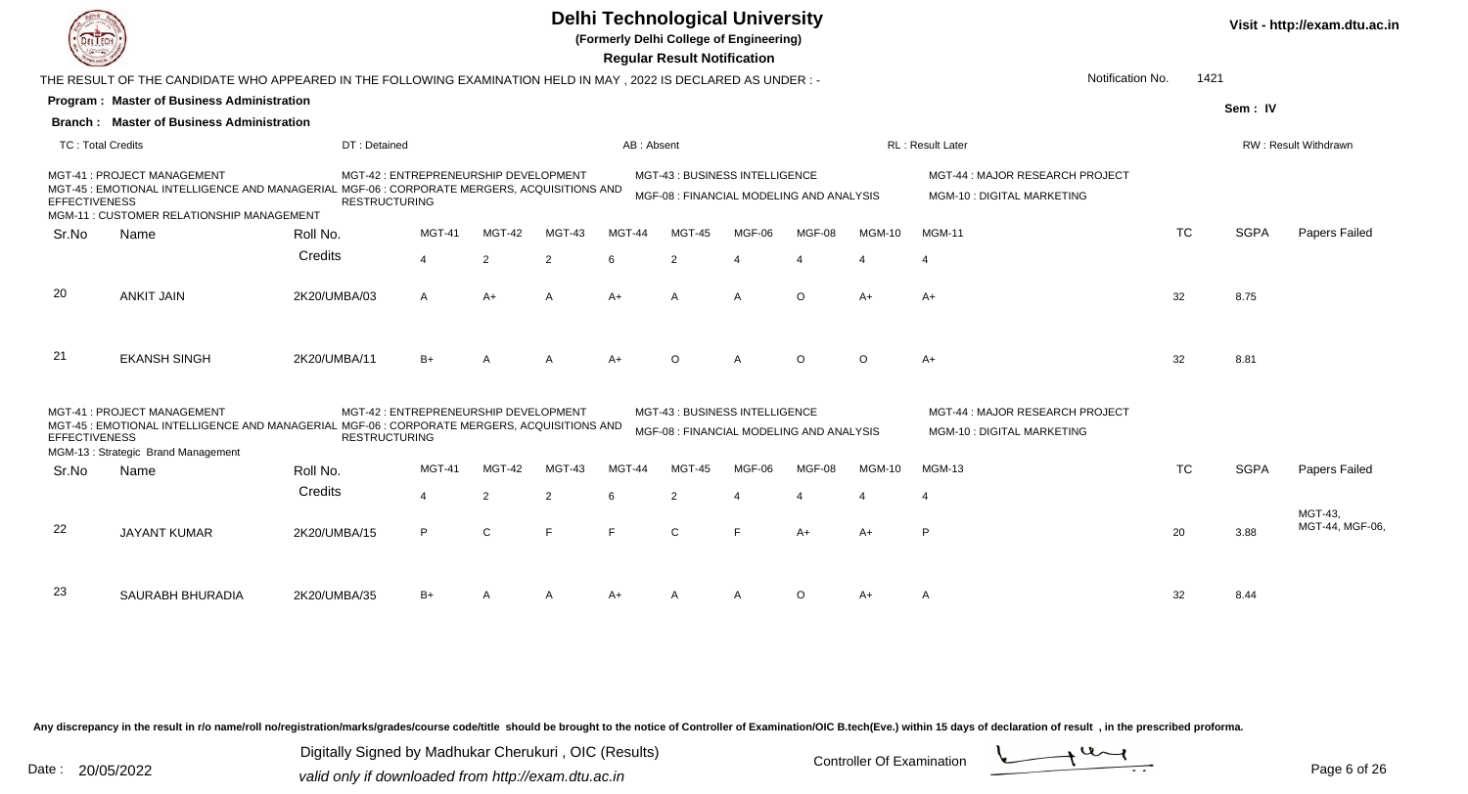**(Formerly Delhi College of Engineering)**

 **Regular Result Notification**

|                          | THE RESULT OF THE CANDIDATE WHO APPEARED IN THE FOLLOWING EXAMINATION HELD IN MAY, 2022 IS DECLARED AS UNDER :-                                                        |                      |                                       |        | Notification No.<br>1421 |            |                                                                           |                |         |                          |                                                                     |           |             |                             |
|--------------------------|------------------------------------------------------------------------------------------------------------------------------------------------------------------------|----------------------|---------------------------------------|--------|--------------------------|------------|---------------------------------------------------------------------------|----------------|---------|--------------------------|---------------------------------------------------------------------|-----------|-------------|-----------------------------|
|                          | Program: Master of Business Administration                                                                                                                             |                      |                                       |        |                          |            |                                                                           |                |         |                          |                                                                     |           | Sem: IV     |                             |
|                          | <b>Branch: Master of Business Administration</b>                                                                                                                       |                      |                                       |        |                          |            |                                                                           |                |         |                          |                                                                     |           |             |                             |
| <b>TC: Total Credits</b> |                                                                                                                                                                        | DT: Detained         |                                       |        |                          | AB: Absent |                                                                           |                |         |                          | RL: Result Later                                                    |           |             | <b>RW: Result Withdrawn</b> |
| <b>EFFECTIVENESS</b>     | MGT-41 : PROJECT MANAGEMENT<br>MGT-45 : EMOTIONAL INTELLIGENCE AND MANAGERIAL MGF-06 : CORPORATE MERGERS, ACQUISITIONS AND<br>MGM-11: CUSTOMER RELATIONSHIP MANAGEMENT | <b>RESTRUCTURING</b> | MGT-42 : ENTREPRENEURSHIP DEVELOPMENT |        |                          |            | MGT-43: BUSINESS INTELLIGENCE<br>MGF-08 : FINANCIAL MODELING AND ANALYSIS |                |         |                          | MGT-44 : MAJOR RESEARCH PROJECT<br>MGM-10 : DIGITAL MARKETING       |           |             |                             |
| Sr.No                    | Name                                                                                                                                                                   | Roll No.             | MGT-41                                | MGT-42 | MGT-43                   | MGT-44     | MGT-45                                                                    | MGF-06         | MGF-08  | <b>MGM-10</b>            | <b>MGM-11</b>                                                       | <b>TC</b> | <b>SGPA</b> | Papers Failed               |
|                          |                                                                                                                                                                        | Credits              | $\overline{4}$                        | 2      | $\overline{2}$           | 6          | $\overline{2}$                                                            |                |         | $\boldsymbol{\varDelta}$ | $\overline{4}$                                                      |           |             |                             |
| 20                       | <b>ANKIT JAIN</b>                                                                                                                                                      | 2K20/UMBA/03         | $\mathsf{A}$                          | $A+$   | A                        | $A+$       | $\overline{A}$                                                            | $\overline{A}$ | $\circ$ | $A+$                     | $A+$                                                                | 32        | 8.75        |                             |
| 21                       | <b>EKANSH SINGH</b>                                                                                                                                                    | 2K20/UMBA/11         | $B+$                                  | A      | A                        | A+         | $\Omega$                                                                  | $\overline{A}$ | $\circ$ | $\Omega$                 | $A+$                                                                | 32        | 8.81        |                             |
| <b>EFFECTIVENESS</b>     | MGT-41: PROJECT MANAGEMENT<br>MGT-45 : EMOTIONAL INTELLIGENCE AND MANAGERIAL MGF-06 : CORPORATE MERGERS, ACQUISITIONS AND<br>MGM-13: Strategic Brand Management        | <b>RESTRUCTURING</b> | MGT-42 : ENTREPRENEURSHIP DEVELOPMENT |        |                          |            | MGT-43: BUSINESS INTELLIGENCE<br>MGF-08 : FINANCIAL MODELING AND ANALYSIS |                |         |                          | MGT-44 : MAJOR RESEARCH PROJECT<br><b>MGM-10: DIGITAL MARKETING</b> |           |             |                             |
| Sr.No                    | Name                                                                                                                                                                   | Roll No.             | <b>MGT-41</b>                         | MGT-42 | MGT-43                   | MGT-44     | MGT-45                                                                    | MGF-06         | MGF-08  | <b>MGM-10</b>            | <b>MGM-13</b>                                                       | <b>TC</b> | <b>SGPA</b> | Papers Failed               |
|                          |                                                                                                                                                                        | Credits              | 4                                     | 2      | 2                        | 6          | $\overline{2}$                                                            |                |         | $\boldsymbol{\varDelta}$ |                                                                     |           |             |                             |
| 22                       | <b>JAYANT KUMAR</b>                                                                                                                                                    | 2K20/UMBA/15         | P                                     | C      | F                        | F          | $\mathbf{C}$                                                              | E              | $A+$    | $A+$                     | P                                                                   | 20        | 3.88        | MGT-43,<br>MGT-44, MGF-06,  |
| 23                       | SAURABH BHURADIA                                                                                                                                                       | 2K20/UMBA/35         | $B+$                                  |        |                          | A+         |                                                                           |                | $\circ$ | A+                       | A                                                                   | 32        | 8.44        |                             |

Any discrepancy in the result in r/o name/roll no/registration/marks/grades/course code/title should be brought to the notice of Controller of Examination/OIC B.tech(Eve.) within 15 days of declaration of result, in the pr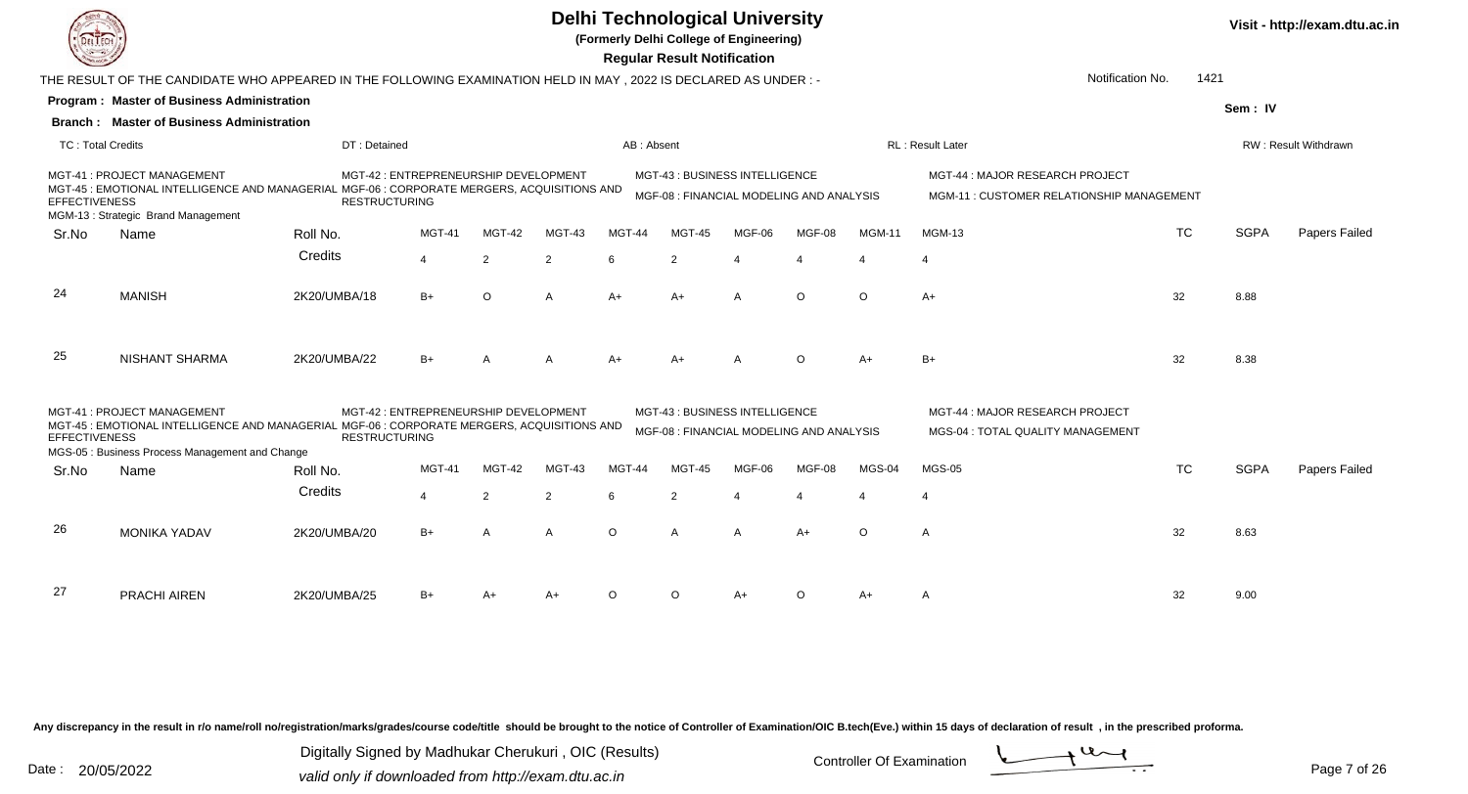**(Formerly Delhi College of Engineering)**

 **Regular Result Notification**

|                      |                                                                                                                                                                                                                                                                                                                                                                                                                                                                                                                                                                                                                                                                                                                                                                                                                                                                                                                                                                              |              | Notification No.<br>1421 |               |                |            |                                                                           |        |                       |               |                                                                              |           |             |                      |
|----------------------|------------------------------------------------------------------------------------------------------------------------------------------------------------------------------------------------------------------------------------------------------------------------------------------------------------------------------------------------------------------------------------------------------------------------------------------------------------------------------------------------------------------------------------------------------------------------------------------------------------------------------------------------------------------------------------------------------------------------------------------------------------------------------------------------------------------------------------------------------------------------------------------------------------------------------------------------------------------------------|--------------|--------------------------|---------------|----------------|------------|---------------------------------------------------------------------------|--------|-----------------------|---------------|------------------------------------------------------------------------------|-----------|-------------|----------------------|
|                      |                                                                                                                                                                                                                                                                                                                                                                                                                                                                                                                                                                                                                                                                                                                                                                                                                                                                                                                                                                              |              |                          |               |                |            |                                                                           |        |                       |               |                                                                              |           | Sem: IV     |                      |
|                      |                                                                                                                                                                                                                                                                                                                                                                                                                                                                                                                                                                                                                                                                                                                                                                                                                                                                                                                                                                              |              |                          |               |                |            |                                                                           |        |                       |               |                                                                              |           |             |                      |
|                      |                                                                                                                                                                                                                                                                                                                                                                                                                                                                                                                                                                                                                                                                                                                                                                                                                                                                                                                                                                              |              |                          |               |                | AB: Absent |                                                                           |        |                       |               | RL: Result Later                                                             |           |             | RW: Result Withdrawn |
| <b>EFFECTIVENESS</b> | THE RESULT OF THE CANDIDATE WHO APPEARED IN THE FOLLOWING EXAMINATION HELD IN MAY, 2022 IS DECLARED AS UNDER :-<br><b>Program: Master of Business Administration</b><br><b>Branch: Master of Business Administration</b><br>TC: Total Credits<br>DT: Detained<br>MGT-41 : PROJECT MANAGEMENT<br>MGT-42 : ENTREPRENEURSHIP DEVELOPMENT<br>MGT-45 : EMOTIONAL INTELLIGENCE AND MANAGERIAL MGF-06 : CORPORATE MERGERS, ACQUISITIONS AND<br><b>RESTRUCTURING</b><br>MGM-13 : Strategic Brand Management<br>MGT-41<br>Roll No.<br>Name<br>Credits<br>4<br>2<br><b>MANISH</b><br>2K20/UMBA/18<br>$B+$<br>$\circ$<br><b>NISHANT SHARMA</b><br>2K20/UMBA/22<br>$B+$<br>MGT-41: PROJECT MANAGEMENT<br>MGT-42 : ENTREPRENEURSHIP DEVELOPMENT<br>MGT-45 : EMOTIONAL INTELLIGENCE AND MANAGERIAL MGF-06 : CORPORATE MERGERS, ACQUISITIONS AND<br><b>RESTRUCTURING</b><br>MGS-05 : Business Process Management and Change<br>MGT-41<br>Roll No.<br>Name<br>Credits<br>$\overline{4}$<br>2 |              |                          |               |                |            | MGT-43: BUSINESS INTELLIGENCE<br>MGF-08 : FINANCIAL MODELING AND ANALYSIS |        |                       |               | MGT-44 : MAJOR RESEARCH PROJECT<br>MGM-11 : CUSTOMER RELATIONSHIP MANAGEMENT |           |             |                      |
| Sr.No                |                                                                                                                                                                                                                                                                                                                                                                                                                                                                                                                                                                                                                                                                                                                                                                                                                                                                                                                                                                              |              |                          | <b>MGT-42</b> | MGT-43         | MGT-44     | <b>MGT-45</b>                                                             | MGF-06 | MGF-08                | <b>MGM-11</b> | <b>MGM-13</b>                                                                | <b>TC</b> | <b>SGPA</b> | Papers Failed        |
|                      |                                                                                                                                                                                                                                                                                                                                                                                                                                                                                                                                                                                                                                                                                                                                                                                                                                                                                                                                                                              |              |                          |               | 2              | 6          | 2                                                                         |        | $\boldsymbol{\Delta}$ |               | $\overline{4}$                                                               |           |             |                      |
| 24                   |                                                                                                                                                                                                                                                                                                                                                                                                                                                                                                                                                                                                                                                                                                                                                                                                                                                                                                                                                                              |              |                          |               | $\mathsf{A}$   | $A+$       | $A+$                                                                      | A      | $\circ$               | $\circ$       | $A+$                                                                         | 32        | 8.88        |                      |
| 25                   |                                                                                                                                                                                                                                                                                                                                                                                                                                                                                                                                                                                                                                                                                                                                                                                                                                                                                                                                                                              |              |                          |               |                |            |                                                                           |        | $\circ$               | A+            | $B+$                                                                         | 32        | 8.38        |                      |
| <b>EFFECTIVENESS</b> |                                                                                                                                                                                                                                                                                                                                                                                                                                                                                                                                                                                                                                                                                                                                                                                                                                                                                                                                                                              |              |                          |               |                |            | MGT-43: BUSINESS INTELLIGENCE<br>MGF-08 : FINANCIAL MODELING AND ANALYSIS |        |                       |               | MGT-44 : MAJOR RESEARCH PROJECT<br>MGS-04 : TOTAL QUALITY MANAGEMENT         |           |             |                      |
| Sr.No                |                                                                                                                                                                                                                                                                                                                                                                                                                                                                                                                                                                                                                                                                                                                                                                                                                                                                                                                                                                              |              |                          | MGT-42        | MGT-43         | MGT-44     | MGT-45                                                                    | MGF-06 | MGF-08                | MGS-04        | <b>MGS-05</b>                                                                | <b>TC</b> | <b>SGPA</b> | Papers Failed        |
|                      |                                                                                                                                                                                                                                                                                                                                                                                                                                                                                                                                                                                                                                                                                                                                                                                                                                                                                                                                                                              |              |                          |               | $\overline{2}$ | 6          | 2                                                                         |        | $\boldsymbol{\Delta}$ |               | 4                                                                            |           |             |                      |
| 26                   | <b>MONIKA YADAV</b>                                                                                                                                                                                                                                                                                                                                                                                                                                                                                                                                                                                                                                                                                                                                                                                                                                                                                                                                                          | 2K20/UMBA/20 | $B+$                     | A             | A              | $\circ$    | $\mathsf{A}$                                                              | A      | $A+$                  | $\Omega$      | $\mathsf{A}$                                                                 | 32        | 8.63        |                      |
| 27                   | <b>PRACHI AIREN</b>                                                                                                                                                                                                                                                                                                                                                                                                                                                                                                                                                                                                                                                                                                                                                                                                                                                                                                                                                          | 2K20/UMBA/25 | $B+$                     |               | A+             | ∩          | ∩                                                                         |        | $\circ$               | A+            | A                                                                            | 32        | 9.00        |                      |

Any discrepancy in the result in r/o name/roll no/registration/marks/grades/course code/title should be brought to the notice of Controller of Examination/OIC B.tech(Eve.) within 15 days of declaration of result, in the pr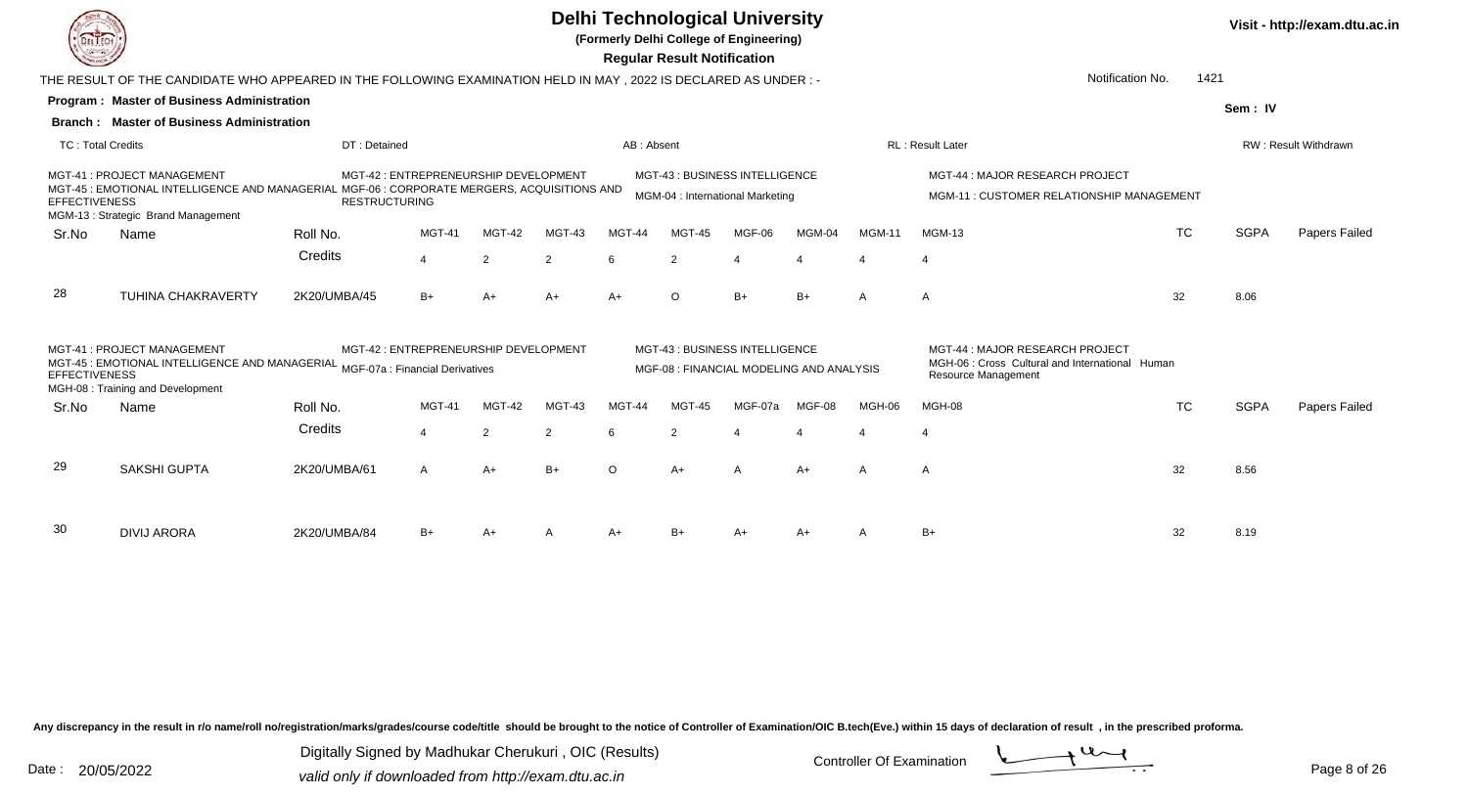

**(Formerly Delhi College of Engineering)**

 **Regular Result Notification**

|                          | THE RESULT OF THE CANDIDATE WHO APPEARED IN THE FOLLOWING EXAMINATION HELD IN MAY , 2022 IS DECLARED AS UNDER :-                                                |                      |                                       |                |                |            | Notification No.<br>1421                                                  |         |        |               |                                                                                                                  |           |             |                      |
|--------------------------|-----------------------------------------------------------------------------------------------------------------------------------------------------------------|----------------------|---------------------------------------|----------------|----------------|------------|---------------------------------------------------------------------------|---------|--------|---------------|------------------------------------------------------------------------------------------------------------------|-----------|-------------|----------------------|
|                          | <b>Program: Master of Business Administration</b>                                                                                                               |                      |                                       |                |                |            |                                                                           |         |        |               |                                                                                                                  |           | Sem: IV     |                      |
|                          | <b>Branch: Master of Business Administration</b>                                                                                                                |                      |                                       |                |                |            |                                                                           |         |        |               |                                                                                                                  |           |             |                      |
| <b>TC: Total Credits</b> |                                                                                                                                                                 | DT: Detained         |                                       |                |                | AB: Absent |                                                                           |         |        |               | <b>RL: Result Later</b>                                                                                          |           |             | RW: Result Withdrawn |
| <b>EFFECTIVENESS</b>     | MGT-41: PROJECT MANAGEMENT<br>MGT-45 : EMOTIONAL INTELLIGENCE AND MANAGERIAL MGF-06 : CORPORATE MERGERS, ACQUISITIONS AND<br>MGM-13: Strategic Brand Management | <b>RESTRUCTURING</b> | MGT-42 : ENTREPRENEURSHIP DEVELOPMENT |                |                |            | MGT-43: BUSINESS INTELLIGENCE<br>MGM-04 : International Marketing         |         |        |               | MGT-44 : MAJOR RESEARCH PROJECT<br>MGM-11 : CUSTOMER RELATIONSHIP MANAGEMENT                                     |           |             |                      |
| Sr.No                    | Name                                                                                                                                                            | Roll No.             | <b>MGT-41</b>                         | <b>MGT-42</b>  | MGT-43         | MGT-44     | MGT-45                                                                    | MGF-06  | MGM-04 | <b>MGM-11</b> | <b>MGM-13</b>                                                                                                    | <b>TC</b> | <b>SGPA</b> | Papers Failed        |
|                          |                                                                                                                                                                 | Credits              | $\overline{4}$                        | $\overline{2}$ | 2              | 6          | 2                                                                         |         |        |               | $\overline{4}$                                                                                                   |           |             |                      |
| 28                       | <b>TUHINA CHAKRAVERTY</b>                                                                                                                                       | 2K20/UMBA/45         | $B+$                                  | A+             | $A+$           | $A+$       | $\circ$                                                                   | $B+$    | $B+$   | A             | A                                                                                                                | 32        | 8.06        |                      |
| <b>EFFECTIVENESS</b>     | MGT-41: PROJECT MANAGEMENT<br>MGT-45: EMOTIONAL INTELLIGENCE AND MANAGERIAL MGF-07a: Financial Derivatives<br>MGH-08: Training and Development                  |                      | MGT-42 : ENTREPRENEURSHIP DEVELOPMENT |                |                |            | MGT-43: BUSINESS INTELLIGENCE<br>MGF-08 : FINANCIAL MODELING AND ANALYSIS |         |        |               | MGT-44 : MAJOR RESEARCH PROJECT<br>MGH-06 : Cross Cultural and International Human<br><b>Resource Management</b> |           |             |                      |
| Sr.No                    | Name                                                                                                                                                            | Roll No.             | MGT-41                                | MGT-42         | MGT-43         | MGT-44     | <b>MGT-45</b>                                                             | MGF-07a | MGF-08 | MGH-06        | MGH-08                                                                                                           | <b>TC</b> | <b>SGPA</b> | Papers Failed        |
|                          |                                                                                                                                                                 | Credits              | $\boldsymbol{\Delta}$                 | $\overline{2}$ | $\overline{2}$ | 6          | 2                                                                         |         |        |               |                                                                                                                  |           |             |                      |
| 29                       | <b>SAKSHI GUPTA</b>                                                                                                                                             | 2K20/UMBA/61         | A                                     | $A+$           | $B+$           | $\Omega$   | $A+$                                                                      |         | $A+$   | A             | A                                                                                                                | 32        | 8.56        |                      |
| 30                       | <b>DIVIJ ARORA</b>                                                                                                                                              | 2K20/UMBA/84         | B+                                    | A+             |                | A+         | $B+$                                                                      |         | $A+$   |               | $B+$                                                                                                             | 32        | 8.19        |                      |

Any discrepancy in the result in r/o name/roll no/registration/marks/grades/course code/title should be brought to the notice of Controller of Examination/OIC B.tech(Eve.) within 15 days of declaration of result, in the pr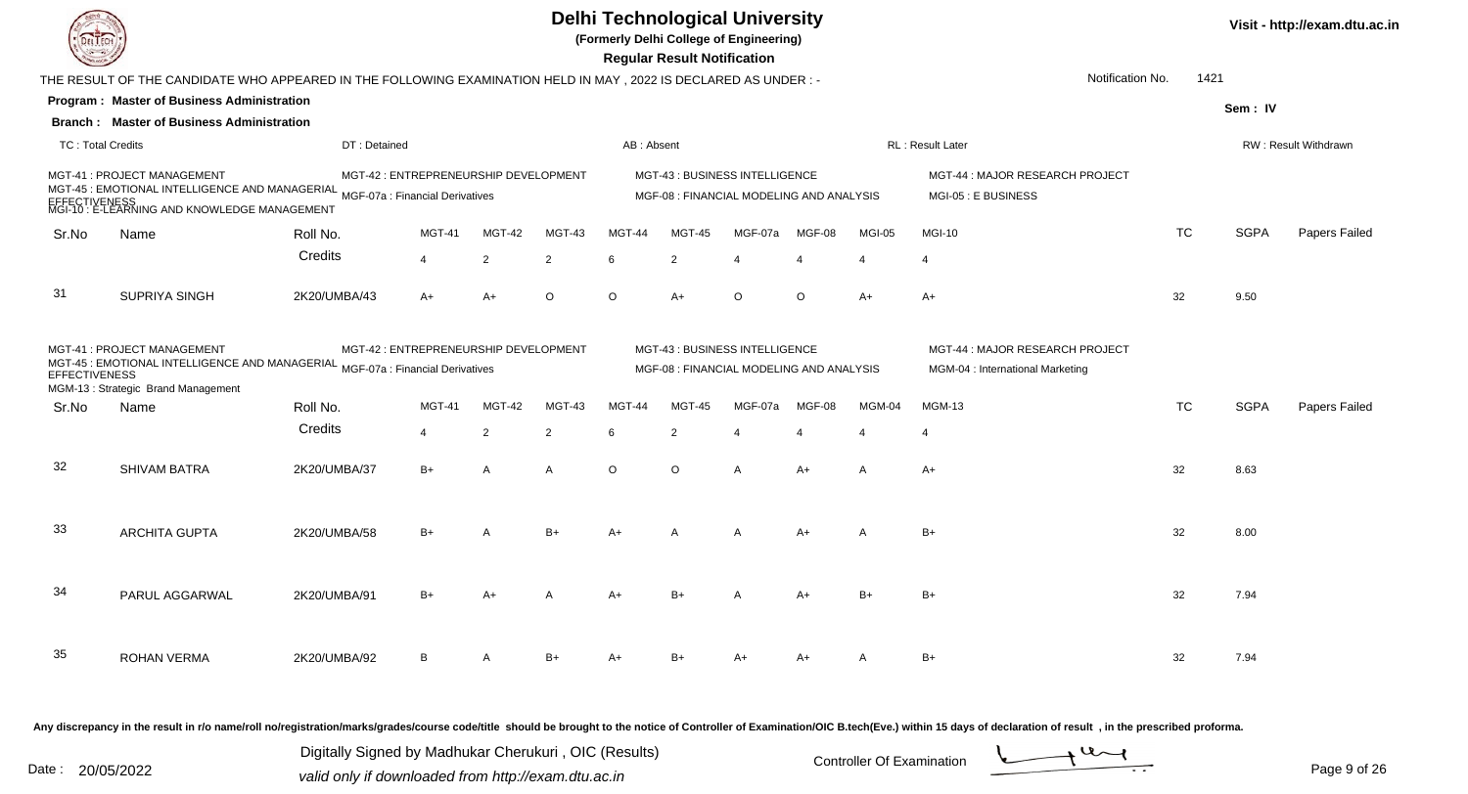

**(Formerly Delhi College of Engineering)**

 **Regular Result Notification**

| $\sim$                                                                                                                                                                                                                     |                                                                                                                  |              |                                       |                |                |            | n <del>c</del> yular n <del>c</del> sult notification                      |         |         |              |                                                                     |           |             |                      |
|----------------------------------------------------------------------------------------------------------------------------------------------------------------------------------------------------------------------------|------------------------------------------------------------------------------------------------------------------|--------------|---------------------------------------|----------------|----------------|------------|----------------------------------------------------------------------------|---------|---------|--------------|---------------------------------------------------------------------|-----------|-------------|----------------------|
|                                                                                                                                                                                                                            | THE RESULT OF THE CANDIDATE WHO APPEARED IN THE FOLLOWING EXAMINATION HELD IN MAY , 2022 IS DECLARED AS UNDER :- |              |                                       |                |                |            |                                                                            |         |         |              | Notification No.                                                    | 1421      |             |                      |
|                                                                                                                                                                                                                            | <b>Program: Master of Business Administration</b>                                                                |              |                                       |                |                |            |                                                                            |         |         |              |                                                                     |           | Sem: IV     |                      |
|                                                                                                                                                                                                                            | <b>Branch: Master of Business Administration</b>                                                                 |              |                                       |                |                |            |                                                                            |         |         |              |                                                                     |           |             |                      |
| <b>TC: Total Credits</b>                                                                                                                                                                                                   |                                                                                                                  | DT: Detained |                                       |                |                | AB: Absent |                                                                            |         |         |              | RL: Result Later                                                    |           |             | RW: Result Withdrawn |
|                                                                                                                                                                                                                            | MGT-41 : PROJECT MANAGEMENT<br>EFFECTIVENESS<br>MGI-10 : E-LEARNING AND KNOWLEDGE MANAGEMENT                     |              | MGT-42 : ENTREPRENEURSHIP DEVELOPMENT |                |                |            | MGT-43 : BUSINESS INTELLIGENCE<br>MGF-08 : FINANCIAL MODELING AND ANALYSIS |         |         |              | MGT-44 : MAJOR RESEARCH PROJECT<br>MGI-05 : E BUSINESS              |           |             |                      |
| Sr.No                                                                                                                                                                                                                      | Name                                                                                                             | Roll No.     | MGT-41                                | MGT-42         | MGT-43         | MGT-44     | MGT-45                                                                     | MGF-07a | MGF-08  | MGI-05       | <b>MGI-10</b>                                                       | TC        | <b>SGPA</b> | Papers Failed        |
|                                                                                                                                                                                                                            |                                                                                                                  | Credits      | 4                                     | $\overline{2}$ | $\overline{2}$ | 6          | $\overline{2}$                                                             |         |         |              | $\overline{4}$                                                      |           |             |                      |
| -31                                                                                                                                                                                                                        | SUPRIYA SINGH                                                                                                    | 2K20/UMBA/43 | $A+$                                  | $A+$           | $\circ$        | $\circ$    | $A+$                                                                       | $\circ$ | $\circ$ | $A+$         | $A+$                                                                | 32        | 9.50        |                      |
| MGT-41 : PROJECT MANAGEMENT<br>MGT-42 : ENTREPRENEURSHIP DEVELOPMENT<br>MC:<br>MGT-45: EMOTIONAL INTELLIGENCE AND MANAGERIAL MGF-07a : Financial Derivatives<br><b>EFFECTIVENESS</b><br>MGM-13: Strategic Brand Management |                                                                                                                  |              |                                       |                |                |            | MGT-43 : BUSINESS INTELLIGENCE<br>MGF-08 : FINANCIAL MODELING AND ANALYSIS |         |         |              | MGT-44 : MAJOR RESEARCH PROJECT<br>MGM-04 : International Marketing |           |             |                      |
| Sr.No                                                                                                                                                                                                                      | Name                                                                                                             | Roll No.     | <b>MGT-41</b>                         | MGT-42         | MGT-43         | MGT-44     | MGT-45                                                                     | MGF-07a | MGF-08  | MGM-04       | <b>MGM-13</b>                                                       | <b>TC</b> | <b>SGPA</b> | Papers Failed        |
|                                                                                                                                                                                                                            |                                                                                                                  | Credits      | 4                                     | 2              | 2              | 6          | $\overline{2}$                                                             |         |         |              | $\overline{4}$                                                      |           |             |                      |
| 32                                                                                                                                                                                                                         | <b>SHIVAM BATRA</b>                                                                                              | 2K20/UMBA/37 | $B+$                                  | $\mathsf{A}$   | $\overline{A}$ | $\circ$    | $\circ$                                                                    | A       | $A+$    | $\mathsf{A}$ | $A+$                                                                | 32        | 8.63        |                      |
| 33                                                                                                                                                                                                                         | <b>ARCHITA GUPTA</b>                                                                                             | 2K20/UMBA/58 | $B+$                                  | А              | $B+$           | $A+$       |                                                                            |         | A+      | A            | $B+$                                                                | 32        | 8.00        |                      |
| 34                                                                                                                                                                                                                         | PARUL AGGARWAL                                                                                                   | 2K20/UMBA/91 | $B+$                                  | A+             |                | A+         | $B+$                                                                       |         | A+      | $B+$         | $B+$                                                                | 32        | 7.94        |                      |
| 35                                                                                                                                                                                                                         | <b>ROHAN VERMA</b>                                                                                               | 2K20/UMBA/92 | B                                     |                | $B+$           | A+         | $B+$                                                                       |         | A+      |              | $B+$                                                                | 32        | 7.94        |                      |

Any discrepancy in the result in r/o name/roll no/registration/marks/grades/course code/title should be brought to the notice of Controller of Examination/OIC B.tech(Eve.) within 15 days of declaration of result, in the pr

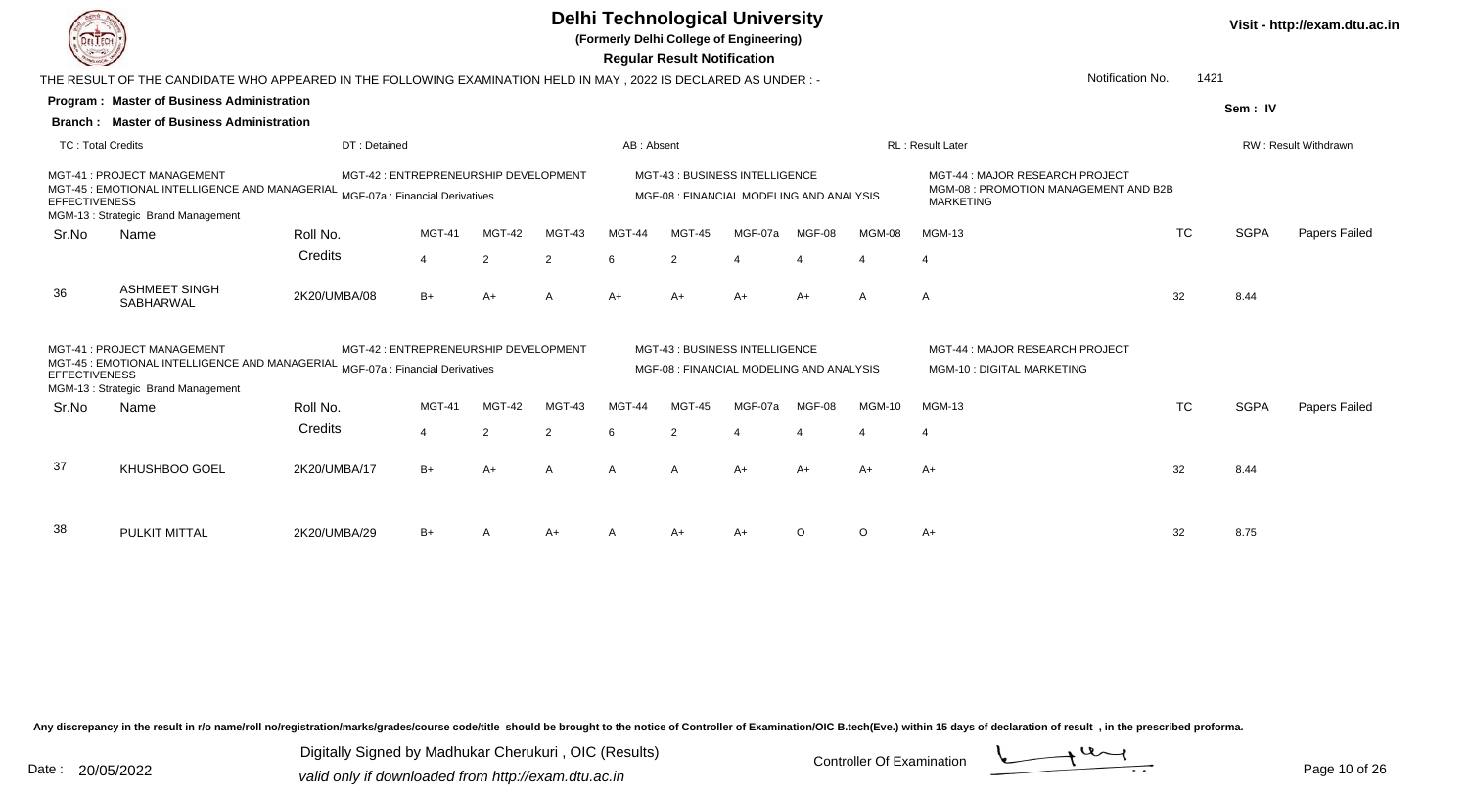**(Formerly Delhi College of Engineering)**

 **Regular Result Notification**

| <b>Courses A</b>         |                                                                                                                                                    |                                       |                |               |        |            | Regular Result Notification                                               |                |                |                          |                                                                                             |           |             |                      |
|--------------------------|----------------------------------------------------------------------------------------------------------------------------------------------------|---------------------------------------|----------------|---------------|--------|------------|---------------------------------------------------------------------------|----------------|----------------|--------------------------|---------------------------------------------------------------------------------------------|-----------|-------------|----------------------|
|                          | THE RESULT OF THE CANDIDATE WHO APPEARED IN THE FOLLOWING EXAMINATION HELD IN MAY , 2022 IS DECLARED AS UNDER :-                                   |                                       |                |               |        |            |                                                                           |                |                |                          | Notification No.                                                                            | 1421      |             |                      |
|                          | <b>Program: Master of Business Administration</b>                                                                                                  |                                       |                |               |        |            |                                                                           |                |                |                          |                                                                                             |           | Sem: IV     |                      |
|                          | <b>Branch: Master of Business Administration</b>                                                                                                   |                                       |                |               |        |            |                                                                           |                |                |                          |                                                                                             |           |             |                      |
| <b>TC: Total Credits</b> |                                                                                                                                                    | DT: Detained                          |                |               |        | AB: Absent |                                                                           |                |                |                          | <b>RL: Result Later</b>                                                                     |           |             | RW: Result Withdrawn |
| <b>EFFECTIVENESS</b>     | MGT-41: PROJECT MANAGEMENT<br>MGT-45 : EMOTIONAL INTELLIGENCE AND MANAGERIAL MGF-07a : Financial Derivatives<br>MGM-13: Strategic Brand Management | MGT-42 : ENTREPRENEURSHIP DEVELOPMENT |                |               |        |            | MGT-43: BUSINESS INTELLIGENCE<br>MGF-08 : FINANCIAL MODELING AND ANALYSIS |                |                |                          | MGT-44 : MAJOR RESEARCH PROJECT<br>MGM-08: PROMOTION MANAGEMENT AND B2B<br><b>MARKETING</b> |           |             |                      |
| Sr.No                    | Name                                                                                                                                               | Roll No.                              | <b>MGT-41</b>  | <b>MGT-42</b> | MGT-43 | MGT-44     | <b>MGT-45</b>                                                             | MGF-07a        | MGF-08         | <b>MGM-08</b>            | <b>MGM-13</b>                                                                               | <b>TC</b> | <b>SGPA</b> | Papers Failed        |
|                          |                                                                                                                                                    | Credits                               | $\overline{4}$ | 2             | 2      | 6          | 2                                                                         | $\overline{4}$ | $\overline{4}$ | $\overline{\mathcal{L}}$ | $\overline{4}$                                                                              |           |             |                      |
| 36                       | <b>ASHMEET SINGH</b><br>SABHARWAL                                                                                                                  | 2K20/UMBA/08                          | $B+$           | $A+$          | A      | $A+$       | $A+$                                                                      | A+             | A+             | A                        | A                                                                                           | 32        | 8.44        |                      |
| <b>EFFECTIVENESS</b>     | MGT-41: PROJECT MANAGEMENT<br>MGT-45 : EMOTIONAL INTELLIGENCE AND MANAGERIAL MGF-07a : Financial Derivatives<br>MGM-13: Strategic Brand Management | MGT-42 : ENTREPRENEURSHIP DEVELOPMENT |                |               |        |            | MGT-43: BUSINESS INTELLIGENCE<br>MGF-08 : FINANCIAL MODELING AND ANALYSIS |                |                |                          | MGT-44: MAJOR RESEARCH PROJECT<br>MGM-10 : DIGITAL MARKETING                                |           |             |                      |
| Sr.No                    | Name                                                                                                                                               | Roll No.                              | MGT-41         | MGT-42        | MGT-43 | MGT-44     | MGT-45                                                                    | MGF-07a        | MGF-08         | <b>MGM-10</b>            | <b>MGM-13</b>                                                                               | <b>TC</b> | <b>SGPA</b> | Papers Failed        |
|                          |                                                                                                                                                    | Credits                               | $\overline{4}$ | 2             | 2      | 6          | 2                                                                         |                |                |                          | $\overline{4}$                                                                              |           |             |                      |
| 37                       | KHUSHBOO GOEL                                                                                                                                      | 2K20/UMBA/17                          | $B+$           | A+            | A      | A          | A                                                                         | A+             | A+             | A+                       | A+                                                                                          | 32        | 8.44        |                      |
| 38                       | <b>PULKIT MITTAL</b>                                                                                                                               | 2K20/UMBA/29                          | $B+$           |               | $A+$   |            | A+                                                                        | A+             | $\circ$        | $\circ$                  | A+                                                                                          | 32        | 8.75        |                      |

Any discrepancy in the result in r/o name/roll no/registration/marks/grades/course code/title should be brought to the notice of Controller of Examination/OIC B.tech(Eve.) within 15 days of declaration of result, in the pr

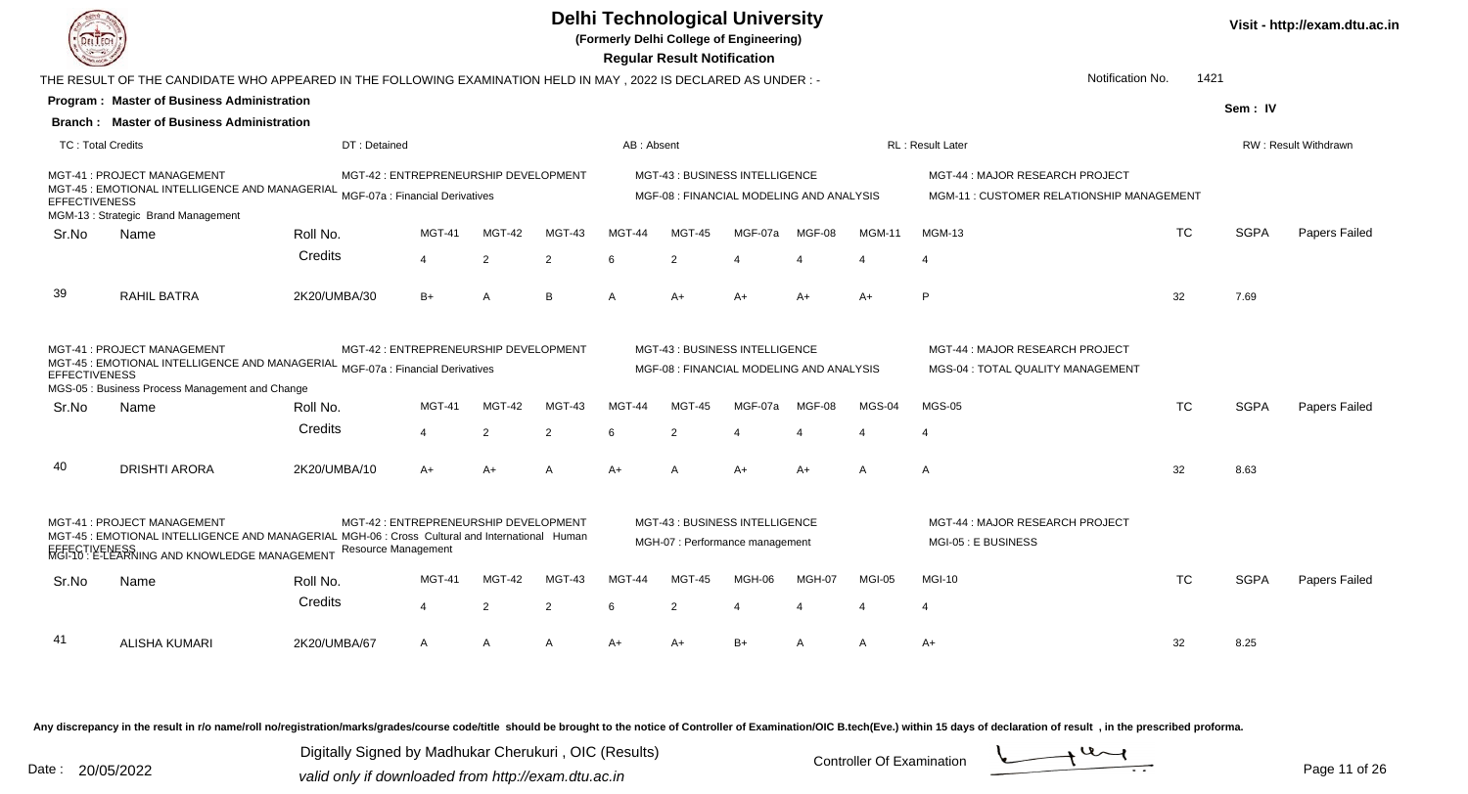

**(Formerly Delhi College of Engineering)**

 **Regular Result Notification**

|                          | THE RESULT OF THE CANDIDATE WHO APPEARED IN THE FOLLOWING EXAMINATION HELD IN MAY , 2022 IS DECLARED AS UNDER :-                                                                 |                            |                                       |                |                |            |                                                                            |         |        |               | Notification No.                                                             | 1421      |             |                      |
|--------------------------|----------------------------------------------------------------------------------------------------------------------------------------------------------------------------------|----------------------------|---------------------------------------|----------------|----------------|------------|----------------------------------------------------------------------------|---------|--------|---------------|------------------------------------------------------------------------------|-----------|-------------|----------------------|
|                          | <b>Program: Master of Business Administration</b>                                                                                                                                |                            |                                       |                |                |            |                                                                            |         |        |               |                                                                              |           | Sem: IV     |                      |
|                          | <b>Branch: Master of Business Administration</b>                                                                                                                                 |                            |                                       |                |                |            |                                                                            |         |        |               |                                                                              |           |             |                      |
| <b>TC: Total Credits</b> |                                                                                                                                                                                  | DT: Detained               |                                       |                |                | AB: Absent |                                                                            |         |        |               | <b>RL: Result Later</b>                                                      |           |             | RW: Result Withdrawn |
| <b>EFFECTIVENESS</b>     | MGT-41 : PROJECT MANAGEMENT<br>MCT-45: EMOTIONAL INTELLIGENCE AND MANAGERIAL MGF-07a : Financial Derivatives<br>MGM-13 : Strategic Brand Management                              |                            | MGT-42 : ENTREPRENEURSHIP DEVELOPMENT |                |                |            | MGT-43 : BUSINESS INTELLIGENCE<br>MGF-08 : FINANCIAL MODELING AND ANALYSIS |         |        |               | MGT-44 : MAJOR RESEARCH PROJECT<br>MGM-11 : CUSTOMER RELATIONSHIP MANAGEMENT |           |             |                      |
| Sr.No                    | Name                                                                                                                                                                             | Roll No.                   | <b>MGT-41</b>                         | MGT-42         | MGT-43         | MGT-44     | <b>MGT-45</b>                                                              | MGF-07a | MGF-08 | <b>MGM-11</b> | <b>MGM-13</b>                                                                | <b>TC</b> | <b>SGPA</b> | Papers Failed        |
|                          |                                                                                                                                                                                  | Credits                    | $\overline{4}$                        | $\overline{2}$ | $\overline{2}$ | 6          | 2                                                                          |         |        |               |                                                                              |           |             |                      |
| 39                       | RAHIL BATRA                                                                                                                                                                      | 2K20/UMBA/30               | $B+$                                  | A              | B              | A          | $A+$                                                                       | $A+$    | $A+$   | $A+$          | P                                                                            | 32        | 7.69        |                      |
| <b>EFFECTIVENESS</b>     | MGT-41 : PROJECT MANAGEMENT<br>MGT-45 : EMOTIONAL INTELLIGENCE AND MANAGERIAL MGF-07a : Financial Derivatives<br>MGS-05 : Business Process Management and Change                 |                            | MGT-42 : ENTREPRENEURSHIP DEVELOPMENT |                |                |            | MGT-43: BUSINESS INTELLIGENCE<br>MGF-08 : FINANCIAL MODELING AND ANALYSIS  |         |        |               | MGT-44 : MAJOR RESEARCH PROJECT<br>MGS-04 : TOTAL QUALITY MANAGEMENT         |           |             |                      |
| Sr.No                    | Name                                                                                                                                                                             | Roll No.                   | <b>MGT-41</b>                         | MGT-42         | MGT-43         | MGT-44     | <b>MGT-45</b>                                                              | MGF-07a | MGF-08 | MGS-04        | <b>MGS-05</b>                                                                | <b>TC</b> | <b>SGPA</b> | Papers Failed        |
|                          |                                                                                                                                                                                  | Credits                    | $\overline{4}$                        | $\overline{2}$ | $\overline{2}$ |            | 2                                                                          |         |        |               |                                                                              |           |             |                      |
| 40                       | <b>DRISHTI ARORA</b>                                                                                                                                                             | 2K20/UMBA/10               | $A+$                                  | $A+$           | $\overline{A}$ | $A+$       | A                                                                          | $A+$    | $A+$   | A             | $\mathsf{A}$                                                                 | 32        | 8.63        |                      |
|                          | MGT-41: PROJECT MANAGEMENT<br>MGT-45 : EMOTIONAL INTELLIGENCE AND MANAGERIAL MGH-06 : Cross Cultural and International Human<br>ΓIVENESS<br>∶E-LEARNING AND KNOWLEDGE MANAGEMENT | <b>Resource Management</b> | MGT-42 : ENTREPRENEURSHIP DEVELOPMENT |                |                |            | MGT-43 : BUSINESS INTELLIGENCE<br>MGH-07 : Performance management          |         |        |               | MGT-44 : MAJOR RESEARCH PROJECT<br>MGI-05 : E BUSINESS                       |           |             |                      |
| Sr.No                    | Name                                                                                                                                                                             | Roll No.                   | <b>MGT-41</b>                         | MGT-42         | MGT-43         | MGT-44     | <b>MGT-45</b>                                                              | MGH-06  | MGH-07 | MGI-05        | <b>MGI-10</b>                                                                | <b>TC</b> | <b>SGPA</b> | Papers Failed        |
|                          |                                                                                                                                                                                  | Credits                    | $\overline{4}$                        | 2              | 2              | 6          | 2                                                                          |         |        |               | 4                                                                            |           |             |                      |
| 41                       | <b>ALISHA KUMARI</b>                                                                                                                                                             | 2K20/UMBA/67               | A                                     | A              | A              | A+         | A+                                                                         | B+      | A      | A             | A+                                                                           | 32        | 8.25        |                      |

Any discrepancy in the result in r/o name/roll no/registration/marks/grades/course code/title should be brought to the notice of Controller of Examination/OIC B.tech(Eve.) within 15 days of declaration of result, in the pr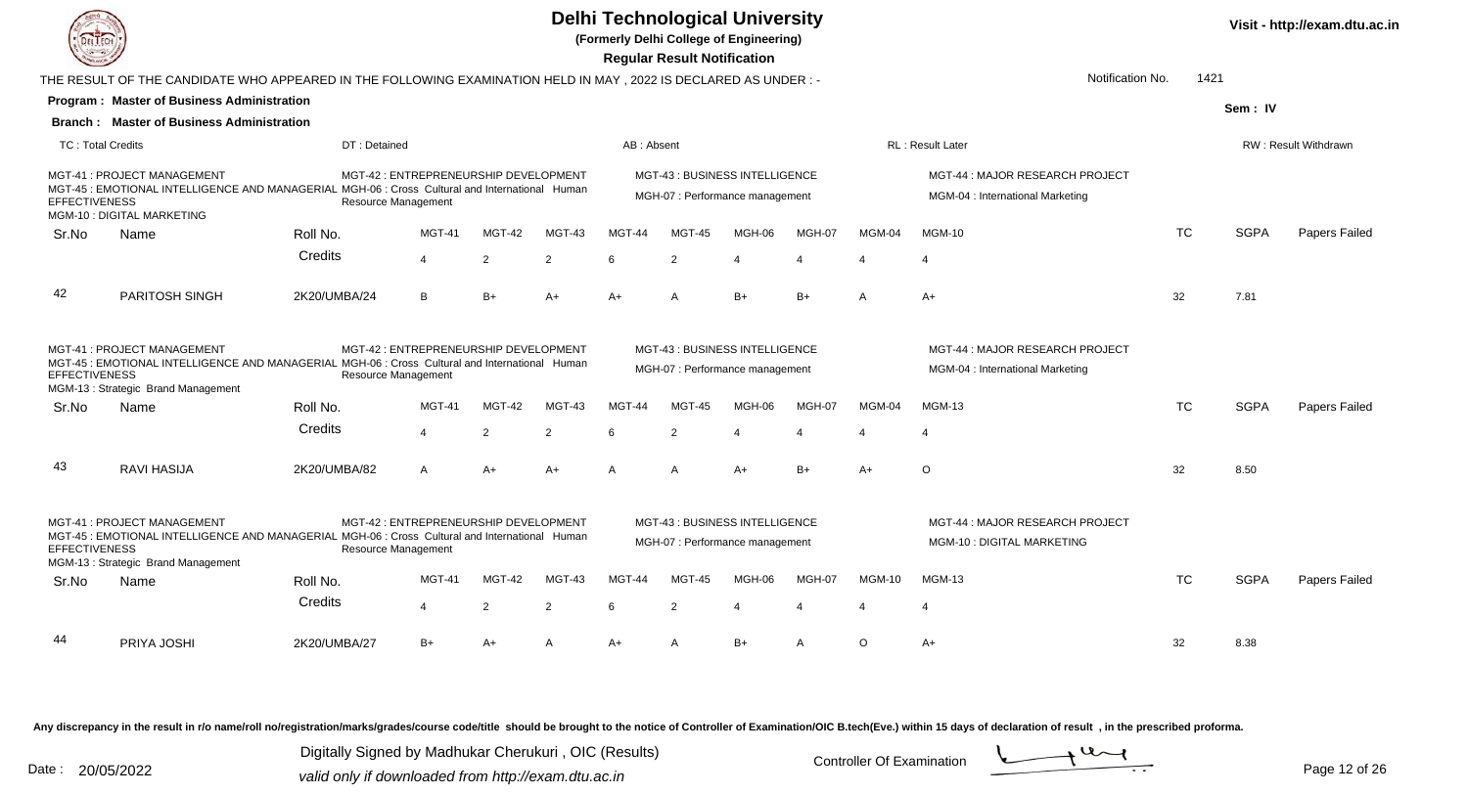

**(Formerly Delhi College of Engineering)**

 **Regular Result Notification**

|                          |                                                                                                                                                                    |                            |                                       |               |        |            | Regular Result Notification                                       |               |                          |                          |                                                                     |           |             |                      |
|--------------------------|--------------------------------------------------------------------------------------------------------------------------------------------------------------------|----------------------------|---------------------------------------|---------------|--------|------------|-------------------------------------------------------------------|---------------|--------------------------|--------------------------|---------------------------------------------------------------------|-----------|-------------|----------------------|
|                          | THE RESULT OF THE CANDIDATE WHO APPEARED IN THE FOLLOWING EXAMINATION HELD IN MAY , 2022 IS DECLARED AS UNDER :-                                                   |                            |                                       |               |        |            |                                                                   |               |                          |                          | Notification No.                                                    | 1421      |             |                      |
|                          | <b>Program: Master of Business Administration</b>                                                                                                                  |                            |                                       |               |        |            |                                                                   |               |                          |                          |                                                                     |           | Sem: IV     |                      |
|                          | <b>Branch: Master of Business Administration</b>                                                                                                                   |                            |                                       |               |        |            |                                                                   |               |                          |                          |                                                                     |           |             |                      |
| <b>TC: Total Credits</b> |                                                                                                                                                                    | DT: Detained               |                                       |               |        | AB: Absent |                                                                   |               |                          |                          | <b>RL</b> : Result Later                                            |           |             | RW: Result Withdrawn |
| <b>EFFECTIVENESS</b>     | MGT-41: PROJECT MANAGEMENT<br>MGT-45 : EMOTIONAL INTELLIGENCE AND MANAGERIAL MGH-06 : Cross Cultural and International Human<br>MGM-10: DIGITAL MARKETING          | <b>Resource Management</b> | MGT-42 : ENTREPRENEURSHIP DEVELOPMENT |               |        |            | MGT-43 : BUSINESS INTELLIGENCE<br>MGH-07 : Performance management |               |                          |                          | MGT-44 : MAJOR RESEARCH PROJECT<br>MGM-04 : International Marketing |           |             |                      |
| Sr.No                    | Name                                                                                                                                                               | Roll No.                   | <b>MGT-41</b>                         | <b>MGT-42</b> | MGT-43 | MGT-44     | <b>MGT-45</b>                                                     | MGH-06        | MGH-07                   | MGM-04                   | <b>MGM-10</b>                                                       | <b>TC</b> | <b>SGPA</b> | Papers Failed        |
|                          |                                                                                                                                                                    | Credits                    | $\overline{4}$                        | 2             | 2      | 6          | 2                                                                 | $\Delta$      | $\boldsymbol{\Delta}$    | $\boldsymbol{\varDelta}$ | 4                                                                   |           |             |                      |
| 42                       | PARITOSH SINGH                                                                                                                                                     | 2K20/UMBA/24               | B                                     | $B+$          | $A+$   | $A+$       | A                                                                 | $B+$          | $B+$                     | A                        | $A+$                                                                | 32        | 7.81        |                      |
| <b>EFFECTIVENESS</b>     | MGT-41: PROJECT MANAGEMENT<br>MGT-45 : EMOTIONAL INTELLIGENCE AND MANAGERIAL MGH-06 : Cross Cultural and International Human<br>MGM-13: Strategic Brand Management | <b>Resource Management</b> | MGT-42 : ENTREPRENEURSHIP DEVELOPMENT |               |        |            | MGT-43 : BUSINESS INTELLIGENCE<br>MGH-07 : Performance management |               |                          |                          | MGT-44 : MAJOR RESEARCH PROJECT<br>MGM-04 : International Marketing |           |             |                      |
| Sr.No                    | Name                                                                                                                                                               | Roll No.                   | <b>MGT-41</b>                         | <b>MGT-42</b> | MGT-43 | MGT-44     | <b>MGT-45</b>                                                     | <b>MGH-06</b> | MGH-07                   | MGM-04                   | <b>MGM-13</b>                                                       | <b>TC</b> | <b>SGPA</b> | Papers Failed        |
|                          |                                                                                                                                                                    | Credits                    | $\overline{4}$                        | 2             | 2      | 6          | 2                                                                 | $\Delta$      | $\boldsymbol{\varDelta}$ | $\boldsymbol{\varDelta}$ | 4                                                                   |           |             |                      |
| 43                       | <b>RAVI HASIJA</b>                                                                                                                                                 | 2K20/UMBA/82               | A                                     | $A+$          | $A+$   | A          | A                                                                 | A+            | $B+$                     | A+                       | O                                                                   | 32        | 8.50        |                      |
| <b>EFFECTIVENESS</b>     | MGT-41: PROJECT MANAGEMENT<br>MGT-45 : EMOTIONAL INTELLIGENCE AND MANAGERIAL MGH-06 : Cross Cultural and International Human<br>MGM-13: Strategic Brand Management | <b>Resource Management</b> | MGT-42 : ENTREPRENEURSHIP DEVELOPMENT |               |        |            | MGT-43: BUSINESS INTELLIGENCE<br>MGH-07 : Performance management  |               |                          |                          | MGT-44: MAJOR RESEARCH PROJECT<br>MGM-10 : DIGITAL MARKETING        |           |             |                      |
| Sr.No                    | Name                                                                                                                                                               | Roll No.                   | <b>MGT-41</b>                         | <b>MGT-42</b> | MGT-43 | MGT-44     | <b>MGT-45</b>                                                     | MGH-06        | MGH-07                   | <b>MGM-10</b>            | <b>MGM-13</b>                                                       | <b>TC</b> | <b>SGPA</b> | Papers Failed        |
|                          |                                                                                                                                                                    | Credits                    | $\overline{4}$                        | 2             | 2      | 6          | 2                                                                 | $\Delta$      | $\boldsymbol{\Delta}$    | $\boldsymbol{\Delta}$    | $\Delta$                                                            |           |             |                      |
| 44                       | PRIYA JOSHI                                                                                                                                                        | 2K20/UMBA/27               | $B+$                                  | A+            | A      | A+         | A                                                                 | $B+$          | Α                        | $\circ$                  | A+                                                                  | 32        | 8.38        |                      |
|                          |                                                                                                                                                                    |                            |                                       |               |        |            |                                                                   |               |                          |                          |                                                                     |           |             |                      |

Any discrepancy in the result in r/o name/roll no/registration/marks/grades/course code/title should be brought to the notice of Controller of Examination/OIC B.tech(Eve.) within 15 days of declaration of result, in the pr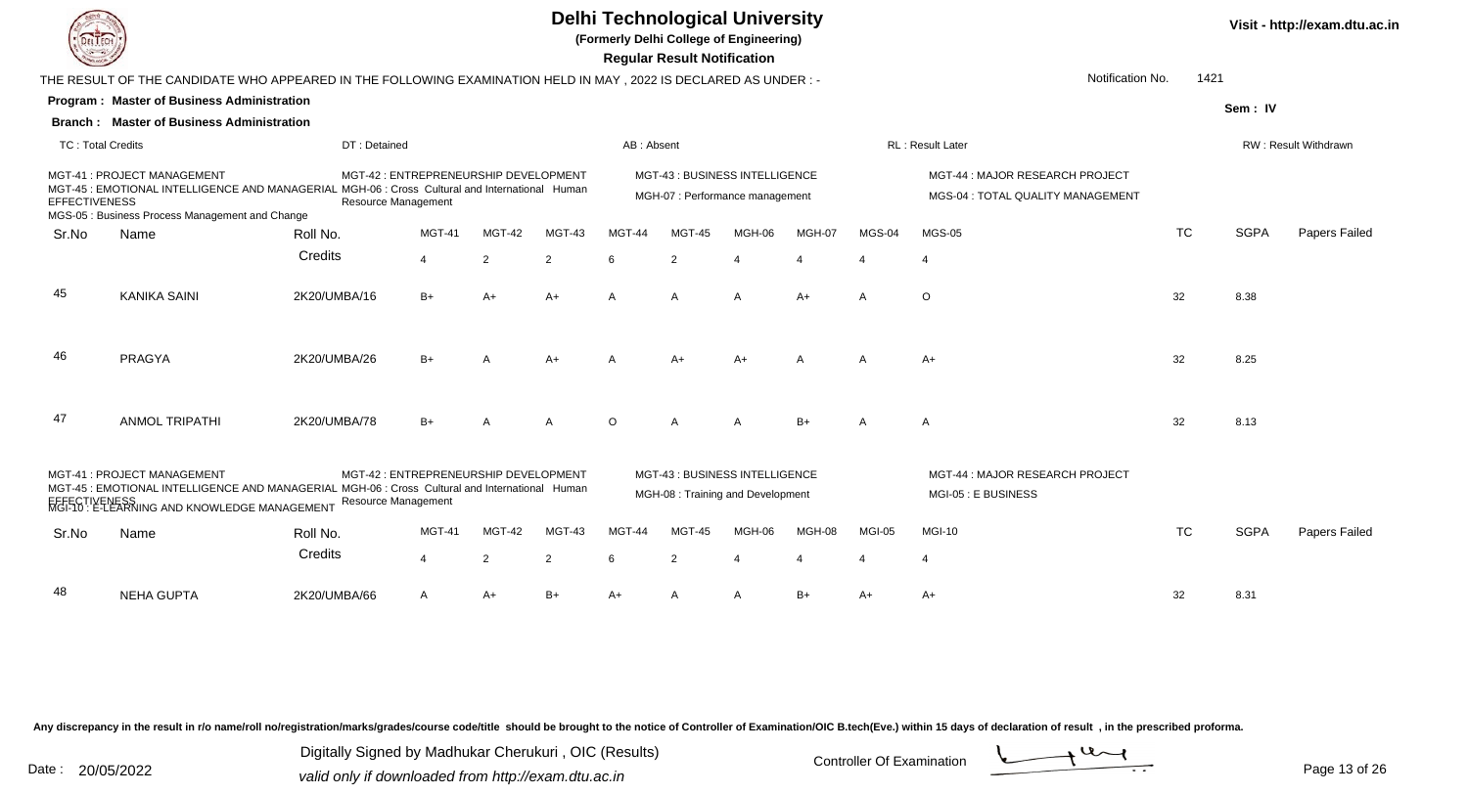**(Formerly Delhi College of Engineering)**

 **Regular Result Notification**

|                          |                                                                                                                                                                                               |                                                                     |                |                |                |                | Regular Result Notification                                               |                |                |                |                                                                      |           |             |                      |
|--------------------------|-----------------------------------------------------------------------------------------------------------------------------------------------------------------------------------------------|---------------------------------------------------------------------|----------------|----------------|----------------|----------------|---------------------------------------------------------------------------|----------------|----------------|----------------|----------------------------------------------------------------------|-----------|-------------|----------------------|
|                          | THE RESULT OF THE CANDIDATE WHO APPEARED IN THE FOLLOWING EXAMINATION HELD IN MAY , 2022 IS DECLARED AS UNDER :-                                                                              |                                                                     |                |                |                |                |                                                                           |                |                |                | Notification No.                                                     | 1421      |             |                      |
|                          | Program: Master of Business Administration                                                                                                                                                    |                                                                     |                |                |                |                |                                                                           |                |                |                |                                                                      |           | Sem: IV     |                      |
|                          | <b>Branch: Master of Business Administration</b>                                                                                                                                              |                                                                     |                |                |                |                |                                                                           |                |                |                |                                                                      |           |             |                      |
| <b>TC: Total Credits</b> |                                                                                                                                                                                               | DT: Detained                                                        |                |                |                | AB: Absent     |                                                                           |                |                |                | RL: Result Later                                                     |           |             | RW: Result Withdrawn |
| <b>EFFECTIVENESS</b>     | MGT-41: PROJECT MANAGEMENT<br>MGT-45 : EMOTIONAL INTELLIGENCE AND MANAGERIAL MGH-06 : Cross Cultural and International Human<br>MGS-05 : Business Process Management and Change               | MGT-42 : ENTREPRENEURSHIP DEVELOPMENT<br><b>Resource Management</b> |                |                |                |                | <b>MGT-43: BUSINESS INTELLIGENCE</b><br>MGH-07 : Performance management   |                |                |                | MGT-44 : MAJOR RESEARCH PROJECT<br>MGS-04 : TOTAL QUALITY MANAGEMENT |           |             |                      |
| Sr.No                    | Name                                                                                                                                                                                          | Roll No.                                                            | <b>MGT-41</b>  | MGT-42         | MGT-43         | <b>MGT-44</b>  | MGT-45                                                                    | MGH-06         | MGH-07         | MGS-04         | <b>MGS-05</b>                                                        | <b>TC</b> | <b>SGPA</b> | Papers Failed        |
|                          |                                                                                                                                                                                               | Credits                                                             | $\overline{4}$ | 2              | 2              | <b>6</b>       | $\overline{2}$                                                            |                |                |                |                                                                      |           |             |                      |
| 45                       | <b>KANIKA SAINI</b>                                                                                                                                                                           | 2K20/UMBA/16                                                        | $B+$           | A+             | $A+$           | $\overline{A}$ | $\overline{A}$                                                            | $\overline{A}$ | $A+$           | $\overline{A}$ | $\circ$                                                              | 32        | 8.38        |                      |
| 46                       | <b>PRAGYA</b>                                                                                                                                                                                 | 2K20/UMBA/26                                                        | $B+$           | $\overline{A}$ | $A+$           | $\overline{A}$ | $A+$                                                                      | $A+$           | $\overline{A}$ | $\overline{A}$ | $A+$                                                                 | 32        | 8.25        |                      |
| 47                       | <b>ANMOL TRIPATHI</b>                                                                                                                                                                         | 2K20/UMBA/78                                                        | $B+$           | $\overline{A}$ | $\Delta$       | $\Omega$       | $\overline{A}$                                                            | $\overline{A}$ | $B+$           | $\overline{A}$ | $\overline{A}$                                                       | 32        | 8.13        |                      |
|                          | MGT-41: PROJECT MANAGEMENT<br>MGT-45 : EMOTIONAL INTELLIGENCE AND MANAGERIAL MGH-06 : Cross Cultural and International Human<br>EFFECTIVENESS<br>MGI-10 : E-LEARNING AND KNOWLEDGE MANAGEMENT | MGT-42 : ENTREPRENEURSHIP DEVELOPMENT<br><b>Resource Management</b> |                |                |                |                | <b>MGT-43: BUSINESS INTELLIGENCE</b><br>MGH-08 : Training and Development |                |                |                | MGT-44 : MAJOR RESEARCH PROJECT<br>MGI-05 : E BUSINESS               |           |             |                      |
| Sr.No                    | Name                                                                                                                                                                                          | Roll No.                                                            | <b>MGT-41</b>  | MGT-42         | MGT-43         | MGT-44         | MGT-45                                                                    | MGH-06         | MGH-08         | MGI-05         | <b>MGI-10</b>                                                        | <b>TC</b> | <b>SGPA</b> | Papers Failed        |
|                          |                                                                                                                                                                                               | Credits                                                             | $\overline{4}$ | $\overline{2}$ | $\overline{2}$ | 6              | $\overline{2}$                                                            |                |                |                | $\overline{4}$                                                       |           |             |                      |
| 48                       | <b>NEHA GUPTA</b>                                                                                                                                                                             | 2K20/UMBA/66                                                        | A              | $A+$           | $B+$           | $A+$           | A                                                                         | A              | $B+$           | A+             | A+                                                                   | 32        | 8.31        |                      |
|                          |                                                                                                                                                                                               |                                                                     |                |                |                |                |                                                                           |                |                |                |                                                                      |           |             |                      |

Any discrepancy in the result in r/o name/roll no/registration/marks/grades/course code/title should be brought to the notice of Controller of Examination/OIC B.tech(Eve.) within 15 days of declaration of result, in the pr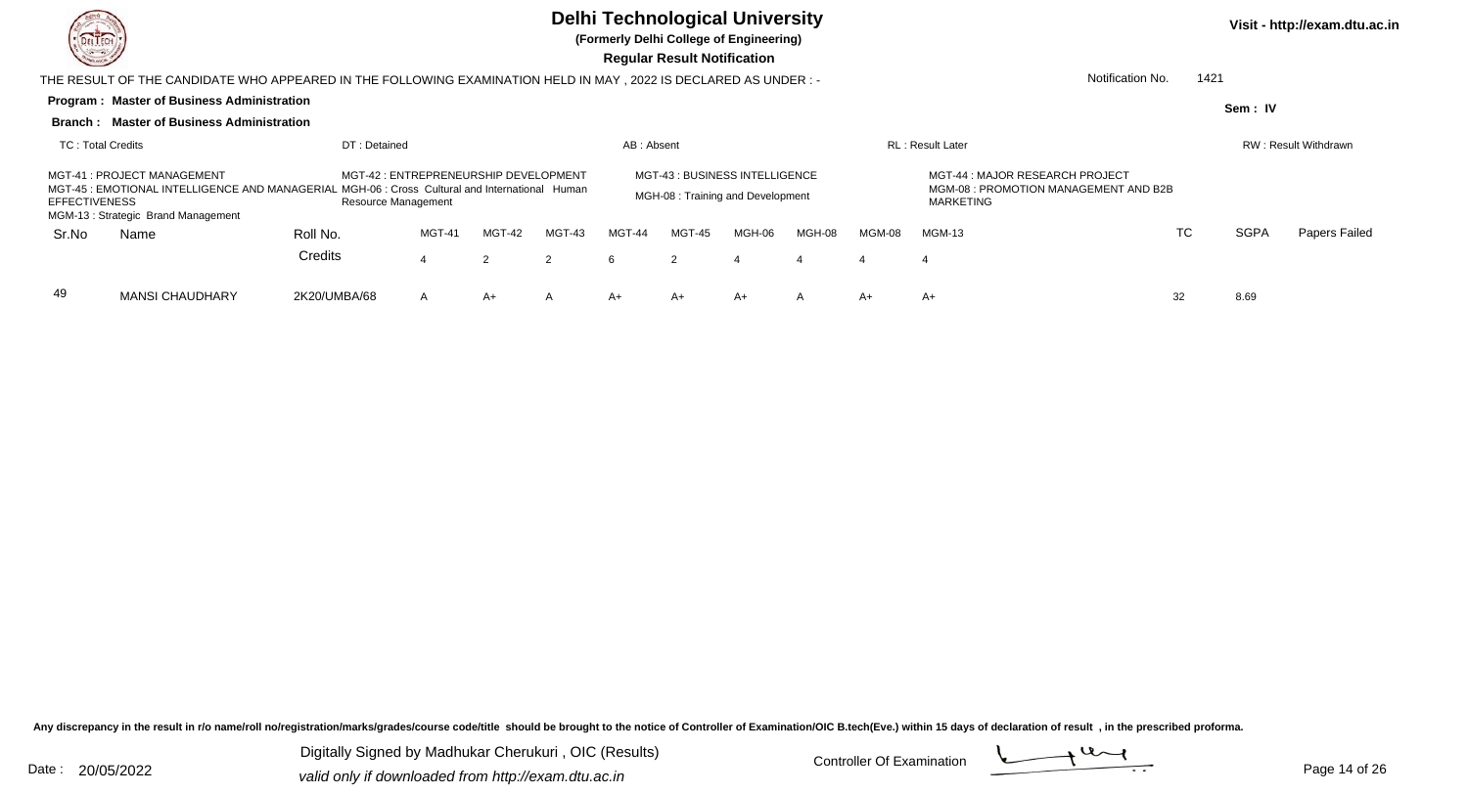

**(Formerly Delhi College of Engineering)**

 **Regular Result Notification**

|                      | THE RESULT OF THE CANDIDATE WHO APPEARED IN THE FOLLOWING EXAMINATION HELD IN MAY, 2022 IS DECLARED AS UNDER:-                                                     |                     |                                       |               |        |            |        |                                                                     |        |        | Notification No.                                                                      | 1421 |             |                             |
|----------------------|--------------------------------------------------------------------------------------------------------------------------------------------------------------------|---------------------|---------------------------------------|---------------|--------|------------|--------|---------------------------------------------------------------------|--------|--------|---------------------------------------------------------------------------------------|------|-------------|-----------------------------|
|                      | <b>Program: Master of Business Administration</b>                                                                                                                  |                     |                                       |               |        |            |        |                                                                     |        |        |                                                                                       |      | Sem: IV     |                             |
|                      | <b>Branch: Master of Business Administration</b>                                                                                                                   |                     |                                       |               |        |            |        |                                                                     |        |        |                                                                                       |      |             |                             |
| TC: Total Credits    |                                                                                                                                                                    | DT: Detained        |                                       |               |        | AB: Absent |        |                                                                     |        |        | <b>RL</b> : Result Later                                                              |      |             | <b>RW: Result Withdrawn</b> |
| <b>EFFECTIVENESS</b> | MGT-41: PROJECT MANAGEMENT<br>MGT-45 : EMOTIONAL INTELLIGENCE AND MANAGERIAL MGH-06 : Cross Cultural and International Human<br>MGM-13: Strategic Brand Management | Resource Management | MGT-42 : ENTREPRENEURSHIP DEVELOPMENT |               |        |            |        | MGT-43 : BUSINESS INTELLIGENCE<br>MGH-08 : Training and Development |        |        | MGT-44 : MAJOR RESEARCH PROJECT<br>MGM-08 : PROMOTION MANAGEMENT AND B2B<br>MARKETING |      |             |                             |
| Sr.No                | Name                                                                                                                                                               | Roll No.            | MGT-41                                | <b>MGT-42</b> | MGT-43 | MGT-44     | MGT-45 | MGH-06                                                              | MGH-08 | MGM-08 | <b>MGM-13</b>                                                                         | TC   | <b>SGPA</b> | Papers Failed               |
|                      |                                                                                                                                                                    | Credits             | 4                                     |               | 2      | 6          | 2      |                                                                     |        |        |                                                                                       |      |             |                             |
| 49                   | <b>MANSI CHAUDHARY</b>                                                                                                                                             | 2K20/UMBA/68        | A                                     | A+            | A      | A+         | $A+$   | A+                                                                  | A      | A+     | $A+$                                                                                  | 32   | 8.69        |                             |

Any discrepancy in the result in r/o name/roll no/registration/marks/grades/course code/title should be brought to the notice of Controller of Examination/OIC B.tech(Eve.) within 15 days of declaration of result, in the pr

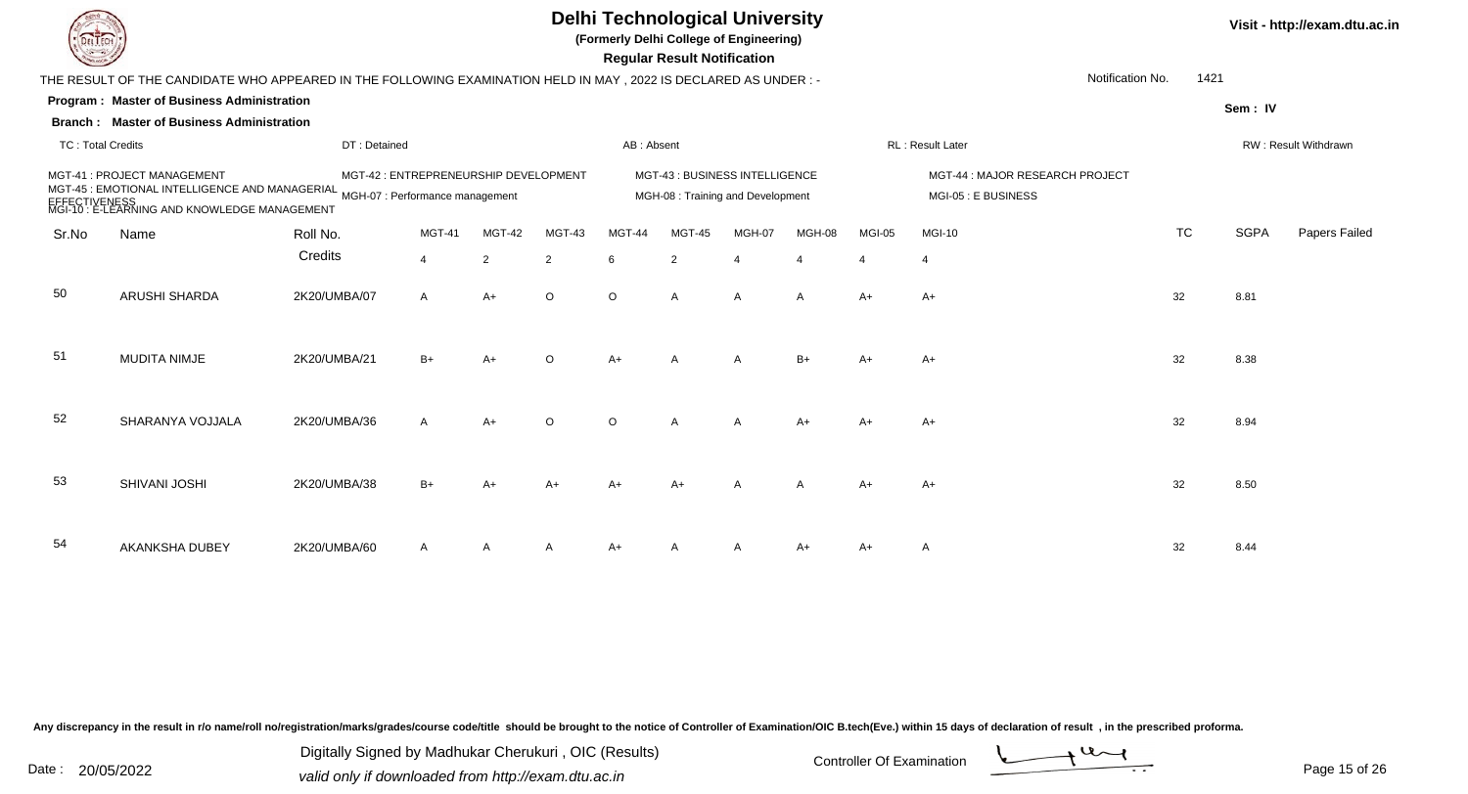## **Delhi Technological University**

**(Formerly Delhi College of Engineering)**

| <b>DEFATAI</b><br><b>Common</b> |                                                                                                                                                                                |                     |                                       |                          |                          | li ormany Domn conage or Engineering | <b>Regular Result Notification</b>                                  |                |                          |                          |                                                        |                  |      |                              |
|---------------------------------|--------------------------------------------------------------------------------------------------------------------------------------------------------------------------------|---------------------|---------------------------------------|--------------------------|--------------------------|--------------------------------------|---------------------------------------------------------------------|----------------|--------------------------|--------------------------|--------------------------------------------------------|------------------|------|------------------------------|
|                                 | THE RESULT OF THE CANDIDATE WHO APPEARED IN THE FOLLOWING EXAMINATION HELD IN MAY, 2022 IS DECLARED AS UNDER :-                                                                |                     |                                       |                          |                          |                                      |                                                                     |                |                          |                          |                                                        | Notification No. | 1421 |                              |
|                                 | <b>Program: Master of Business Administration</b>                                                                                                                              |                     |                                       |                          |                          |                                      |                                                                     |                |                          |                          |                                                        |                  |      | Sem: IV                      |
| <b>TC: Total Credits</b>        | <b>Branch: Master of Business Administration</b>                                                                                                                               | DT: Detained        |                                       |                          |                          | AB: Absent                           |                                                                     |                |                          |                          | RL: Result Later                                       |                  |      | RW: Result Withdrawn         |
|                                 | MGT-41 : PROJECT MANAGEMENT<br>MCT-45 : EMOTIONAL INTELLIGENCE AND MANAGERIAL MGH-07 : Performance management<br>EFFECTIVENESS<br>MGI-10 : E-LEARNING AND KNOWLEDGE MANAGEMENT |                     | MGT-42 : ENTREPRENEURSHIP DEVELOPMENT |                          |                          |                                      | MGT-43 : BUSINESS INTELLIGENCE<br>MGH-08 : Training and Development |                |                          |                          | MGT-44 : MAJOR RESEARCH PROJECT<br>MGI-05 : E BUSINESS |                  |      |                              |
| Sr.No                           | Name                                                                                                                                                                           | Roll No.<br>Credits | <b>MGT-41</b><br>$\overline{4}$       | MGT-42<br>$\overline{2}$ | MGT-43<br>$\overline{2}$ | MGT-44<br>6                          | <b>MGT-45</b><br>$\overline{2}$                                     | MGH-07         | MGH-08<br>$\overline{4}$ | MGI-05<br>$\overline{4}$ | <b>MGI-10</b><br>$\overline{4}$                        | <b>TC</b>        |      | <b>SGPA</b><br>Papers Failec |
| 50                              | ARUSHI SHARDA                                                                                                                                                                  | 2K20/UMBA/07        | $\mathsf{A}$                          | $A+$                     | $\circ$                  | $\circ$                              | $\mathsf{A}$                                                        | A              | $\mathsf{A}$             | $A+$                     | $A+$                                                   | 32               | 8.81 |                              |
| 51                              | <b>MUDITA NIMJE</b>                                                                                                                                                            | 2K20/UMBA/21        | $B+$                                  | A+                       | $\circ$                  | $A+$                                 | A                                                                   | $\overline{A}$ | $B+$                     | $A+$                     | $A+$                                                   | 32               | 8.38 |                              |
| 52                              | SHARANYA VOJJALA                                                                                                                                                               | 2K20/UMBA/36        | $\mathsf{A}$                          | $A+$                     | $\circ$                  | $\circ$                              | A                                                                   | $\overline{A}$ | $A+$                     | $A+$                     | $A+$                                                   | 32               | 8.94 |                              |
| 53                              | SHIVANI JOSHI                                                                                                                                                                  | 2K20/UMBA/38        | $B+$                                  |                          | A+                       | A+                                   | A+                                                                  |                | $\mathsf{A}$             | $A+$                     | A+                                                     | 32               | 8.50 |                              |
| 54                              | AKANKSHA DUBEY                                                                                                                                                                 | 2K20/UMBA/60        | A                                     | A                        | A                        | A+                                   | A                                                                   | A              | A+                       | A+                       | A                                                      | 32               | 8.44 |                              |

2K20/UMBA/60 <sup>A</sup> <sup>A</sup> <sup>A</sup> A+ <sup>A</sup> <sup>A</sup> A+ A+ <sup>A</sup> <sup>32</sup> 8.44

Any discrepancy in the result in r/o name/roll no/registration/marks/grades/course code/title should be brought to the notice of Controller of Examination/OIC B.tech(Eve.) within 15 days of declaration of result, in the pr

Date : 20/05/2022 Valid only if downloaded from http://exam.dtu.ac.in<br>
Date : 20/05/2022 valid only if downloaded from http://exam.dtu.ac.in Digitally Signed by Madhukar Cherukuri , OIC (Results)

**Visit - http://exam.dtu.ac.in**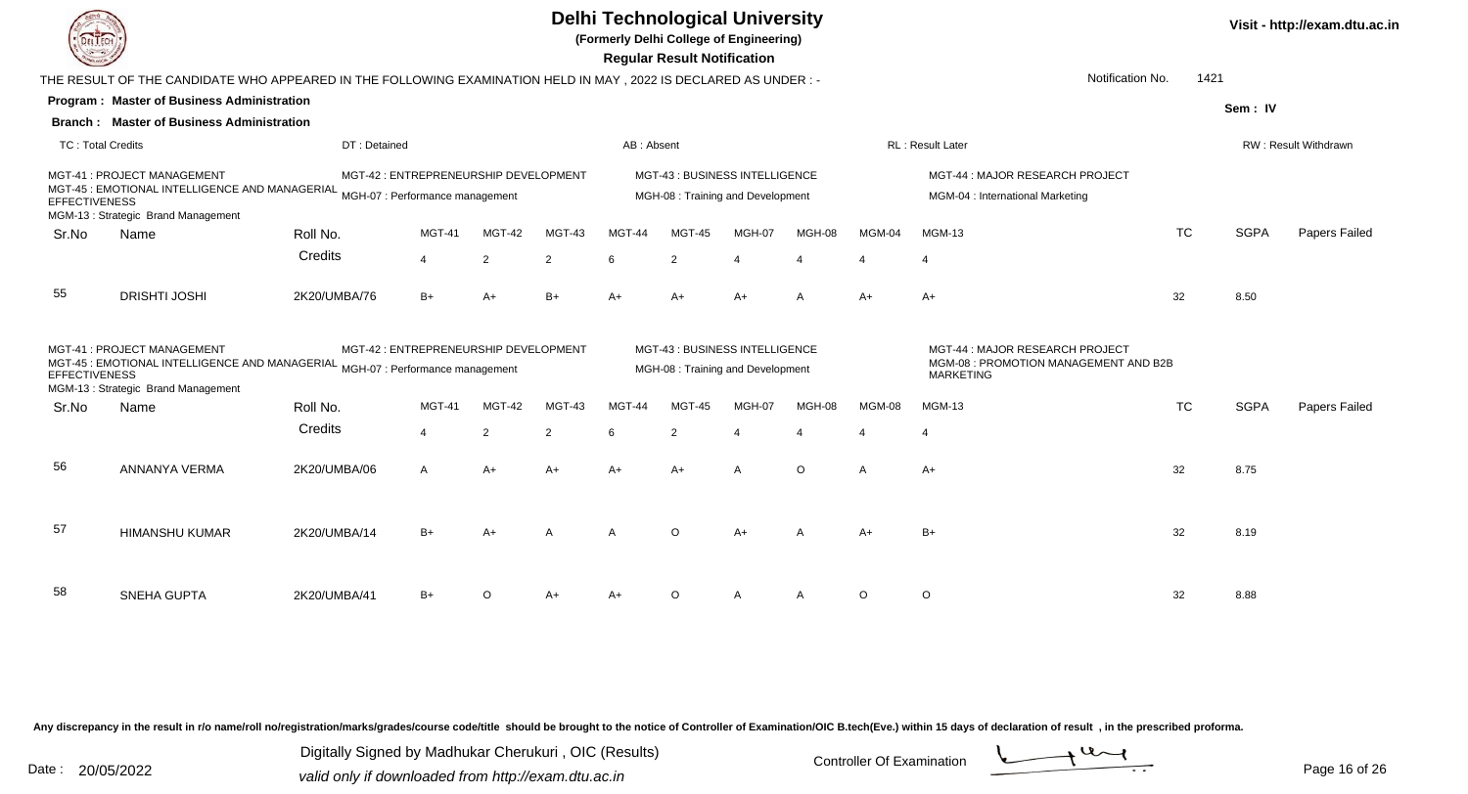

**(Formerly Delhi College of Engineering)**

 **Regular Result Notification**

| <b>Chassen /</b>         |                                                                                                                                                     |                                 |                                       |                |                |               | <b>Regular Result Notification</b>                                  |        |              |               |                                                                                              |           |             |                      |
|--------------------------|-----------------------------------------------------------------------------------------------------------------------------------------------------|---------------------------------|---------------------------------------|----------------|----------------|---------------|---------------------------------------------------------------------|--------|--------------|---------------|----------------------------------------------------------------------------------------------|-----------|-------------|----------------------|
|                          | THE RESULT OF THE CANDIDATE WHO APPEARED IN THE FOLLOWING EXAMINATION HELD IN MAY, 2022 IS DECLARED AS UNDER :-                                     |                                 |                                       |                |                |               |                                                                     |        |              |               | Notification No.                                                                             | 1421      |             |                      |
|                          | Program: Master of Business Administration                                                                                                          |                                 |                                       |                |                |               |                                                                     |        |              |               |                                                                                              |           | Sem: IV     |                      |
|                          | <b>Branch: Master of Business Administration</b>                                                                                                    |                                 |                                       |                |                |               |                                                                     |        |              |               |                                                                                              |           |             |                      |
| <b>TC: Total Credits</b> |                                                                                                                                                     | DT: Detained                    |                                       |                |                | AB: Absent    |                                                                     |        |              |               | RL: Result Later                                                                             |           |             | RW: Result Withdrawn |
| <b>EFFECTIVENESS</b>     | MGT-41 : PROJECT MANAGEMENT<br>MGT-45 : EMOTIONAL INTELLIGENCE AND MANAGERIAL MGH-07 : Performance management<br>MGM-13: Strategic Brand Management |                                 | MGT-42 : ENTREPRENEURSHIP DEVELOPMENT |                |                |               | MGT-43 : BUSINESS INTELLIGENCE<br>MGH-08 : Training and Development |        |              |               | MGT-44 : MAJOR RESEARCH PROJECT<br>MGM-04 : International Marketing                          |           |             |                      |
| Sr.No                    | Name                                                                                                                                                | Roll No.                        | <b>MGT-41</b>                         | MGT-42         | MGT-43         | MGT-44        | <b>MGT-45</b>                                                       | MGH-07 | MGH-08       | MGM-04        | <b>MGM-13</b>                                                                                | <b>TC</b> | <b>SGPA</b> | Papers Failed        |
|                          |                                                                                                                                                     | Credits                         | 4                                     | $\overline{2}$ | $\overline{2}$ | 6             | $\overline{2}$                                                      |        | Δ            |               |                                                                                              |           |             |                      |
| 55                       | <b>DRISHTI JOSHI</b>                                                                                                                                | 2K20/UMBA/76                    | $B+$                                  | $A+$           | $B+$           | A+            | $A+$                                                                | A+     | $\mathsf{A}$ | $A+$          | $A+$                                                                                         | 32        | 8.50        |                      |
| <b>EFFECTIVENESS</b>     | MGT-41: PROJECT MANAGEMENT<br>MGT-45 : EMOTIONAL INTELLIGENCE AND MANAGERIAL<br>MGM-13: Strategic Brand Management                                  | MGH-07 : Performance management | MGT-42 : ENTREPRENEURSHIP DEVELOPMENT |                |                |               | MGT-43 : BUSINESS INTELLIGENCE<br>MGH-08 : Training and Development |        |              |               | MGT-44 : MAJOR RESEARCH PROJECT<br>MGM-08 : PROMOTION MANAGEMENT AND B2B<br><b>MARKETING</b> |           |             |                      |
| Sr.No                    | Name                                                                                                                                                | Roll No.                        | <b>MGT-41</b>                         | MGT-42         | MGT-43         | <b>MGT-44</b> | MGT-45                                                              | MGH-07 | MGH-08       | <b>MGM-08</b> | MGM-13                                                                                       | <b>TC</b> | <b>SGPA</b> | Papers Failed        |
|                          |                                                                                                                                                     | Credits                         | $\overline{4}$                        | $\overline{2}$ | 2              | 6             | 2                                                                   |        |              |               |                                                                                              |           |             |                      |
| 56                       | ANNANYA VERMA                                                                                                                                       | 2K20/UMBA/06                    | $\mathsf{A}$                          | A+             | $A+$           | A+            | $A+$                                                                | A      | $\circ$      | A             | $A+$                                                                                         | 32        | 8.75        |                      |
| 57                       | <b>HIMANSHU KUMAR</b>                                                                                                                               | 2K20/UMBA/14                    | $B+$                                  | $A+$           | A              | A             | $\circ$                                                             | $A+$   | A            | A+            | $B+$                                                                                         | 32        | 8.19        |                      |
| 58                       | <b>SNEHA GUPTA</b>                                                                                                                                  | 2K20/UMBA/41                    | $B+$                                  | $\Omega$       | $A+$           |               | $\Omega$                                                            |        | A            | $\circ$       | $\circ$                                                                                      | 32        | 8.88        |                      |

Any discrepancy in the result in r/o name/roll no/registration/marks/grades/course code/title should be brought to the notice of Controller of Examination/OIC B.tech(Eve.) within 15 days of declaration of result, in the pr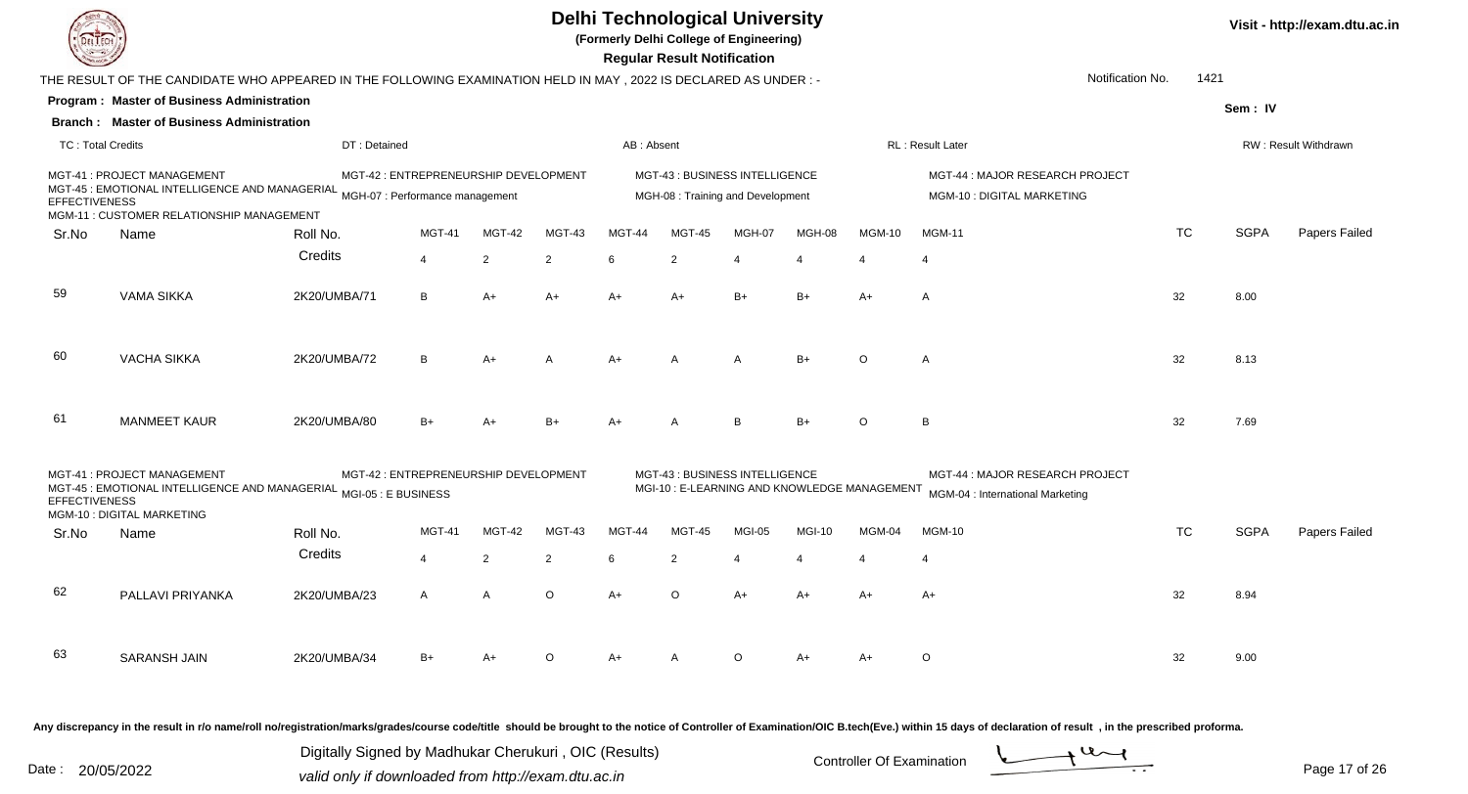**(Formerly Delhi College of Engineering)**

 **Regular Result Notification**

**Visit - http://exam.dtu.ac.in**

|                          | THE RESULT OF THE CANDIDATE WHO APPEARED IN THE FOLLOWING EXAMINATION HELD IN MAY , 2022 IS DECLARED AS UNDER :-                                           |                                       |                |                |                |            |                                                                               |                |               |               | Notification No.                                                    | 1421      |             |                      |
|--------------------------|------------------------------------------------------------------------------------------------------------------------------------------------------------|---------------------------------------|----------------|----------------|----------------|------------|-------------------------------------------------------------------------------|----------------|---------------|---------------|---------------------------------------------------------------------|-----------|-------------|----------------------|
|                          | Program: Master of Business Administration                                                                                                                 |                                       |                |                |                |            |                                                                               |                |               |               |                                                                     |           | Sem: IV     |                      |
|                          | <b>Branch: Master of Business Administration</b>                                                                                                           |                                       |                |                |                |            |                                                                               |                |               |               |                                                                     |           |             |                      |
| <b>TC: Total Credits</b> |                                                                                                                                                            | DT: Detained                          |                |                |                | AB: Absent |                                                                               |                |               |               | RL: Result Later                                                    |           |             | RW: Result Withdrawn |
| <b>EFFECTIVENESS</b>     | MGT-41 : PROJECT MANAGEMENT<br>MCT-45 : EMOTIONAL INTELLIGENCE AND MANAGERIAL MGH-07 : Performance management<br>MGM-11 : CUSTOMER RELATIONSHIP MANAGEMENT | MGT-42 : ENTREPRENEURSHIP DEVELOPMENT |                |                |                |            | MGT-43 : BUSINESS INTELLIGENCE<br>MGH-08 : Training and Development           |                |               |               | MGT-44 : MAJOR RESEARCH PROJECT<br>MGM-10 : DIGITAL MARKETING       |           |             |                      |
| Sr.No                    | Name                                                                                                                                                       | Roll No.                              | <b>MGT-41</b>  | MGT-42         | MGT-43         | MGT-44     | MGT-45                                                                        | MGH-07         | MGH-08        | <b>MGM-10</b> | <b>MGM-11</b>                                                       | <b>TC</b> | <b>SGPA</b> | Papers Failed        |
|                          |                                                                                                                                                            | Credits                               | $\overline{4}$ | $\overline{2}$ | 2              | 6          | 2                                                                             |                |               |               | $\Delta$                                                            |           |             |                      |
| 59                       | <b>VAMA SIKKA</b>                                                                                                                                          | 2K20/UMBA/71                          | B              | $A+$           | $A+$           | $A+$       | $A+$                                                                          | $B+$           | $B+$          | A+            | $\overline{A}$                                                      | 32        | 8.00        |                      |
| 60                       | <b>VACHA SIKKA</b>                                                                                                                                         | 2K20/UMBA/72                          | B              | $A+$           | $\overline{A}$ | A+         | $\overline{A}$                                                                | $\overline{A}$ | $B+$          | $\Omega$      | A                                                                   | 32        | 8.13        |                      |
| 61                       | <b>MANMEET KAUR</b>                                                                                                                                        | 2K20/UMBA/80                          | $B+$           | $A+$           | $B+$           | $A+$       | $\overline{A}$                                                                | B              | $B+$          | $\circ$       | B                                                                   | 32        | 7.69        |                      |
| <b>EFFECTIVENESS</b>     | MGT-41 : PROJECT MANAGEMENT<br>MCT-45 : EMOTIONAL INTELLIGENCE AND MANAGERIAL MGI-05 : E BUSINESS<br>MGM-10 : DIGITAL MARKETING                            | MGT-42 : ENTREPRENEURSHIP DEVELOPMENT |                |                |                |            | MGT-43 : BUSINESS INTELLIGENCE<br>MGI-10: E-LEARNING AND KNOWLEDGE MANAGEMENT |                |               |               | MGT-44 : MAJOR RESEARCH PROJECT<br>MGM-04 : International Marketing |           |             |                      |
| Sr.No                    | Name                                                                                                                                                       | Roll No.                              | MGT-41         | MGT-42         | MGT-43         | MGT-44     | MGT-45                                                                        | MGI-05         | <b>MGI-10</b> | MGM-04        | <b>MGM-10</b>                                                       | <b>TC</b> | <b>SGPA</b> | Papers Failed        |
|                          |                                                                                                                                                            | Credits                               | $\overline{4}$ | $\overline{2}$ | 2              | 6          | 2                                                                             |                |               |               |                                                                     |           |             |                      |
| 62                       | PALLAVI PRIYANKA                                                                                                                                           | 2K20/UMBA/23                          | $\mathsf{A}$   | $\overline{A}$ | $\circ$        | $A+$       | $\Omega$                                                                      | $A+$           | $A+$          | $A+$          | $A+$                                                                | 32        | 8.94        |                      |
| 63                       | <b>SARANSH JAIN</b>                                                                                                                                        | 2K20/UMBA/34                          | $B+$           | $A+$           | $\Omega$       | $A+$       |                                                                               | $\Omega$       | $A+$          | A+            | $\circ$                                                             | 32        | 9.00        |                      |

Any discrepancy in the result in r/o name/roll no/registration/marks/grades/course code/title should be brought to the notice of Controller of Examination/OIC B.tech(Eve.) within 15 days of declaration of result, in the pr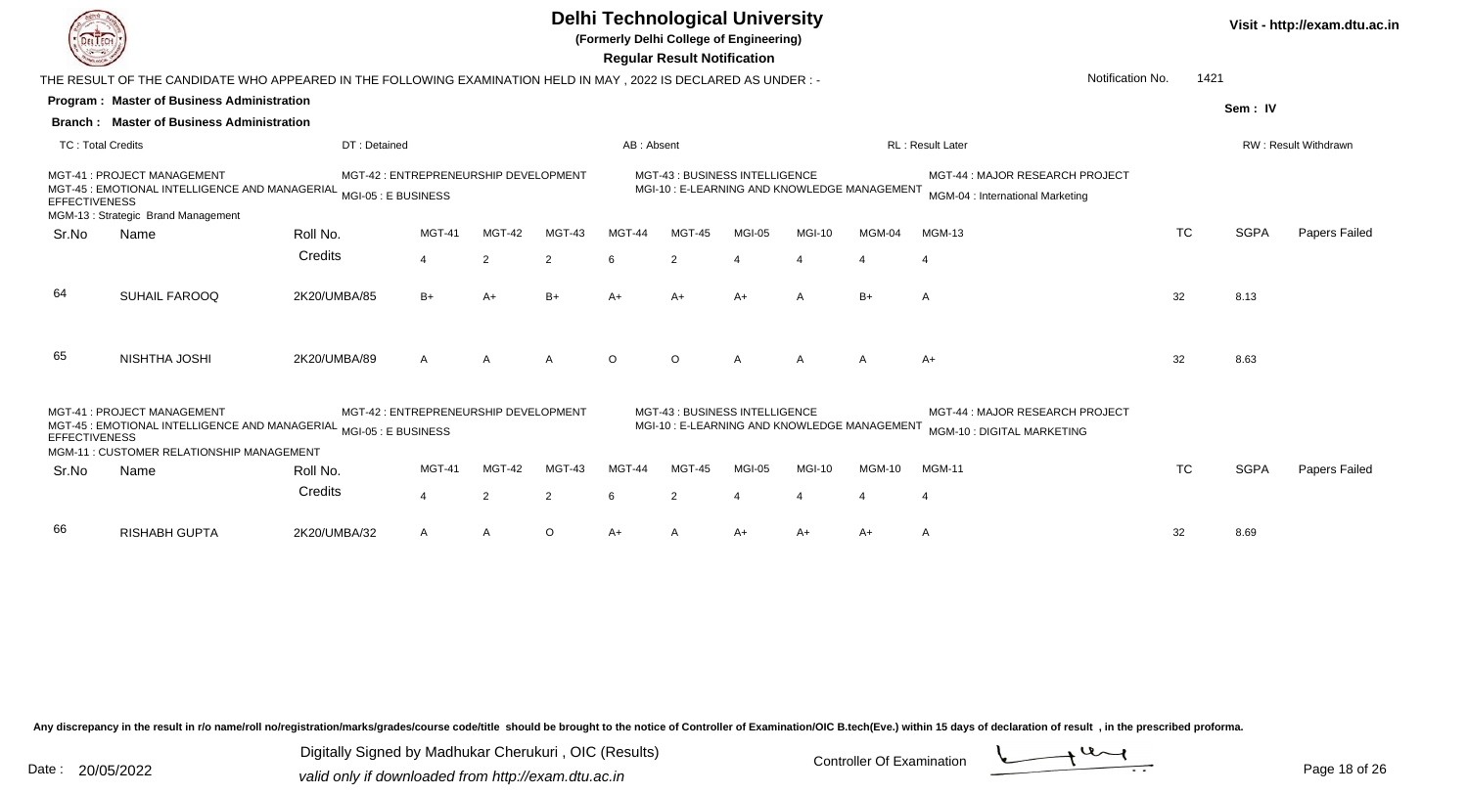**(Formerly Delhi College of Engineering)**

| <b>Courses of</b>        |                                                                                                                    |                                                              |                       |                |                |            | <b>Regular Result Notification</b> |                          |                                             |                          |                                                                     |                  |      |             |                      |
|--------------------------|--------------------------------------------------------------------------------------------------------------------|--------------------------------------------------------------|-----------------------|----------------|----------------|------------|------------------------------------|--------------------------|---------------------------------------------|--------------------------|---------------------------------------------------------------------|------------------|------|-------------|----------------------|
|                          | THE RESULT OF THE CANDIDATE WHO APPEARED IN THE FOLLOWING EXAMINATION HELD IN MAY, 2022 IS DECLARED AS UNDER :-    |                                                              |                       |                |                |            |                                    |                          |                                             |                          |                                                                     | Notification No. | 1421 |             |                      |
|                          | <b>Program: Master of Business Administration</b>                                                                  |                                                              |                       |                |                |            |                                    |                          |                                             |                          |                                                                     |                  |      | Sem: IV     |                      |
|                          | <b>Branch: Master of Business Administration</b>                                                                   |                                                              |                       |                |                |            |                                    |                          |                                             |                          |                                                                     |                  |      |             |                      |
| <b>TC: Total Credits</b> |                                                                                                                    | DT: Detained                                                 |                       |                |                | AB: Absent |                                    |                          |                                             |                          | RL: Result Later                                                    |                  |      |             | RW: Result Withdrawn |
| <b>EFFECTIVENESS</b>     | MGT-41: PROJECT MANAGEMENT<br>MGT-45 : EMOTIONAL INTELLIGENCE AND MANAGERIAL<br>MGM-13: Strategic Brand Management | MGT-42 : ENTREPRENEURSHIP DEVELOPMENT<br>MGI-05 : E BUSINESS |                       |                |                |            | MGT-43: BUSINESS INTELLIGENCE      |                          | MGI-10: E-LEARNING AND KNOWLEDGE MANAGEMENT |                          | MGT-44 : MAJOR RESEARCH PROJECT<br>MGM-04 : International Marketing |                  |      |             |                      |
| Sr.No                    | Name                                                                                                               | Roll No.                                                     | MGT-41                | <b>MGT-42</b>  | MGT-43         | MGT-44     | MGT-45                             | MGI-05                   | MGI-10                                      | MGM-04                   | <b>MGM-13</b>                                                       | <b>TC</b>        |      | <b>SGPA</b> | Papers Failed        |
|                          |                                                                                                                    | Credits                                                      | $\overline{4}$        | $\overline{2}$ | $\overline{2}$ | -6         | 2                                  | $\boldsymbol{\varDelta}$ | $\boldsymbol{\varDelta}$                    | $\overline{4}$           | -4                                                                  |                  |      |             |                      |
| 64                       | <b>SUHAIL FAROOQ</b>                                                                                               | 2K20/UMBA/85                                                 | $B+$                  | A+             | $B+$           | A+         | $A+$                               | $A+$                     | $\overline{A}$                              | $B+$                     | $\overline{A}$                                                      | 32               |      | 8.13        |                      |
| 65                       | NISHTHA JOSHI                                                                                                      | 2K20/UMBA/89                                                 | $\mathsf{A}$          | $\overline{A}$ | $\overline{A}$ | $\circ$    | $\circ$                            | $\overline{A}$           | $\overline{A}$                              | $\overline{A}$           | $A+$                                                                | 32               |      | 8.63        |                      |
| <b>EFFECTIVENESS</b>     | MGT-41: PROJECT MANAGEMENT<br>MGT-45 : EMOTIONAL INTELLIGENCE AND MANAGERIAL                                       | MGT-42 : ENTREPRENEURSHIP DEVELOPMENT<br>MGI-05 : E BUSINESS |                       |                |                |            | MGT-43: BUSINESS INTELLIGENCE      |                          | MGI-10: E-LEARNING AND KNOWLEDGE MANAGEMENT |                          | MGT-44 : MAJOR RESEARCH PROJECT<br>MGM-10 : DIGITAL MARKETING       |                  |      |             |                      |
|                          | MGM-11: CUSTOMER RELATIONSHIP MANAGEMENT                                                                           |                                                              | MGT-41                | MGT-42         | MGT-43         | MGT-44     | MGT-45                             | MGI-05                   | MGI-10                                      | <b>MGM-10</b>            | <b>MGM-11</b>                                                       | <b>TC</b>        |      | <b>SGPA</b> | Papers Failed        |
| Sr.No                    | Name                                                                                                               | Roll No.                                                     |                       |                |                |            |                                    |                          |                                             |                          |                                                                     |                  |      |             |                      |
|                          |                                                                                                                    | Credits                                                      | $\boldsymbol{\Delta}$ | $\overline{2}$ | $\overline{2}$ | 6          | $\overline{2}$                     |                          | $\boldsymbol{\vartriangle}$                 | $\boldsymbol{\varDelta}$ | $\boldsymbol{4}$                                                    |                  |      |             |                      |
| 66                       | <b>RISHABH GUPTA</b>                                                                                               | 2K20/UMBA/32                                                 | A                     | A              | $\circ$        | A+         |                                    | $A+$                     | $A+$                                        | A+                       | A                                                                   | 32               |      | 8.69        |                      |

Any discrepancy in the result in r/o name/roll no/registration/marks/grades/course code/title should be brought to the notice of Controller of Examination/OIC B.tech(Eve.) within 15 days of declaration of result, in the pr

Digitally Signed by Madhukar Cherukuri, OIC (Results)<br>Date : 20/05/2022 valid only if downloaded from http://oxam.dtu.ac.in Digitally Signed by Madhukar Cherukuri , OIC (Results)valid only if downloaded from http://exam.dtu.ac.in

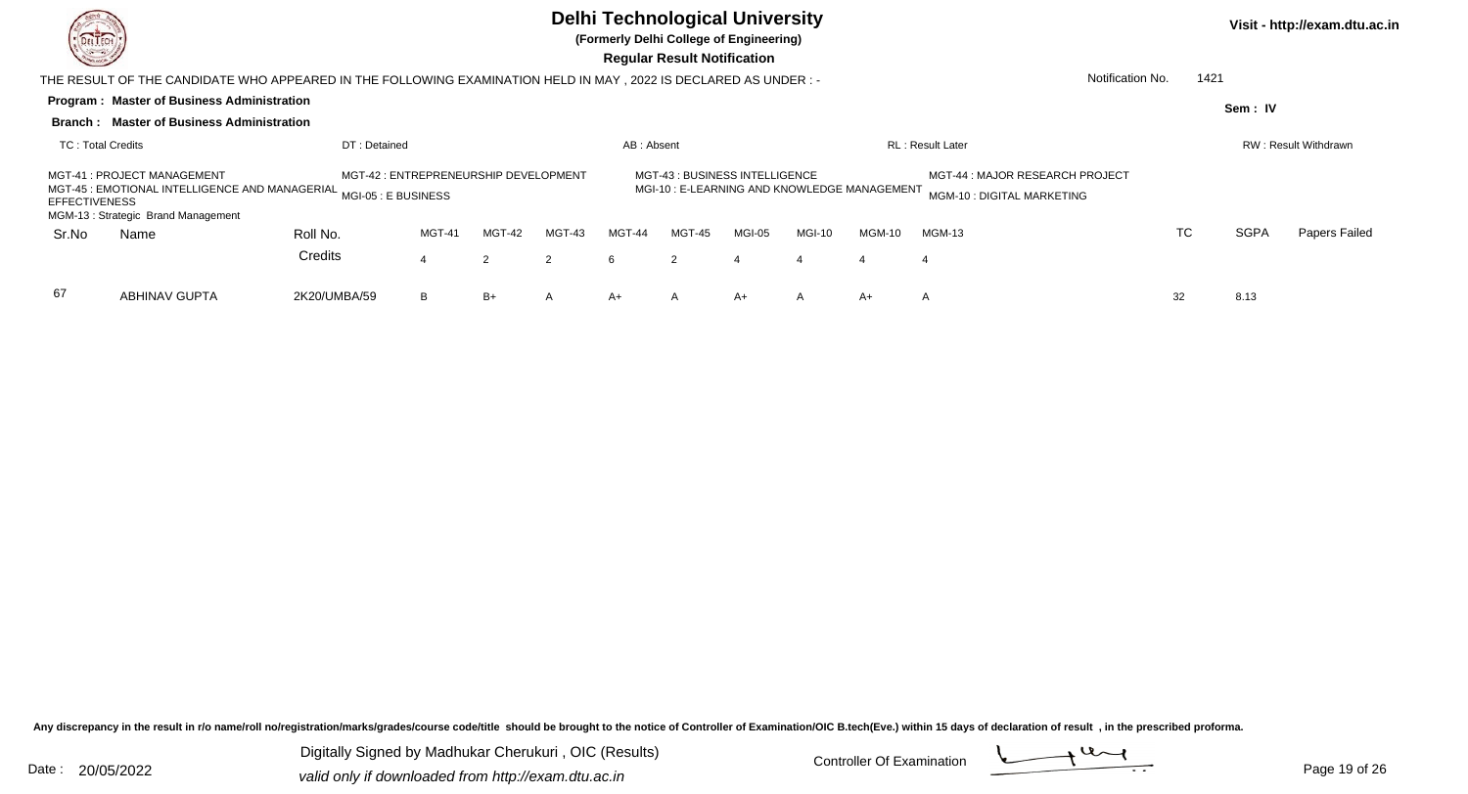

**(Formerly Delhi College of Engineering)**

 **Regular Result Notification**

|                      | THE RESULT OF THE CANDIDATE WHO APPEARED IN THE FOLLOWING EXAMINATION HELD IN MAY , 2022 IS DECLARED AS UNDER : -                                  |                                       |                                                                               |        |        |            |        |                                                               |                |        |                          |    |  |             |                             |
|----------------------|----------------------------------------------------------------------------------------------------------------------------------------------------|---------------------------------------|-------------------------------------------------------------------------------|--------|--------|------------|--------|---------------------------------------------------------------|----------------|--------|--------------------------|----|--|-------------|-----------------------------|
|                      | <b>Program: Master of Business Administration</b>                                                                                                  |                                       |                                                                               |        |        |            |        |                                                               |                |        |                          |    |  | Sem: IV     |                             |
|                      | <b>Branch: Master of Business Administration</b>                                                                                                   |                                       |                                                                               |        |        |            |        |                                                               |                |        |                          |    |  |             |                             |
| TC: Total Credits    |                                                                                                                                                    | DT: Detained                          |                                                                               |        |        | AB: Absent |        |                                                               |                |        | <b>RL</b> : Result Later |    |  |             | <b>RW: Result Withdrawn</b> |
| <b>EFFECTIVENESS</b> | MGT-41 : PROJECT MANAGEMENT<br>MGT-45 : EMOTIONAL INTELLIGENCE AND MANAGERIAL <sub>MGI-05</sub> : E BUSINESS<br>MGM-13: Strategic Brand Management | MGT-42 : ENTREPRENEURSHIP DEVELOPMENT | MGT-43 : BUSINESS INTELLIGENCE<br>MGI-10: E-LEARNING AND KNOWLEDGE MANAGEMENT |        |        |            |        | MGT-44 : MAJOR RESEARCH PROJECT<br>MGM-10 : DIGITAL MARKETING |                |        |                          |    |  |             |                             |
| Sr.No                | Name                                                                                                                                               | Roll No.                              | MGT-41                                                                        | MGT-42 | MGT-43 | MGT-44     | MGT-45 | MGI-05                                                        | MGI-10         | MGM-10 | <b>MGM-13</b>            | TC |  | <b>SGPA</b> | Papers Failed               |
|                      |                                                                                                                                                    | Credits                               |                                                                               | 2      | 2      | 6          | 2      | -4                                                            | $\overline{4}$ | 4      | 4                        |    |  |             |                             |
| 67                   | <b>ABHINAV GUPTA</b>                                                                                                                               | 2K20/UMBA/59                          | B                                                                             | B+     | A      | A+         | A      | A+                                                            | A              | A+     | A                        | 32 |  | 8.13        |                             |

Any discrepancy in the result in r/o name/roll no/registration/marks/grades/course code/title should be brought to the notice of Controller of Examination/OIC B.tech(Eve.) within 15 days of declaration of result, in the pr

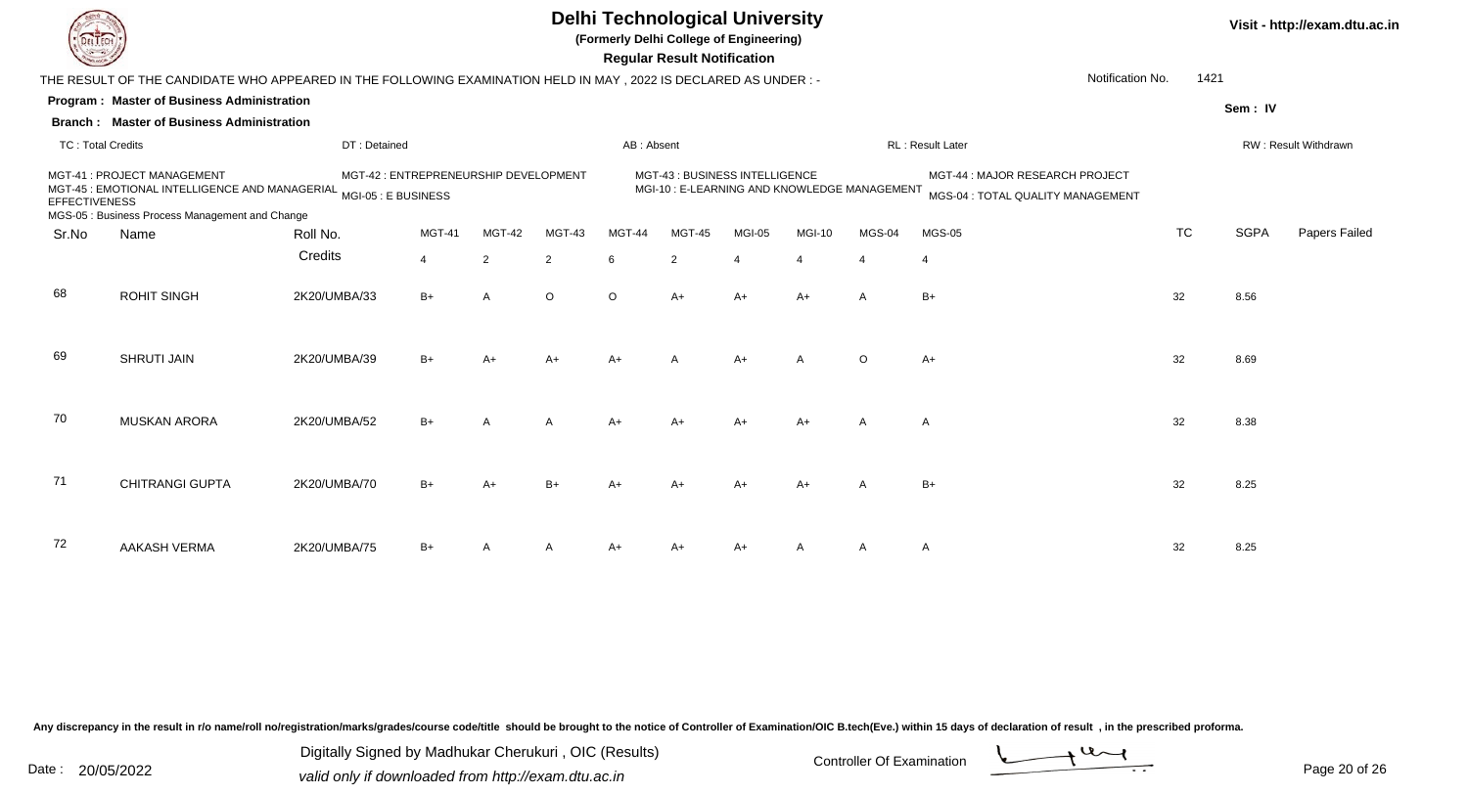**(Formerly Delhi College of Engineering)**

**Visit - http://exam.dtu.ac.in**

 **Regular Result Notification**

|                          | THE RESULT OF THE CANDIDATE WHO APPEARED IN THE FOLLOWING EXAMINATION HELD IN MAY, 2022 IS DECLARED AS UNDER :- |              |                                       |        |                |            |                                                                              |                       |                |                          | Notification No.                                                     | 1421      |             |                      |
|--------------------------|-----------------------------------------------------------------------------------------------------------------|--------------|---------------------------------------|--------|----------------|------------|------------------------------------------------------------------------------|-----------------------|----------------|--------------------------|----------------------------------------------------------------------|-----------|-------------|----------------------|
|                          | Program: Master of Business Administration                                                                      |              |                                       |        |                |            |                                                                              |                       |                |                          |                                                                      |           | Sem: IV     |                      |
|                          | <b>Branch: Master of Business Administration</b>                                                                |              |                                       |        |                |            |                                                                              |                       |                |                          |                                                                      |           |             |                      |
| <b>TC: Total Credits</b> |                                                                                                                 | DT: Detained |                                       |        |                | AB: Absent |                                                                              |                       |                |                          | RL: Result Later                                                     |           |             | RW: Result Withdrawn |
| <b>EFFECTIVENESS</b>     | MGT-41: PROJECT MANAGEMENT<br>MGT-45 : EMOTIONAL INTELLIGENCE AND MANAGERIAL MGI-05 : E BUSINESS                |              | MGT-42 : ENTREPRENEURSHIP DEVELOPMENT |        |                |            | MGT-43: BUSINESS INTELLIGENCE<br>MGI-10: E-LEARNING AND KNOWLEDGE MANAGEMENT |                       |                |                          | MGT-44 : MAJOR RESEARCH PROJECT<br>MGS-04 : TOTAL QUALITY MANAGEMENT |           |             |                      |
| Sr.No                    | MGS-05 : Business Process Management and Change<br>Name                                                         | Roll No.     | MGT-41                                | MGT-42 | MGT-43         | MGT-44     | MGT-45                                                                       | MGI-05                | <b>MGI-10</b>  | MGS-04                   | <b>MGS-05</b>                                                        | <b>TC</b> | <b>SGPA</b> | Papers Failed        |
|                          |                                                                                                                 |              |                                       |        |                |            |                                                                              |                       |                |                          |                                                                      |           |             |                      |
|                          |                                                                                                                 | Credits      | $\overline{4}$                        | 2      | $\overline{2}$ | 6          | $\overline{2}$                                                               | $\boldsymbol{\Delta}$ | $\overline{4}$ | $\boldsymbol{\varDelta}$ | $\overline{4}$                                                       |           |             |                      |
| 68                       | <b>ROHIT SINGH</b>                                                                                              | 2K20/UMBA/33 | $B+$                                  | A      | $\circ$        | $\circ$    | $A+$                                                                         | $A+$                  | $A+$           | $\overline{A}$           | $B+$                                                                 | 32        | 8.56        |                      |
| 69                       | <b>SHRUTI JAIN</b>                                                                                              | 2K20/UMBA/39 | $B+$                                  | A+     | $A+$           | $A+$       | A                                                                            | $A+$                  | A              | $\circ$                  | A+                                                                   | 32        | 8.69        |                      |
| 70                       | <b>MUSKAN ARORA</b>                                                                                             | 2K20/UMBA/52 | $B+$                                  | A      | A              | $A+$       |                                                                              | $A+$                  | $A+$           | $\overline{A}$           | $\overline{A}$                                                       | 32        | 8.38        |                      |
| 71                       | <b>CHITRANGI GUPTA</b>                                                                                          | 2K20/UMBA/70 | $B+$                                  | A+     | $B+$           | A+         |                                                                              | $A+$                  | $A+$           | A                        | $B+$                                                                 | 32        | 8.25        |                      |
| 72                       | <b>AAKASH VERMA</b>                                                                                             | 2K20/UMBA/75 | $B+$                                  |        | A              | A+         | $A+$                                                                         | $A+$                  | A              | Α                        | $\mathsf{A}$                                                         | 32        | 8.25        |                      |

Any discrepancy in the result in r/o name/roll no/registration/marks/grades/course code/title should be brought to the notice of Controller of Examination/OIC B.tech(Eve.) within 15 days of declaration of result, in the pr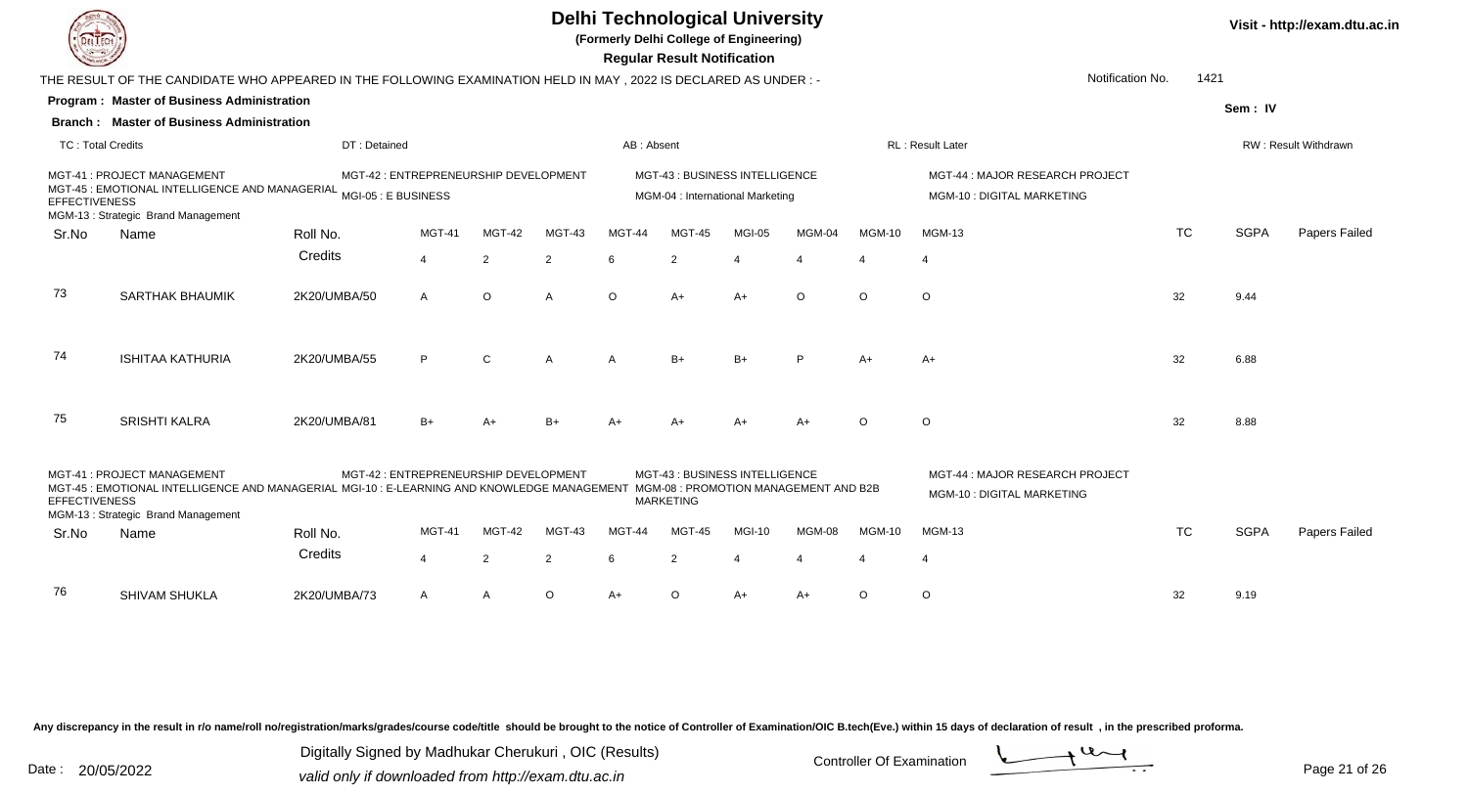**(Formerly Delhi College of Engineering)**

**Visit - http://exam.dtu.ac.in**

| 1000                 |                                                                                                                                                                                                       |                                       |                |                |         |            | <b>Regular Result Notification</b>                                 |                       |                       |               |                                                               |                  |             |                      |
|----------------------|-------------------------------------------------------------------------------------------------------------------------------------------------------------------------------------------------------|---------------------------------------|----------------|----------------|---------|------------|--------------------------------------------------------------------|-----------------------|-----------------------|---------------|---------------------------------------------------------------|------------------|-------------|----------------------|
|                      | THE RESULT OF THE CANDIDATE WHO APPEARED IN THE FOLLOWING EXAMINATION HELD IN MAY , 2022 IS DECLARED AS UNDER :-                                                                                      |                                       |                |                |         |            |                                                                    |                       |                       |               |                                                               | Notification No. | 1421        |                      |
|                      | <b>Program: Master of Business Administration</b>                                                                                                                                                     |                                       |                |                |         |            |                                                                    |                       |                       |               |                                                               |                  | Sem: IV     |                      |
|                      | <b>Branch: Master of Business Administration</b>                                                                                                                                                      |                                       |                |                |         |            |                                                                    |                       |                       |               |                                                               |                  |             |                      |
| TC: Total Credits    |                                                                                                                                                                                                       | DT: Detained                          |                |                |         | AB: Absent |                                                                    |                       |                       |               | <b>RL: Result Later</b>                                       |                  |             | RW: Result Withdrawn |
| <b>EFFECTIVENESS</b> | MGT-41: PROJECT MANAGEMENT<br>MCT-45 : EMOTIONAL INTELLIGENCE AND MANAGERIAL MGI-05 : E BUSINESS<br>MGM-13: Strategic Brand Management                                                                | MGT-42 : ENTREPRENEURSHIP DEVELOPMENT |                |                |         |            | MGT-43 : BUSINESS INTELLIGENCE<br>MGM-04 : International Marketing |                       |                       |               | MGT-44: MAJOR RESEARCH PROJECT<br>MGM-10 : DIGITAL MARKETING  |                  |             |                      |
| Sr.No                | Name                                                                                                                                                                                                  | Roll No.                              | <b>MGT-41</b>  | <b>MGT-42</b>  | MGT-43  | MGT-44     | MGT-45                                                             | MGI-05                | MGM-04                | <b>MGM-10</b> | <b>MGM-13</b>                                                 | <b>TC</b>        | <b>SGPA</b> | Papers Failed        |
|                      |                                                                                                                                                                                                       | Credits                               | $\overline{4}$ | $\overline{2}$ | 2       | 6          | 2                                                                  | $\boldsymbol{\Delta}$ | $\Delta$              | $\Delta$      | $\overline{4}$                                                |                  |             |                      |
| 73                   | <b>SARTHAK BHAUMIK</b>                                                                                                                                                                                | 2K20/UMBA/50                          | A              | $\circ$        | A       | $\circ$    | $A+$                                                               | $A+$                  | $\circ$               | $\circ$       | $\circ$                                                       | 32               | 9.44        |                      |
| 74                   | <b>ISHITAA KATHURIA</b>                                                                                                                                                                               | 2K20/UMBA/55                          | P              | $\mathsf{C}$   | A       | A          | $B+$                                                               | $B+$                  | P                     | A+            | $A+$                                                          | 32               | 6.88        |                      |
| 75                   | <b>SRISHTI KALRA</b>                                                                                                                                                                                  | 2K20/UMBA/81                          | $B+$           | A+             | $B+$    |            |                                                                    |                       | $A+$                  | $\Omega$      | $\circ$                                                       | 32               | 8.88        |                      |
| <b>EFFECTIVENESS</b> | MGT-41: PROJECT MANAGEMENT<br>MGT-45 : EMOTIONAL INTELLIGENCE AND MANAGERIAL MGI-10 : E-LEARNING AND KNOWLEDGE MANAGEMENT MGM-08 : PROMOTION MANAGEMENT AND B2B<br>MGM-13: Strategic Brand Management | MGT-42 : ENTREPRENEURSHIP DEVELOPMENT |                |                |         |            | MGT-43: BUSINESS INTELLIGENCE<br><b>MARKETING</b>                  |                       |                       |               | MGT-44 : MAJOR RESEARCH PROJECT<br>MGM-10 : DIGITAL MARKETING |                  |             |                      |
| Sr.No                | Name                                                                                                                                                                                                  | Roll No.                              | MGT-41         | MGT-42         | MGT-43  | MGT-44     | MGT-45                                                             | <b>MGI-10</b>         | MGM-08                | <b>MGM-10</b> | <b>MGM-13</b>                                                 | <b>TC</b>        | <b>SGPA</b> | Papers Failed        |
|                      |                                                                                                                                                                                                       | Credits                               | $\overline{4}$ | 2              | 2       | 6          | 2                                                                  | $\overline{4}$        | $\boldsymbol{\Delta}$ | $\Delta$      | $\overline{4}$                                                |                  |             |                      |
| 76                   | <b>SHIVAM SHUKLA</b>                                                                                                                                                                                  | 2K20/UMBA/73                          | A              | A              | $\circ$ | A+         | $\circ$                                                            | A+                    | A+                    | $\circ$       | $\circ$                                                       | 32               | 9.19        |                      |

Any discrepancy in the result in r/o name/roll no/registration/marks/grades/course code/title should be brought to the notice of Controller of Examination/OIC B.tech(Eve.) within 15 days of declaration of result, in the pr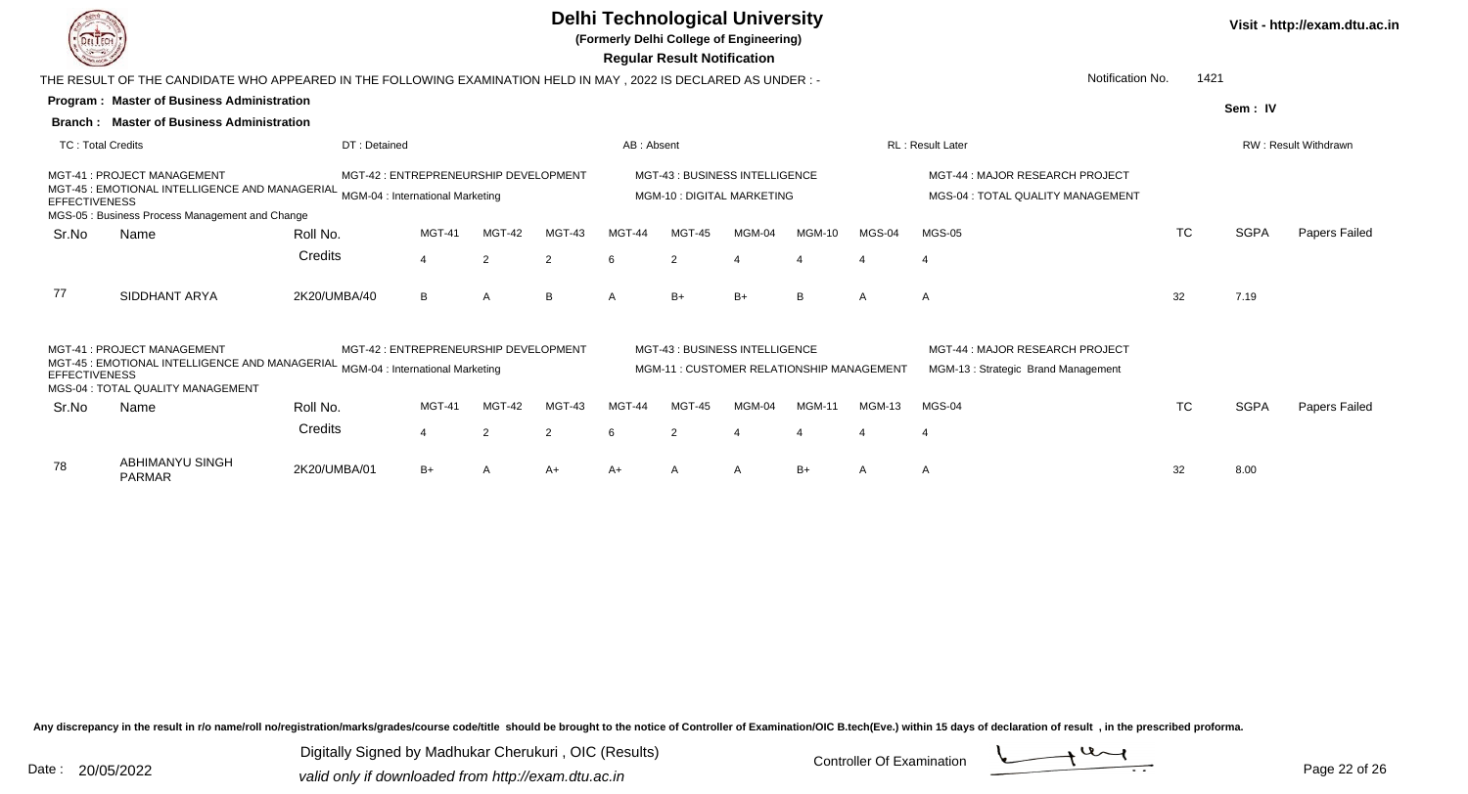**Regular Result Notification(Formerly Delhi College of Engineering)**

**Program : Master of Business AdministrationSem : IVBranch : Master of Business Administration**THE RESULT OF THE CANDIDATE WHO APPEARED IN THE FOLLOWING EXAMINATION HELD IN MAY , 2022 IS DECLARED AS UNDER : -TC : Total Credits DT : Detainedd AB : Absent RL : Result Later RW : Result Withdrawn Notification No. 1421Sr.Noo Name Roll No. **Credits** MGT-41 : PROJECT MANAGEMENTMGT-41 : PROJECT MANAGEMENT MGT-42 : ENTREPRENEURSHIP DEVELOPMENT MGT-43 : BUSINESS INTELLIGENCE MGT-44 : MAJOR RESEARCH PROJECT<br>MGT-45 : EMOTIONAL INTELLIGENCE AND MANAGERIAL <sub>MGM-04</sub> : Internat MGT-43 : BUSINESS INTELLIGENCE MGT-44 : MAJOR RESEARCH PROJECT **EFFECTIVENESS** MGS-05 : Business Process Management and ChangeMGT-41 MGT-42 MGT-43 MGT-44 MGT-45 MGM-04 MGM-10 MGS-04 MGS-05 TCTC SGPA Papers Failed 44 2 2 6 2 4 4 4 4 77 SIDDHANT ARYAA 2K20/UMBA/40 B A B A B+ B+ B A A 32 7.19 Sr.NoName Roll No. **Credits** MGT-41 : PROJECT MANAGEMENTMGT-41 : PROJECT MANAGEMENT MOT-42 : ENTREPRENEURSHIP DEVELOPMENT MOT-43 : BUSINESS INTELLIGENCE MOTEAT MOT-44 : MAJOR RESEARCH PROJEC<br>MGT-45 : EMOTIONAL INTELLIGENCE AND MANAGERIAL <sub>MGM-04</sub> : International Marketing Manag MGT-43 : BUSINESS INTELLIGENCE MGT-44 : MAJOR RESEARCH PROJECT **EFFECTIVENESS** MGS-04 : TOTAL QUALITY MANAGEMENTMGT-41 MGT-42 MGT-43 MGT-44 MGT-45 MGM-04 MGM-11 MGM-13 MGS-04 TCTC SGPA Papers Failed 44 2 2 6 2 4 4 4 4 ABHIMANYU SINGHPARMAR78 2K20/UMBA/01B+ <sup>A</sup> A+ A+ <sup>A</sup> <sup>A</sup> B+ <sup>A</sup> <sup>A</sup> <sup>32</sup> 8.00

Any discrepancy in the result in r/o name/roll no/registration/marks/grades/course code/title should be brought to the notice of Controller of Examination/OIC B.tech(Eve.) within 15 days of declaration of result , in the p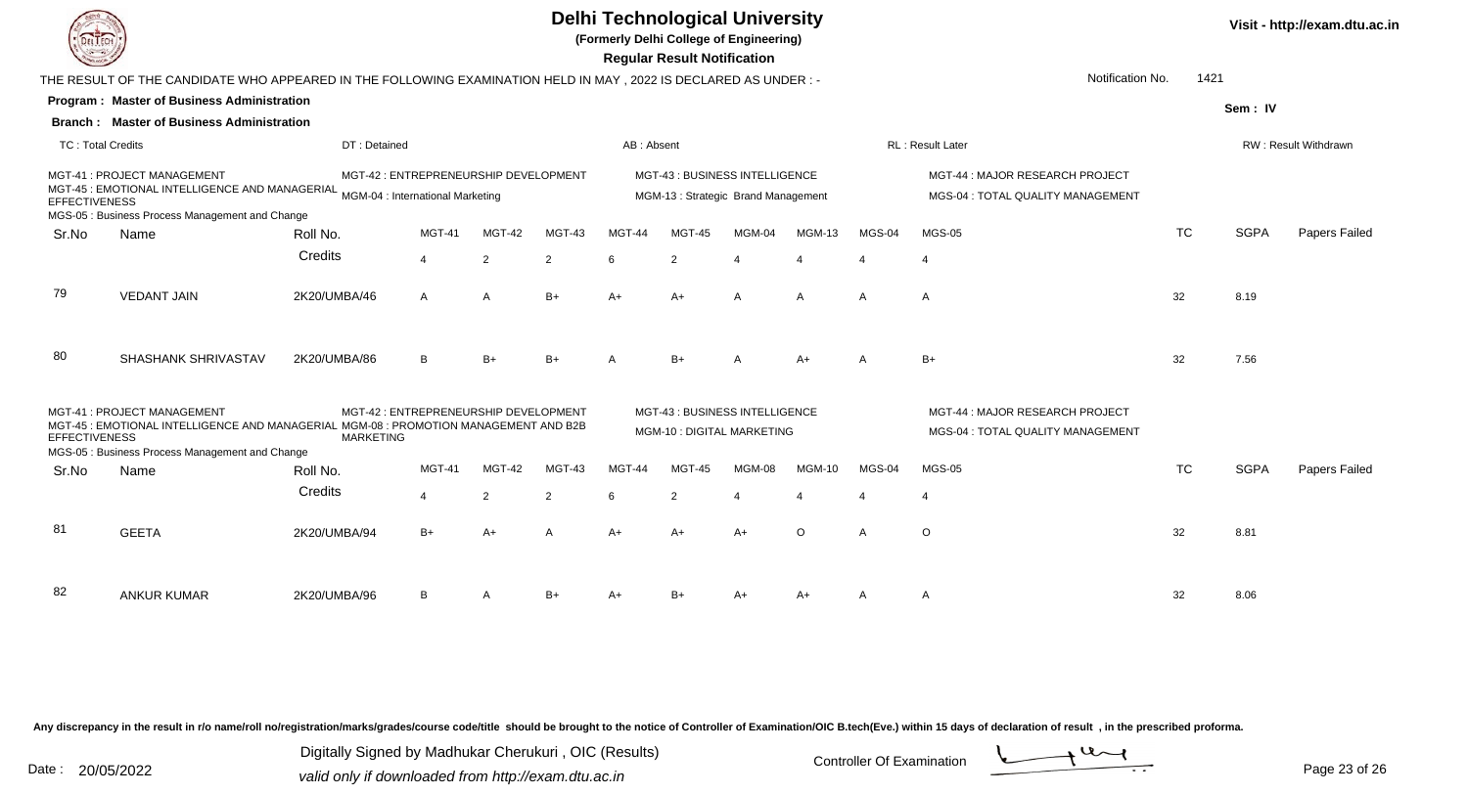**(Formerly Delhi College of Engineering)**

 **Regular Result Notification**

|                     |                                                                                                                                                |                                                                                                                                                                                                                                                 |                               |                                                                                           |                                                                                                                                                                                  |                |                         |                                       |                                                                                                                                                                                                                                                                           |                                                                      |                                          |                               | RW: Result Withdrawn           |
|---------------------|------------------------------------------------------------------------------------------------------------------------------------------------|-------------------------------------------------------------------------------------------------------------------------------------------------------------------------------------------------------------------------------------------------|-------------------------------|-------------------------------------------------------------------------------------------|----------------------------------------------------------------------------------------------------------------------------------------------------------------------------------|----------------|-------------------------|---------------------------------------|---------------------------------------------------------------------------------------------------------------------------------------------------------------------------------------------------------------------------------------------------------------------------|----------------------------------------------------------------------|------------------------------------------|-------------------------------|--------------------------------|
|                     |                                                                                                                                                |                                                                                                                                                                                                                                                 |                               |                                                                                           |                                                                                                                                                                                  |                |                         |                                       |                                                                                                                                                                                                                                                                           | MGT-44 : MAJOR RESEARCH PROJECT<br>MGS-04 : TOTAL QUALITY MANAGEMENT |                                          |                               |                                |
| Name                | Roll No.                                                                                                                                       | <b>MGT-41</b>                                                                                                                                                                                                                                   | MGT-42                        | MGT-43                                                                                    | MGT-44                                                                                                                                                                           | MGT-45         | MGM-04                  | <b>MGM-13</b>                         | MGS-04                                                                                                                                                                                                                                                                    | <b>MGS-05</b>                                                        | <b>TC</b>                                | <b>SGPA</b>                   | Papers Failed                  |
|                     | Credits                                                                                                                                        | $\Delta$                                                                                                                                                                                                                                        | $\overline{2}$                | $\overline{2}$                                                                            | 6                                                                                                                                                                                | $\overline{2}$ |                         | $\boldsymbol{\varDelta}$              | $\boldsymbol{\varDelta}$                                                                                                                                                                                                                                                  | $\overline{4}$                                                       |                                          |                               |                                |
| <b>VEDANT JAIN</b>  | 2K20/UMBA/46                                                                                                                                   | $\mathsf{A}$                                                                                                                                                                                                                                    | $\mathsf{A}$                  | $B+$                                                                                      | $A+$                                                                                                                                                                             | $A+$           | $\mathsf{A}$            | $\mathsf{A}$                          | $\overline{A}$                                                                                                                                                                                                                                                            | $\overline{A}$                                                       | 32                                       | 8.19                          |                                |
| SHASHANK SHRIVASTAV | 2K20/UMBA/86                                                                                                                                   | B.                                                                                                                                                                                                                                              | $B+$                          | $B+$                                                                                      | $\overline{\mathsf{A}}$                                                                                                                                                          | $B+$           | $\overline{\mathsf{A}}$ | $A+$                                  | $\overline{A}$                                                                                                                                                                                                                                                            | $B+$                                                                 | 32                                       | 7.56                          |                                |
|                     |                                                                                                                                                |                                                                                                                                                                                                                                                 |                               |                                                                                           |                                                                                                                                                                                  |                |                         |                                       |                                                                                                                                                                                                                                                                           | MGT-44 : MAJOR RESEARCH PROJECT<br>MGS-04 : TOTAL QUALITY MANAGEMENT |                                          |                               |                                |
|                     |                                                                                                                                                |                                                                                                                                                                                                                                                 |                               |                                                                                           |                                                                                                                                                                                  |                |                         |                                       |                                                                                                                                                                                                                                                                           |                                                                      |                                          |                               |                                |
|                     |                                                                                                                                                |                                                                                                                                                                                                                                                 |                               |                                                                                           |                                                                                                                                                                                  |                |                         |                                       |                                                                                                                                                                                                                                                                           |                                                                      |                                          |                               | Papers Failed                  |
|                     |                                                                                                                                                | $\Delta$                                                                                                                                                                                                                                        | $\overline{2}$                | $\overline{2}$                                                                            | 6                                                                                                                                                                                | 2              |                         |                                       |                                                                                                                                                                                                                                                                           | $\Delta$                                                             |                                          |                               |                                |
| <b>GEETA</b>        | 2K20/UMBA/94                                                                                                                                   | $B+$                                                                                                                                                                                                                                            | $A+$                          | $\overline{A}$                                                                            | $A+$                                                                                                                                                                             | $A+$           | $A+$                    | $\circ$                               | $\overline{A}$                                                                                                                                                                                                                                                            | $\circ$                                                              | 32                                       | 8.81                          |                                |
| <b>ANKUR KUMAR</b>  | 2K20/UMBA/96                                                                                                                                   | B                                                                                                                                                                                                                                               | A                             | B+                                                                                        |                                                                                                                                                                                  |                |                         | $A+$                                  |                                                                                                                                                                                                                                                                           | A                                                                    | 32                                       | 8.06                          |                                |
|                     | <b>TC: Total Credits</b><br>MGT-41 : PROJECT MANAGEMENT<br><b>EFFECTIVENESS</b><br>MGT-41 : PROJECT MANAGEMENT<br><b>EFFECTIVENESS</b><br>Name | Program: Master of Business Administration<br><b>Branch: Master of Business Administration</b><br>MGS-05 : Business Process Management and Change<br><b>MARKETING</b><br>MGS-05 : Business Process Management and Change<br>Roll No.<br>Credits | DT: Detained<br><b>MGT-41</b> | MGT-45 : EMOTIONAL INTELLIGENCE AND MANAGERIAL MGM-04 : International Marketing<br>MGT-42 | MGT-42 : ENTREPRENEURSHIP DEVELOPMENT<br>MGT-42 : ENTREPRENEURSHIP DEVELOPMENT<br>MGT-45 : EMOTIONAL INTELLIGENCE AND MANAGERIAL MGM-08 : PROMOTION MANAGEMENT AND B2B<br>MGT-43 | <b>MGT-44</b>  | AB: Absent<br>MGT-45    | Regular Result Notification<br>MGM-08 | THE RESULT OF THE CANDIDATE WHO APPEARED IN THE FOLLOWING EXAMINATION HELD IN MAY , 2022 IS DECLARED AS UNDER :-<br>MGT-43 : BUSINESS INTELLIGENCE<br>MGM-13: Strategic Brand Management<br>MGT-43 : BUSINESS INTELLIGENCE<br>MGM-10 : DIGITAL MARKETING<br><b>MGM-10</b> | MGS-04                                                               | <b>RL: Result Later</b><br><b>MGS-05</b> | Notification No.<br><b>TC</b> | 1421<br>Sem: IV<br><b>SGPA</b> |

Any discrepancy in the result in r/o name/roll no/registration/marks/grades/course code/title should be brought to the notice of Controller of Examination/OIC B.tech(Eve.) within 15 days of declaration of result, in the pr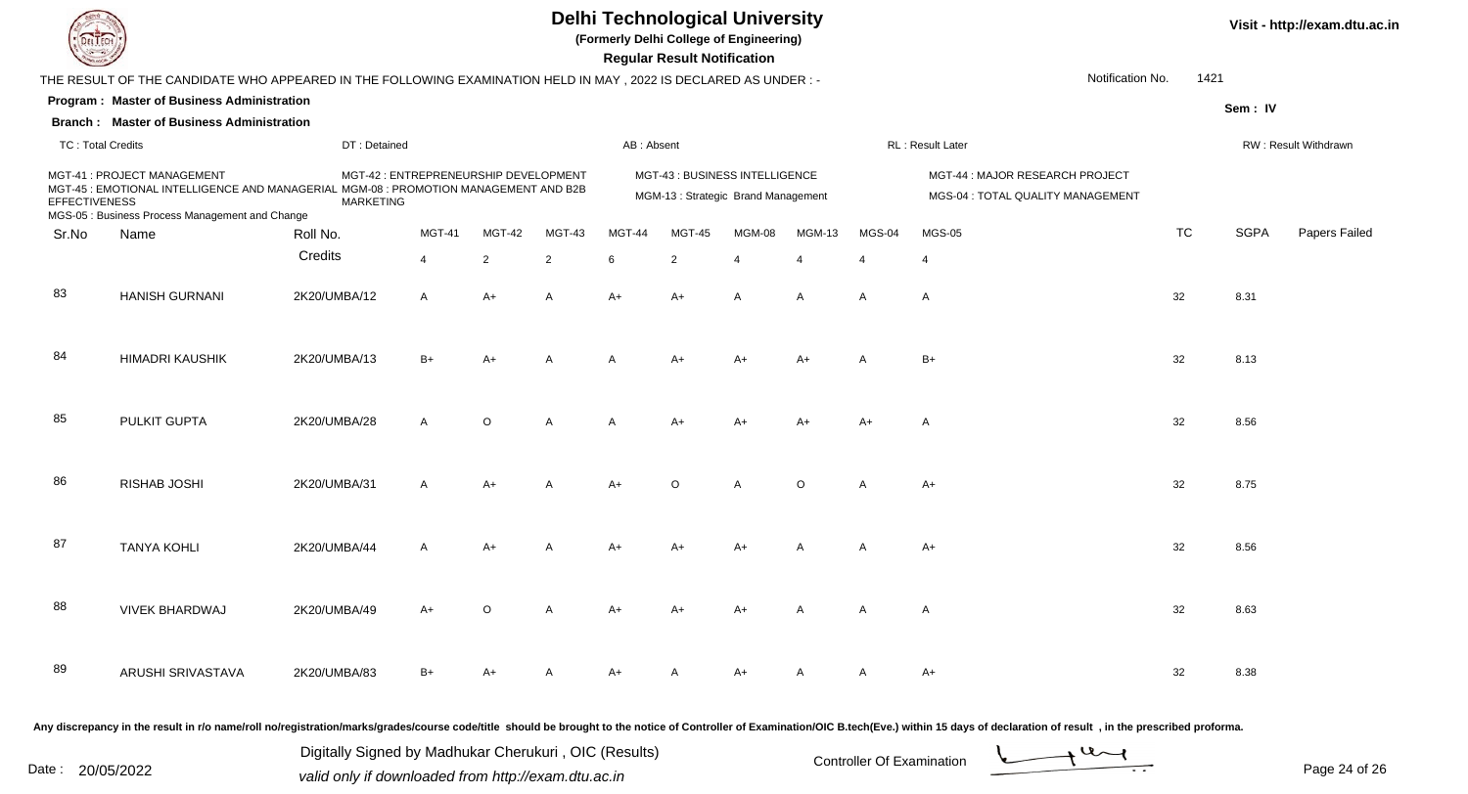

**(Formerly Delhi College of Engineering)**

| <b>County</b>            |                                                                                                                                                                        |                  |                                       |                |                |            | <b>Regular Result Notification</b>                                   |                |                |                |                                                                                                                                                                                                                                |           |             |                      |
|--------------------------|------------------------------------------------------------------------------------------------------------------------------------------------------------------------|------------------|---------------------------------------|----------------|----------------|------------|----------------------------------------------------------------------|----------------|----------------|----------------|--------------------------------------------------------------------------------------------------------------------------------------------------------------------------------------------------------------------------------|-----------|-------------|----------------------|
|                          | THE RESULT OF THE CANDIDATE WHO APPEARED IN THE FOLLOWING EXAMINATION HELD IN MAY, 2022 IS DECLARED AS UNDER:-                                                         |                  |                                       |                |                |            |                                                                      |                |                |                | Notification No.                                                                                                                                                                                                               | 1421      |             |                      |
|                          | Program: Master of Business Administration                                                                                                                             |                  |                                       |                |                |            |                                                                      |                |                |                |                                                                                                                                                                                                                                |           | Sem: IV     |                      |
|                          | <b>Branch: Master of Business Administration</b>                                                                                                                       |                  |                                       |                |                |            |                                                                      |                |                |                |                                                                                                                                                                                                                                |           |             |                      |
| <b>TC: Total Credits</b> |                                                                                                                                                                        | DT: Detained     |                                       |                |                | AB: Absent |                                                                      |                |                |                | RL: Result Later                                                                                                                                                                                                               |           |             | RW: Result Withdrawn |
| <b>EFFECTIVENESS</b>     | MGT-41 : PROJECT MANAGEMENT<br>MGT-45 : EMOTIONAL INTELLIGENCE AND MANAGERIAL MGM-08 : PROMOTION MANAGEMENT AND B2B<br>MGS-05 : Business Process Management and Change | <b>MARKETING</b> | MGT-42 : ENTREPRENEURSHIP DEVELOPMENT |                |                |            | MGT-43 : BUSINESS INTELLIGENCE<br>MGM-13: Strategic Brand Management |                |                |                | MGT-44 : MAJOR RESEARCH PROJECT<br>MGS-04 : TOTAL QUALITY MANAGEMENT                                                                                                                                                           |           |             |                      |
| Sr.No                    | Name                                                                                                                                                                   | Roll No.         | MGT-41                                | MGT-42         | MGT-43         | MGT-44     | <b>MGT-45</b>                                                        | MGM-08         | MGM-13         | <b>MGS-04</b>  | <b>MGS-05</b>                                                                                                                                                                                                                  | <b>TC</b> | <b>SGPA</b> | Papers Failed        |
|                          |                                                                                                                                                                        | Credits          | $\overline{4}$                        | $\overline{2}$ | $\overline{2}$ | 6          | $\overline{2}$                                                       | $\overline{4}$ | $\overline{4}$ | $\overline{4}$ | $\overline{4}$                                                                                                                                                                                                                 |           |             |                      |
| 83                       | <b>HANISH GURNANI</b>                                                                                                                                                  | 2K20/UMBA/12     | A                                     | $A+$           | A              | $A+$       | A+                                                                   | A              | A              | A              | A                                                                                                                                                                                                                              | 32        | 8.31        |                      |
| 84                       | <b>HIMADRI KAUSHIK</b>                                                                                                                                                 | 2K20/UMBA/13     | $B+$                                  | $A+$           | A              | A          | A+                                                                   | A+             | $A+$           | A              | $B+$                                                                                                                                                                                                                           | 32        | 8.13        |                      |
| 85                       | PULKIT GUPTA                                                                                                                                                           | 2K20/UMBA/28     | $\mathsf{A}$                          | $\circ$        | A              | A          | $A+$                                                                 | $A+$           | $A+$           | $A+$           | A                                                                                                                                                                                                                              | 32        | 8.56        |                      |
| 86                       | RISHAB JOSHI                                                                                                                                                           | 2K20/UMBA/31     | Α                                     | $A+$           | A              | $A+$       | $\circ$                                                              | А              | $\circ$        | A              | A+                                                                                                                                                                                                                             | 32        | 8.75        |                      |
| 87                       | <b>TANYA KOHLI</b>                                                                                                                                                     | 2K20/UMBA/44     | A                                     | $A+$           | A              | A+         | A+                                                                   | A+             | A              | A              | $A+$                                                                                                                                                                                                                           | 32        | 8.56        |                      |
| 88                       | <b>VIVEK BHARDWAJ</b>                                                                                                                                                  | 2K20/UMBA/49     | A+                                    | $\Omega$       | A              | A+         | A+                                                                   | A+             | A              | A              | A                                                                                                                                                                                                                              | 32        | 8.63        |                      |
| 89                       | ARUSHI SRIVASTAVA                                                                                                                                                      | 2K20/UMBA/83     | $B+$                                  |                | A              | $A+$       | A                                                                    | A+             | A              | A              | $A+$                                                                                                                                                                                                                           | 32        | 8.38        |                      |
|                          |                                                                                                                                                                        |                  |                                       |                |                |            |                                                                      |                |                |                | Any discrepancy in the result in r/o name/roll no/registration/marks/grades/course code/title should be brought to the notice of Controller of Examination/OIC B.tech(Eve.) within 15 days of declaration of result , in the p |           |             |                      |

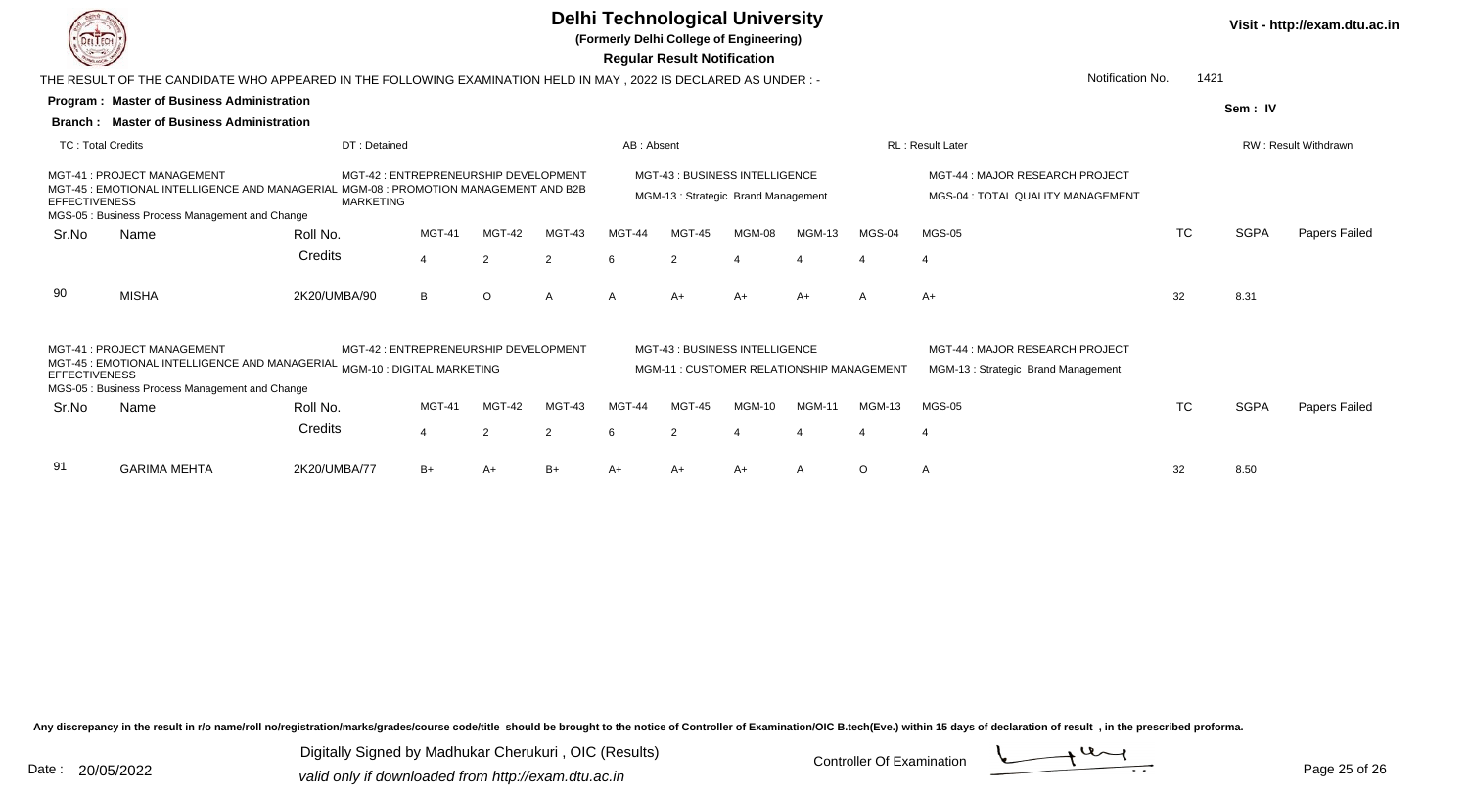

**(Formerly Delhi College of Engineering)**

 **Regular Result Notification**

|                          | Notification No.<br>1421<br>THE RESULT OF THE CANDIDATE WHO APPEARED IN THE FOLLOWING EXAMINATION HELD IN MAY , 2022 IS DECLARED AS UNDER :- |                                                                                                     |               |         |        |            |               |                                                                            |               |               |                                                                       |           |             |                             |
|--------------------------|----------------------------------------------------------------------------------------------------------------------------------------------|-----------------------------------------------------------------------------------------------------|---------------|---------|--------|------------|---------------|----------------------------------------------------------------------------|---------------|---------------|-----------------------------------------------------------------------|-----------|-------------|-----------------------------|
|                          | <b>Program: Master of Business Administration</b>                                                                                            |                                                                                                     |               |         |        |            |               |                                                                            |               |               |                                                                       |           | Sem: IV     |                             |
| Branch:                  | <b>Master of Business Administration</b>                                                                                                     |                                                                                                     |               |         |        |            |               |                                                                            |               |               |                                                                       |           |             |                             |
| <b>TC: Total Credits</b> |                                                                                                                                              | DT: Detained                                                                                        |               |         |        | AB: Absent |               |                                                                            |               |               | <b>RL: Result Later</b>                                               |           |             | <b>RW: Result Withdrawn</b> |
| <b>EFFECTIVENESS</b>     | MGT-41: PROJECT MANAGEMENT<br>MGT-45 : EMOTIONAL INTELLIGENCE AND MANAGERIAL<br>MGS-05 : Business Process Management and Change              | MGT-42: ENTREPRENEURSHIP DEVELOPMENT<br>. MGM-08 : PROMOTION MANAGEMENT AND B2B<br><b>MARKETING</b> |               |         |        |            |               | MGT-43 : BUSINESS INTELLIGENCE<br>MGM-13: Strategic Brand Management       |               |               | MGT-44 : MAJOR RESEARCH PROJECT<br>MGS-04 : TOTAL QUALITY MANAGEMENT  |           |             |                             |
| Sr.No                    | Name                                                                                                                                         | Roll No.                                                                                            | <b>MGT-41</b> | MGT-42  | MGT-43 | MGT-44     | MGT-45        | MGM-08                                                                     | <b>MGM-13</b> | MGS-04        | <b>MGS-05</b>                                                         | <b>TC</b> | <b>SGPA</b> | Papers Failed               |
|                          |                                                                                                                                              | Credits                                                                                             | 4             | 2       | 2      | 6          | 2             |                                                                            |               |               |                                                                       |           |             |                             |
| 90                       | <b>MISHA</b>                                                                                                                                 | 2K20/UMBA/90                                                                                        | B             | $\circ$ | A      |            | $A+$          | $A+$                                                                       | $A+$          | A             | $A+$                                                                  | 32        | 8.31        |                             |
| <b>EFFECTIVENESS</b>     | MGT-41: PROJECT MANAGEMENT<br>MGT-45 : EMOTIONAL INTELLIGENCE AND MANAGERIAL<br>MGS-05 : Business Process Management and Change              | MGT-42: ENTREPRENEURSHIP DEVELOPMENT<br>MGM-10 : DIGITAL MARKETING                                  |               |         |        |            |               | MGT-43 : BUSINESS INTELLIGENCE<br>MGM-11: CUSTOMER RELATIONSHIP MANAGEMENT |               |               | MGT-44 : MAJOR RESEARCH PROJECT<br>MGM-13: Strategic Brand Management |           |             |                             |
| Sr.No                    | Name                                                                                                                                         | Roll No.                                                                                            | MGT-41        | MGT-42  | MGT-43 | MGT-44     | MGT-45        | <b>MGM-10</b>                                                              | <b>MGM-11</b> | <b>MGM-13</b> | <b>MGS-05</b>                                                         | <b>TC</b> | <b>SGPA</b> | Papers Failed               |
|                          |                                                                                                                                              | Credits                                                                                             | 4             | 2       | 2      | 6          | $\mathcal{P}$ |                                                                            |               |               | -4                                                                    |           |             |                             |
| 91                       | <b>GARIMA MEHTA</b>                                                                                                                          | 2K20/UMBA/77                                                                                        | $B+$          | A+      | $B+$   | A+         | A+            | A+                                                                         | A             | $\circ$       | $\mathsf{A}$                                                          | 32        | 8.50        |                             |

Any discrepancy in the result in r/o name/roll no/registration/marks/grades/course code/title should be brought to the notice of Controller of Examination/OIC B.tech(Eve.) within 15 days of declaration of result, in the pr